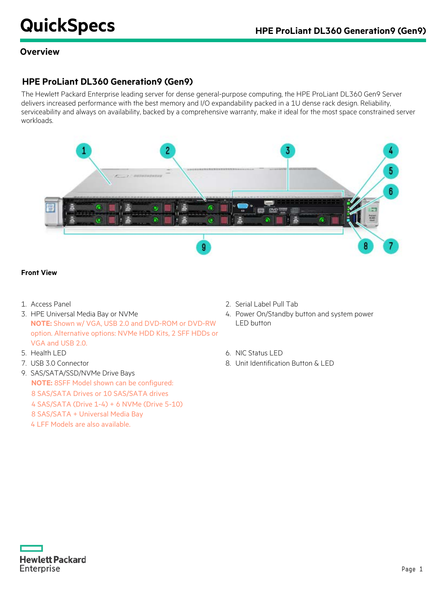### **Overview**

# **HPE ProLiant DL360 Generation9 (Gen9)**

The Hewlett Packard Enterprise leading server for dense general-purpose computing, the HPE ProLiant DL360 Gen9 Server delivers increased performance with the best memory and I/O expandability packed in a 1U dense rack design. Reliability, serviceability and always on availability, backed by a comprehensive warranty, make it ideal for the most space constrained server workloads.



### **Front View**

- 
- 3. HPE Universal Media Bay or NVMe **NOTE:** Shown w/ VGA, USB 2.0 and DVD-ROM or DVD-RW option. Alternative options: NVMe HDD Kits, 2 SFF HDDs or VGA and USB 2.0.
- 
- 
- 9. SAS/SATA/SSD/NVMe Drive Bays **NOTE:** 8SFF Model shown can be configured: 8 SAS/SATA Drives or 10 SAS/SATA drives 4 SAS/SATA (Drive 1-4) + 6 NVMe (Drive 5-10) 8 SAS/SATA + Universal Media Bay
	- 4 LFF Models are also available.
- 1. Access Panel 2. Serial Label Pull Tab
	- 4. Power On/Standby button and system power LED button
- 5. Health LED 6. NIC Status LED
- 7. USB 3.0 Connector 8. Unit Identification Button & LED

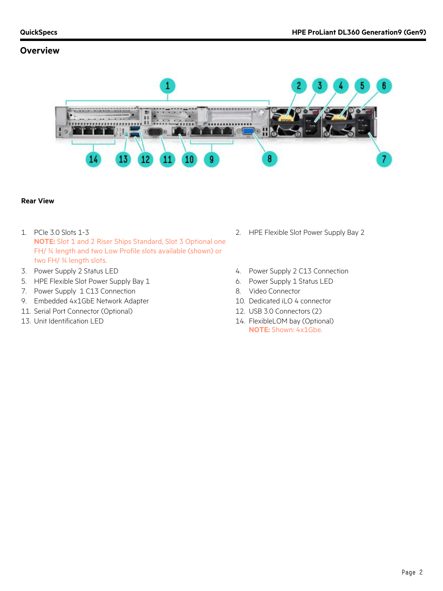### **Overview**



### **Rear View**

- 1. PCIe 3.0 Slots 1-3 **NOTE:** Slot 1 and 2 Riser Ships Standard, Slot 3 Optional one FH/ ¾ length and two Low Profile slots available (shown) or two FH/ ¾ length slots.
- 
- 5. HPE Flexible Slot Power Supply Bay 1 6. Power Supply 1 Status LED
- 7. Power Supply 1 C13 Connection 8. Video Connector
- 9. Embedded 4x1GbE Network Adapter 10. Dedicated iLO 4 connector
- 11. Serial Port Connector (Optional) 12. USB 3.0 Connectors (2)
- 
- 2. HPE Flexible Slot Power Supply Bay 2
- 3. Power Supply 2 Status LED 6. The Supply 2 Case of the Supply 2 Case of the Supply 2 Case of the Supply 2 Case of the Supply 2 Case of the Supply 2 Case of the Supply 2 Case of the Supply 2 Case of the Supply 2 Case of t
	-
	-
	-
	-
- 13. Unit Identification LED 14. FlexibleLOM bay (Optional) **NOTE:** Shown: 4x1Gbe.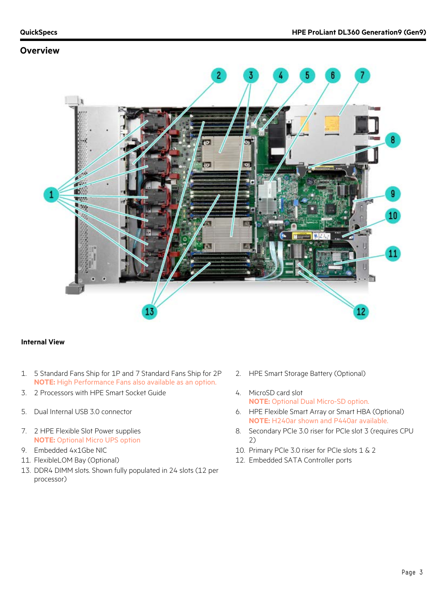### **Overview**



### **Internal View**

- 1. 5 Standard Fans Ship for 1P and 7 Standard Fans Ship for 2P **NOTE:** High Performance Fans also available as an option.
- 3. 2 Processors with HPE Smart Socket Guide 4. MicroSD card slot
- 
- 7. 2 HPE Flexible Slot Power supplies **NOTE:** Optional Micro UPS option
- 
- 
- 13. DDR4 DIMM slots. Shown fully populated in 24 slots (12 per processor)
- 2. HPE Smart Storage Battery (Optional)
- **NOTE:** Optional Dual Micro-SD option.
- 5. Dual Internal USB 3.0 connector 6. HPE Flexible Smart Array or Smart HBA (Optional) **NOTE:** H240ar shown and P440ar available.
	- 8. Secondary PCIe 3.0 riser for PCIe slot 3 (requires CPU 2)
- 9. Embedded 4x1Gbe NIC 10. Primary PCIe 3.0 riser for PCIe slots 1 & 2
- 11. FlexibleLOM Bay (Optional) 12. Embedded SATA Controller ports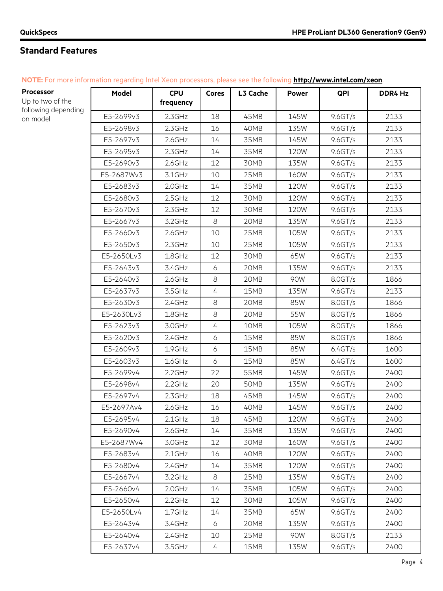| NOTE: For more information regarding Intel Xeon processors, please see the following http://www.intel.com/xeon. |  |
|-----------------------------------------------------------------------------------------------------------------|--|
|-----------------------------------------------------------------------------------------------------------------|--|

| Processor                       | Model      | <b>CPU</b> | <b>Cores</b>   | L3 Cache | <b>Power</b> | QPI       | DDR4 Hz |
|---------------------------------|------------|------------|----------------|----------|--------------|-----------|---------|
| Up to two of the                |            | frequency  |                |          |              |           |         |
| following depending<br>on model | E5-2699v3  | 2.3GHz     | 18             | 45MB     | 145W         | 9.6GT/s   | 2133    |
|                                 | E5-2698v3  | $2.3$ GHz  | 16             | 40MB     | 135W         | 9.6GT/s   | 2133    |
|                                 | E5-2697v3  | $2.6$ GHz  | 14             | 35MB     | 145W         | 9.6GT/s   | 2133    |
|                                 | E5-2695v3  | $2.3$ GHz  | 14             | 35MB     | 120W         | 9.6GT/s   | 2133    |
|                                 | E5-2690v3  | 2.6GHz     | 12             | 30MB     | 135W         | 9.6GT/s   | 2133    |
|                                 | E5-2687Wv3 | 3.1GHz     | 10             | 25MB     | 160W         | 9.6GT/s   | 2133    |
|                                 | E5-2683v3  | 2.0GHz     | 14             | 35MB     | 120W         | 9.6GT/s   | 2133    |
|                                 | E5-2680v3  | 2.5GHz     | 12             | 30MB     | <b>120W</b>  | 9.6GT/s   | 2133    |
|                                 | E5-2670v3  | 2.3GHz     | 12             | 30MB     | 120W         | 9.6GT/s   | 2133    |
|                                 | E5-2667v3  | 3.2GHz     | $\,8\,$        | 20MB     | 135W         | 9.6 G T/s | 2133    |
|                                 | E5-2660v3  | 2.6GHz     | 10             | 25MB     | 105W         | 9.6GT/s   | 2133    |
|                                 | E5-2650v3  | $2.3$ GHz  | 10             | 25MB     | 105W         | 9.6GT/s   | 2133    |
|                                 | E5-2650Lv3 | $1.8$ GHz  | 12             | 30MB     | 65W          | 9.6GT/s   | 2133    |
|                                 | E5-2643v3  | 3.4GHz     | 6              | 20MB     | 135W         | 9.6GT/s   | 2133    |
|                                 | E5-2640v3  | $2.6$ GHz  | 8              | 20MB     | 90W          | 8.0GT/s   | 1866    |
|                                 | E5-2637v3  | 3.5GHz     | $\overline{4}$ | 15MB     | 135W         | 9.6GT/s   | 2133    |
|                                 | E5-2630v3  | 2.4GHz     | $\,8\,$        | 20MB     | 85W          | 8.0GT/s   | 1866    |
|                                 | E5-2630Lv3 | 1.8GHz     | 8              | 20MB     | 55W          | 8.0GT/s   | 1866    |
|                                 | E5-2623v3  | 3.0GHz     | 4              | 10MB     | 105W         | 8.0GT/s   | 1866    |
|                                 | E5-2620v3  | 2.4GHz     | $\ddot{o}$     | 15MB     | 85W          | 8.0GT/s   | 1866    |
|                                 | E5-2609v3  | 1.9GHz     | 6              | 15MB     | 85W          | 6.4GT/s   | 1600    |
|                                 | E5-2603v3  | 1.6GHz     | 6              | 15MB     | 85W          | 6.4GT/s   | 1600    |
|                                 | E5-2699v4  | $2.2$ GHz  | 22             | 55MB     | 145W         | 9.6GT/s   | 2400    |
|                                 | E5-2698v4  | $2.2$ GHz  | 20             | 50MB     | 135W         | 9.6GT/s   | 2400    |
|                                 | E5-2697v4  | $2.3$ GHz  | 18             | 45MB     | 145W         | 9.6GT/s   | 2400    |
|                                 | E5-2697Av4 | 2.6GHz     | 16             | 40MB     | 145W         | 9.6GT/s   | 2400    |
|                                 | E5-2695v4  | 2.1GHz     | 18             | 45MB     | 120W         | 9.6GT/s   | 2400    |
|                                 | E5-2690v4  | 2.6GHz     | 14             | 35MB     | 135W         | 9.6GT/s   | 2400    |
|                                 | E5-2687Wv4 | 3.0GHz     | 12             | 30MB     | 160W         | 9.6GT/s   | 2400    |
|                                 | E5-2683v4  | $2.1$ GHz  | 16             | 40MB     | 120W         | 9.6GT/s   | 2400    |
|                                 | E5-2680v4  | 2.4GHz     | 14             | 35MB     | 120W         | 9.6GT/s   | 2400    |
|                                 | E5-2667v4  | 3.2GHz     | 8              | 25MB     | 135W         | 9.6GT/s   | 2400    |
|                                 | E5-2660v4  | 2.0GHz     | 14             | 35MB     | 105W         | 9.6GT/s   | 2400    |
|                                 | E5-2650v4  | $2.2$ GHz  | 12             | 30MB     | 105W         | 9.6GT/s   | 2400    |
|                                 | E5-2650Lv4 | $1.7$ GHz  | 14             | 35MB     | 65W          | 9.6 G T/s | 2400    |
|                                 | E5-2643v4  | 3.4GHz     | 6              | 20MB     | 135W         | 9.6GT/s   | 2400    |
|                                 | E5-2640v4  | 2.4GHz     | 10             | 25MB     | 90W          | 8.0GT/s   | 2133    |
|                                 | E5-2637v4  | 3.5GHz     | 4              | 15MB     | 135W         | 9.6GT/s   | 2400    |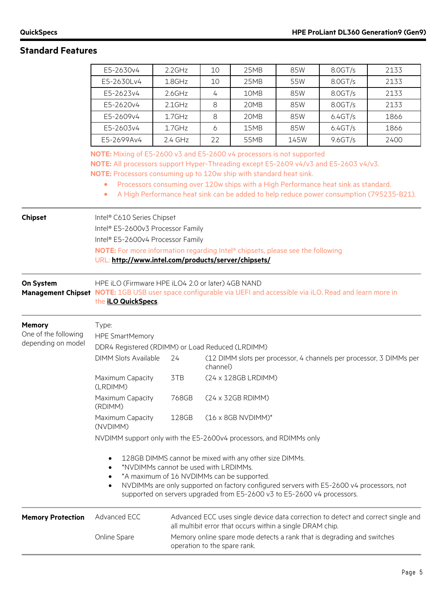|                                                             | E5-2630v4                                                                                                                                                                                                                                                                                                                                      | $2.2$ GHz                                                                                              | 10 | 25MB                                                      | 85W | 8.0GT/s                                                                             | 2133                                                                                     |  |  |  |
|-------------------------------------------------------------|------------------------------------------------------------------------------------------------------------------------------------------------------------------------------------------------------------------------------------------------------------------------------------------------------------------------------------------------|--------------------------------------------------------------------------------------------------------|----|-----------------------------------------------------------|-----|-------------------------------------------------------------------------------------|------------------------------------------------------------------------------------------|--|--|--|
|                                                             | E5-2630Lv4                                                                                                                                                                                                                                                                                                                                     | 1.8GHz                                                                                                 | 10 | 25MB                                                      | 55W | 8.0GT/s                                                                             | 2133                                                                                     |  |  |  |
|                                                             | E5-2623v4                                                                                                                                                                                                                                                                                                                                      | $2.6$ GHz                                                                                              | 4  | 10MB                                                      | 85W | 8.0GT/s                                                                             | 2133                                                                                     |  |  |  |
|                                                             | E5-2620v4                                                                                                                                                                                                                                                                                                                                      | $2.1$ GHz                                                                                              | 8  | 20MB                                                      | 85W | 8.0GT/s                                                                             | 2133                                                                                     |  |  |  |
|                                                             | E5-2609v4                                                                                                                                                                                                                                                                                                                                      | 1.7GHz                                                                                                 | 8  | 20MB                                                      | 85W | 6.4GT/s                                                                             | 1866                                                                                     |  |  |  |
|                                                             | E5-2603v4                                                                                                                                                                                                                                                                                                                                      | 1.7GHz                                                                                                 | 6  | 15MB                                                      | 85W | 6.4GT/s                                                                             | 1866                                                                                     |  |  |  |
|                                                             | E5-2699Av4<br>2.4 GHz<br>9.6GT/s<br>22<br>55MB<br>145W<br>2400                                                                                                                                                                                                                                                                                 |                                                                                                        |    |                                                           |     |                                                                                     |                                                                                          |  |  |  |
|                                                             | NOTE: Mixing of E5-2600 v3 and E5-2600 v4 processors is not supported<br>NOTE: All processors support Hyper-Threading except E5-2609 v4/v3 and E5-2603 v4/v3.<br>NOTE: Processors consuming up to 120w ship with standard heat sink.<br>$\bullet$<br>$\bullet$                                                                                 |                                                                                                        |    |                                                           |     | Processors consuming over 120w ships with a High Performance heat sink as standard. | A High Performance heat sink can be added to help reduce power consumption (795235-B21). |  |  |  |
| <b>Chipset</b>                                              | Intel® C610 Series Chipset<br>Intel® E5-2600v3 Processor Family<br>Intel® E5-2600v4 Processor Family<br>NOTE: For more information regarding Intel® chipsets, please see the following<br>URL: http://www.intel.com/products/server/chipsets/                                                                                                  |                                                                                                        |    |                                                           |     |                                                                                     |                                                                                          |  |  |  |
| On System                                                   | HPE iLO (Firmware HPE iLO4 2.0 or later) 4GB NAND<br>Management Chipset NOTE: 1GB USB user space configurable via UEFI and accessible via iLO. Read and learn more in<br>the iLO QuickSpecs.                                                                                                                                                   |                                                                                                        |    |                                                           |     |                                                                                     |                                                                                          |  |  |  |
| <b>Memory</b><br>One of the following<br>depending on model | Type:<br><b>HPE SmartMemory</b><br>DDR4 Registered (RDIMM) or Load Reduced (LRDIMM)                                                                                                                                                                                                                                                            |                                                                                                        |    |                                                           |     |                                                                                     |                                                                                          |  |  |  |
|                                                             | <b>DIMM Slots Available</b><br>24<br>(12 DIMM slots per processor, 4 channels per processor, 3 DIMMs per<br>channel)                                                                                                                                                                                                                           |                                                                                                        |    |                                                           |     |                                                                                     |                                                                                          |  |  |  |
|                                                             | Maximum Capacity<br>(LRDIMM)                                                                                                                                                                                                                                                                                                                   | 3TB                                                                                                    |    | (24 x 128GB LRDIMM)                                       |     |                                                                                     |                                                                                          |  |  |  |
|                                                             | Maximum Capacity<br>(RDIMM)                                                                                                                                                                                                                                                                                                                    | 768GB                                                                                                  |    | (24 x 32GB RDIMM)                                         |     |                                                                                     |                                                                                          |  |  |  |
|                                                             | Maximum Capacity<br>(NVDIMM)                                                                                                                                                                                                                                                                                                                   | 128GB<br>$(16 \times 8GB$ NVDIMM)*                                                                     |    |                                                           |     |                                                                                     |                                                                                          |  |  |  |
|                                                             | NVDIMM support only with the E5-2600v4 processors, and RDIMMs only                                                                                                                                                                                                                                                                             |                                                                                                        |    |                                                           |     |                                                                                     |                                                                                          |  |  |  |
|                                                             | 128GB DIMMS cannot be mixed with any other size DIMMs.<br>$\bullet$<br>*NVDIMMs cannot be used with LRDIMMs.<br>*A maximum of 16 NVDIMMs can be supported.<br>NVDIMMs are only supported on factory configured servers with E5-2600 v4 processors, not<br>$\bullet$<br>supported on servers upgraded from E5-2600 v3 to E5-2600 v4 processors. |                                                                                                        |    |                                                           |     |                                                                                     |                                                                                          |  |  |  |
| <b>Memory Protection</b>                                    | Advanced ECC                                                                                                                                                                                                                                                                                                                                   |                                                                                                        |    | all multibit error that occurs within a single DRAM chip. |     |                                                                                     | Advanced ECC uses single device data correction to detect and correct single and         |  |  |  |
|                                                             | Online Spare                                                                                                                                                                                                                                                                                                                                   | Memory online spare mode detects a rank that is degrading and switches<br>operation to the spare rank. |    |                                                           |     |                                                                                     |                                                                                          |  |  |  |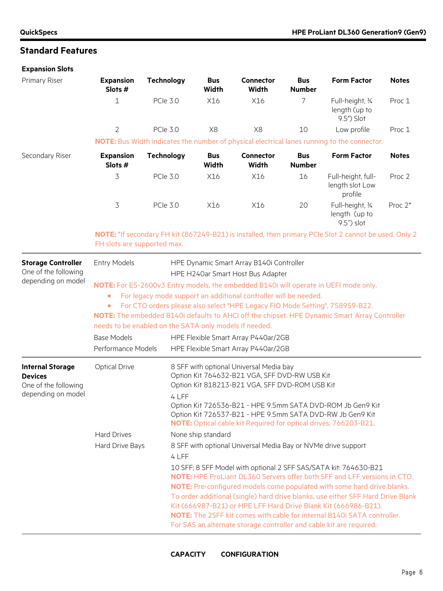### **Expansion Slots**

| Primary Riser                                                                                      | <b>Expansion</b><br>Slots #                                                                       | <b>Technology</b>                                                                                                                                                                                                                                                                                                                                                                                                                                                                                                                                                                                             | <b>Bus</b><br>Width | <b>Connector</b><br>Width                                                                                                                                        | <b>Bus</b><br><b>Number</b> | <b>Form Factor</b>                                                                                                                                                                                                                                                                                                                                                                                                                                                                                                                                                                                                                                                                                                                          | <b>Notes</b>      |
|----------------------------------------------------------------------------------------------------|---------------------------------------------------------------------------------------------------|---------------------------------------------------------------------------------------------------------------------------------------------------------------------------------------------------------------------------------------------------------------------------------------------------------------------------------------------------------------------------------------------------------------------------------------------------------------------------------------------------------------------------------------------------------------------------------------------------------------|---------------------|------------------------------------------------------------------------------------------------------------------------------------------------------------------|-----------------------------|---------------------------------------------------------------------------------------------------------------------------------------------------------------------------------------------------------------------------------------------------------------------------------------------------------------------------------------------------------------------------------------------------------------------------------------------------------------------------------------------------------------------------------------------------------------------------------------------------------------------------------------------------------------------------------------------------------------------------------------------|-------------------|
|                                                                                                    | 1                                                                                                 | <b>PCIe 3.0</b>                                                                                                                                                                                                                                                                                                                                                                                                                                                                                                                                                                                               | X16                 | X16                                                                                                                                                              | 7                           | Full-height, 34<br>length (up to<br>9.5") Slot                                                                                                                                                                                                                                                                                                                                                                                                                                                                                                                                                                                                                                                                                              | Proc 1            |
|                                                                                                    | $\overline{2}$                                                                                    | <b>PCle 3.0</b>                                                                                                                                                                                                                                                                                                                                                                                                                                                                                                                                                                                               | X <sub>8</sub>      | X8                                                                                                                                                               | 10                          | Low profile                                                                                                                                                                                                                                                                                                                                                                                                                                                                                                                                                                                                                                                                                                                                 | Proc 1            |
|                                                                                                    |                                                                                                   |                                                                                                                                                                                                                                                                                                                                                                                                                                                                                                                                                                                                               |                     |                                                                                                                                                                  |                             | NOTE: Bus Width indicates the number of physical electrical lanes running to the connector.                                                                                                                                                                                                                                                                                                                                                                                                                                                                                                                                                                                                                                                 |                   |
| Secondary Riser                                                                                    | <b>Expansion</b><br>Slots #                                                                       | <b>Technology</b>                                                                                                                                                                                                                                                                                                                                                                                                                                                                                                                                                                                             | <b>Bus</b><br>Width | <b>Connector</b><br><b>Width</b>                                                                                                                                 | <b>Bus</b><br><b>Number</b> | <b>Form Factor</b>                                                                                                                                                                                                                                                                                                                                                                                                                                                                                                                                                                                                                                                                                                                          | <b>Notes</b>      |
|                                                                                                    | 3                                                                                                 | <b>PCle 3.0</b>                                                                                                                                                                                                                                                                                                                                                                                                                                                                                                                                                                                               | X16                 | X16                                                                                                                                                              | 16                          | Full-height, full-<br>length slot Low<br>profile                                                                                                                                                                                                                                                                                                                                                                                                                                                                                                                                                                                                                                                                                            | Proc <sub>2</sub> |
|                                                                                                    | 3                                                                                                 | <b>PCIe 3.0</b>                                                                                                                                                                                                                                                                                                                                                                                                                                                                                                                                                                                               | X16                 | X16                                                                                                                                                              | 20                          | Full-height, 34<br>length (up to<br>9.5") slot                                                                                                                                                                                                                                                                                                                                                                                                                                                                                                                                                                                                                                                                                              | Proc $2^*$        |
|                                                                                                    | FH slots are supported max.                                                                       |                                                                                                                                                                                                                                                                                                                                                                                                                                                                                                                                                                                                               |                     |                                                                                                                                                                  |                             | NOTE: *If secondary FH kit (867249-B21) is installed, then primary PCIe Slot 2 cannot be used. Only 2                                                                                                                                                                                                                                                                                                                                                                                                                                                                                                                                                                                                                                       |                   |
| <b>Storage Controller</b><br>One of the following<br>depending on model<br><b>Internal Storage</b> | <b>Entry Models</b><br>٠<br>۰<br><b>Base Models</b><br>Performance Models<br><b>Optical Drive</b> | HPE Dynamic Smart Array B140i Controller<br>HPE H240ar Smart Host Bus Adapter<br>NOTE: For E5-2600v3 Entry models, the embedded B140i will operate in UEFI mode only.<br>For legacy mode support an additional controller will be needed.<br>For CTO orders please also select "HPE Legacy FIO Mode Setting", 758959-B22.<br>NOTE: The embedded B140i defaults to AHCI off the chipset. HPE Dynamic Smart Array Controller<br>needs to be enabled on the SATA only models if needed.<br>HPE Flexible Smart Array P440ar/2GB<br>HPE Flexible Smart Array P440ar/2GB<br>8 SFF with optional Universal Media bay |                     |                                                                                                                                                                  |                             |                                                                                                                                                                                                                                                                                                                                                                                                                                                                                                                                                                                                                                                                                                                                             |                   |
| <b>Devices</b><br>One of the following<br>depending on model                                       | <b>Hard Drives</b><br>Hard Drive Bays                                                             | 4 LFF<br>4 LFF                                                                                                                                                                                                                                                                                                                                                                                                                                                                                                                                                                                                | None ship standard  | Option Kit 764632-B21 VGA, SFF DVD-RW USB Kit<br>Option Kit 818213-B21 VGA, SFF DVD-ROM USB Kit<br>8 SFF with optional Universal Media Bay or NVMe drive support |                             | Option Kit 726536-B21 - HPE 9.5mm SATA DVD-ROM Jb Gen9 Kit<br>Option Kit 726537-B21 - HPE 9.5mm SATA DVD-RW Jb Gen9 Kit<br><b>NOTE:</b> Optical cable kit Required for optical drives, 766203-B21.<br>10 SFF; 8 SFF Model with optional 2 SFF SAS/SATA kit: 764630-B21<br>NOTE: HPE ProLiant DL360 Servers offer both SFF and LFF versions in CTO.<br>NOTE: Pre-configured models come populated with some hard drive blanks.<br>To order additional (single) hard drive blanks, use either SFF Hard Drive Blank<br>Kit (666987-B21) or HPE LFF Hard Drive Blank Kit (666986-B21).<br><b>NOTE:</b> The 2SFF kit comes with cable for internal B140i SATA controller.<br>For SAS an alternate storage controller and cable kit are required. |                   |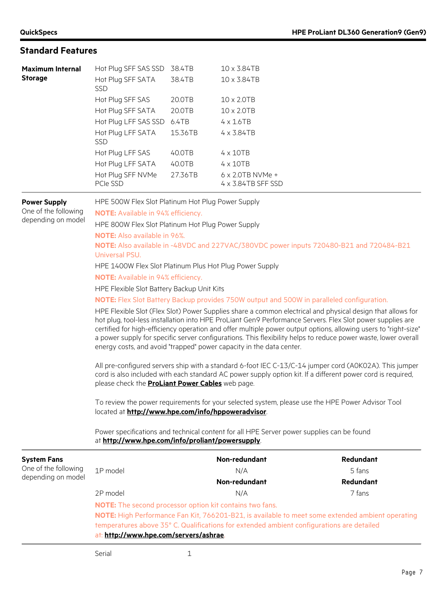| <b>Maximum Internal</b> | Hot Plug SFF SAS SSD            | 38.4TB  | 10 x 3.84TB                                            |
|-------------------------|---------------------------------|---------|--------------------------------------------------------|
| <b>Storage</b>          | Hot Plug SFF SATA<br><b>SSD</b> | 38.4TB  | 10 x 3.84TB                                            |
|                         | Hot Plug SFF SAS                | 20.0TB  | $10 \times 2.0$ TB                                     |
|                         | Hot Plug SFF SATA               | 20.0TB  | $10 \times 2.0$ TB                                     |
|                         | Hot Plug LFF SAS SSD            | 6.4TB   | $4 \times 1.6$ TB                                      |
|                         | Hot Plug LFF SATA<br><b>SSD</b> | 15.36TB | $4 \times 3.84$ TB                                     |
|                         | Hot Plug LFF SAS                | 40.0TB  | $4 \times 10$ TB                                       |
|                         | Hot Plug LFF SATA               | 40.0TB  | $4 \times 10$ TB                                       |
|                         | Hot Plug SFF NVMe<br>PCIe SSD   | 27.36TB | $6 \times 2.0$ TB NVMe +<br>$4 \times 3.84$ TB SFF SSD |
|                         |                                 |         |                                                        |

### **Power Supply**

One of the following depending on model HPE 500W Flex Slot Platinum Hot Plug Power Supply

**NOTE:** Available in 94% efficiency.

HPE 800W Flex Slot Platinum Hot Plug Power Supply

**NOTE:** Also available in 96%.

**NOTE:** Also available in -48VDC and 227VAC/380VDC power inputs 720480-B21 and 720484-B21 Universal PSU.

HPE 1400W Flex Slot Platinum Plus Hot Plug Power Supply

**NOTE:** Available in 94% efficiency.

HPE Flexible Slot Battery Backup Unit Kits

**NOTE:** Flex Slot Battery Backup provides 750W output and 500W in paralleled configuration.

HPE Flexible Slot (Flex Slot) Power Supplies share a common electrical and physical design that allows for hot plug, tool-less installation into HPE ProLiant Gen9 Performance Servers. Flex Slot power supplies are certified for high-efficiency operation and offer multiple power output options, allowing users to "right-size" a power supply for specific server configurations. This flexibility helps to reduce power waste, lower overall energy costs, and avoid "trapped" power capacity in the data center.

All pre-configured servers ship with a standard 6-foot IEC C-13/C-14 jumper cord (A0K02A). This jumper cord is also included with each standard AC power supply option kit. If a different power cord is required, please check the **[ProLiant Power Cables](https://www.hpe.com/us/en/pdfViewer.html?resource=/content/hpe/country/us/en/resources/integrated-systems/reference-guide/power-cords-and-cables)** web page.

To review the power requirements for your selected system, please use the HPE Power Advisor Tool located at **<http://www.hpe.com/info/hppoweradvisor>**.

Power specifications and technical content for all HPE Server power supplies can be found at **<http://www.hpe.com/info/proliant/powersupply>**.

| <b>System Fans</b>   |                                                                                                                                                                                                                                                                                                            | Non-redundant | <b>Redundant</b> |  |  |
|----------------------|------------------------------------------------------------------------------------------------------------------------------------------------------------------------------------------------------------------------------------------------------------------------------------------------------------|---------------|------------------|--|--|
| One of the following | 1P model                                                                                                                                                                                                                                                                                                   | N/A           | 5 fans           |  |  |
| depending on model   |                                                                                                                                                                                                                                                                                                            | Non-redundant | <b>Redundant</b> |  |  |
|                      | 2P model                                                                                                                                                                                                                                                                                                   | N/A           | 7 fans           |  |  |
|                      | <b>NOTE:</b> The second processor option kit contains two fans.<br>NOTE: High Performance Fan Kit, 766201-B21, is available to meet some extended ambient operating<br>temperatures above 35° C. Qualifications for extended ambient configurations are detailed<br>at: http://www.hpe.com/servers/ashrae. |               |                  |  |  |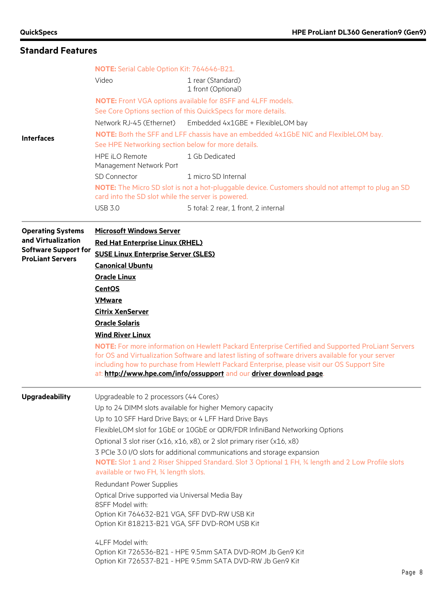|                                                        | NOTE: Serial Cable Option Kit: 764646-B21.                                                                                                                                                                              |                                                                                                                                                                                                                                                                                                                                                                                |  |  |  |  |  |
|--------------------------------------------------------|-------------------------------------------------------------------------------------------------------------------------------------------------------------------------------------------------------------------------|--------------------------------------------------------------------------------------------------------------------------------------------------------------------------------------------------------------------------------------------------------------------------------------------------------------------------------------------------------------------------------|--|--|--|--|--|
|                                                        | Video                                                                                                                                                                                                                   | 1 rear (Standard)<br>1 front (Optional)                                                                                                                                                                                                                                                                                                                                        |  |  |  |  |  |
|                                                        |                                                                                                                                                                                                                         | <b>NOTE:</b> Front VGA options available for 8SFF and 4LFF models.                                                                                                                                                                                                                                                                                                             |  |  |  |  |  |
|                                                        |                                                                                                                                                                                                                         | See Core Options section of this QuickSpecs for more details.                                                                                                                                                                                                                                                                                                                  |  |  |  |  |  |
|                                                        | Network RJ-45 (Ethernet)                                                                                                                                                                                                | Embedded 4x1GBE + FlexibleLOM bay                                                                                                                                                                                                                                                                                                                                              |  |  |  |  |  |
| <b>Interfaces</b>                                      | See HPE Networking section below for more details.                                                                                                                                                                      | NOTE: Both the SFF and LFF chassis have an embedded 4x1GbE NIC and FlexibleLOM bay.                                                                                                                                                                                                                                                                                            |  |  |  |  |  |
|                                                        | HPE iLO Remote<br>Management Network Port                                                                                                                                                                               | 1 Gb Dedicated                                                                                                                                                                                                                                                                                                                                                                 |  |  |  |  |  |
|                                                        | SD Connector                                                                                                                                                                                                            | 1 micro SD Internal                                                                                                                                                                                                                                                                                                                                                            |  |  |  |  |  |
|                                                        | card into the SD slot while the server is powered.                                                                                                                                                                      | NOTE: The Micro SD slot is not a hot-pluggable device. Customers should not attempt to plug an SD                                                                                                                                                                                                                                                                              |  |  |  |  |  |
|                                                        | <b>USB 3.0</b>                                                                                                                                                                                                          | 5 total: 2 rear, 1 front, 2 internal                                                                                                                                                                                                                                                                                                                                           |  |  |  |  |  |
| <b>Operating Systems</b>                               | <b>Microsoft Windows Server</b>                                                                                                                                                                                         |                                                                                                                                                                                                                                                                                                                                                                                |  |  |  |  |  |
| and Virtualization                                     | <b>Red Hat Enterprise Linux (RHEL)</b>                                                                                                                                                                                  |                                                                                                                                                                                                                                                                                                                                                                                |  |  |  |  |  |
| <b>Software Support for</b><br><b>ProLiant Servers</b> | <b>SUSE Linux Enterprise Server (SLES)</b>                                                                                                                                                                              |                                                                                                                                                                                                                                                                                                                                                                                |  |  |  |  |  |
|                                                        | <b>Canonical Ubuntu</b>                                                                                                                                                                                                 |                                                                                                                                                                                                                                                                                                                                                                                |  |  |  |  |  |
|                                                        |                                                                                                                                                                                                                         | <b>Oracle Linux</b>                                                                                                                                                                                                                                                                                                                                                            |  |  |  |  |  |
|                                                        | <b>CentOS</b>                                                                                                                                                                                                           |                                                                                                                                                                                                                                                                                                                                                                                |  |  |  |  |  |
|                                                        | <b>VMware</b>                                                                                                                                                                                                           |                                                                                                                                                                                                                                                                                                                                                                                |  |  |  |  |  |
|                                                        | <b>Citrix XenServer</b>                                                                                                                                                                                                 |                                                                                                                                                                                                                                                                                                                                                                                |  |  |  |  |  |
|                                                        | <b>Oracle Solaris</b>                                                                                                                                                                                                   |                                                                                                                                                                                                                                                                                                                                                                                |  |  |  |  |  |
|                                                        | <b>Wind River Linux</b>                                                                                                                                                                                                 | NOTE: For more information on Hewlett Packard Enterprise Certified and Supported ProLiant Servers<br>for OS and Virtualization Software and latest listing of software drivers available for your server<br>including how to purchase from Hewlett Packard Enterprise, please visit our OS Support Site<br>at: http://www.hpe.com/info/ossupport and our driver download page. |  |  |  |  |  |
| <b>Upgradeability</b>                                  | Upgradeable to 2 processors (44 Cores)                                                                                                                                                                                  |                                                                                                                                                                                                                                                                                                                                                                                |  |  |  |  |  |
|                                                        |                                                                                                                                                                                                                         | Up to 24 DIMM slots available for higher Memory capacity                                                                                                                                                                                                                                                                                                                       |  |  |  |  |  |
|                                                        |                                                                                                                                                                                                                         | Up to 10 SFF Hard Drive Bays; or 4 LFF Hard Drive Bays                                                                                                                                                                                                                                                                                                                         |  |  |  |  |  |
|                                                        |                                                                                                                                                                                                                         | FlexibleLOM slot for 1GbE or 10GbE or QDR/FDR InfiniBand Networking Options                                                                                                                                                                                                                                                                                                    |  |  |  |  |  |
|                                                        | Optional 3 slot riser (x16, x16, x8), or 2 slot primary riser (x16, x8)                                                                                                                                                 |                                                                                                                                                                                                                                                                                                                                                                                |  |  |  |  |  |
|                                                        | 3 PCIe 3.0 I/O slots for additional communications and storage expansion<br>NOTE: Slot 1 and 2 Riser Shipped Standard. Slot 3 Optional 1 FH, 34 length and 2 Low Profile slots<br>available or two FH, 34 length slots. |                                                                                                                                                                                                                                                                                                                                                                                |  |  |  |  |  |
|                                                        | Redundant Power Supplies                                                                                                                                                                                                |                                                                                                                                                                                                                                                                                                                                                                                |  |  |  |  |  |
|                                                        | Optical Drive supported via Universal Media Bay                                                                                                                                                                         |                                                                                                                                                                                                                                                                                                                                                                                |  |  |  |  |  |
|                                                        | Option Kit 818213-B21 VGA, SFF DVD-ROM USB Kit                                                                                                                                                                          | 8SFF Model with:<br>Option Kit 764632-B21 VGA, SFF DVD-RW USB Kit                                                                                                                                                                                                                                                                                                              |  |  |  |  |  |
|                                                        |                                                                                                                                                                                                                         |                                                                                                                                                                                                                                                                                                                                                                                |  |  |  |  |  |
|                                                        | 4LFF Model with:                                                                                                                                                                                                        |                                                                                                                                                                                                                                                                                                                                                                                |  |  |  |  |  |
|                                                        |                                                                                                                                                                                                                         | Option Kit 726536-B21 - HPE 9.5mm SATA DVD-ROM Jb Gen9 Kit<br>Option Kit 726537-B21 - HPE 9.5mm SATA DVD-RW Jb Gen9 Kit                                                                                                                                                                                                                                                        |  |  |  |  |  |
|                                                        |                                                                                                                                                                                                                         | Page 8                                                                                                                                                                                                                                                                                                                                                                         |  |  |  |  |  |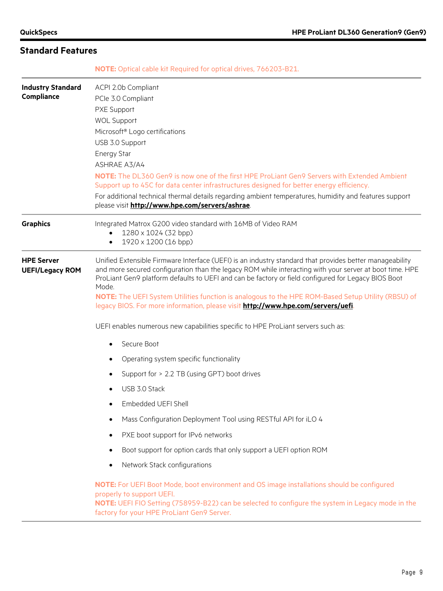**NOTE:** Optical cable kit Required for optical drives, 766203-B21.

| <b>Industry Standard</b><br>Compliance      | ACPI 2.0b Compliant<br>PCle 3.0 Compliant<br>PXE Support<br><b>WOL Support</b><br>Microsoft <sup>®</sup> Logo certifications<br>USB 3.0 Support<br><b>Energy Star</b><br>ASHRAE A3/A4<br><b>NOTE:</b> The DL360 Gen9 is now one of the first HPE ProLiant Gen9 Servers with Extended Ambient<br>Support up to 45C for data center infrastructures designed for better energy efficiency.<br>For additional technical thermal details regarding ambient temperatures, humidity and features support<br>please visit http://www.hpe.com/servers/ashrae.                                                            |  |  |  |
|---------------------------------------------|------------------------------------------------------------------------------------------------------------------------------------------------------------------------------------------------------------------------------------------------------------------------------------------------------------------------------------------------------------------------------------------------------------------------------------------------------------------------------------------------------------------------------------------------------------------------------------------------------------------|--|--|--|
| <b>Graphics</b>                             | Integrated Matrox G200 video standard with 16MB of Video RAM<br>1280 x 1024 (32 bpp)<br>1920 x 1200 (16 bpp)<br>$\bullet$                                                                                                                                                                                                                                                                                                                                                                                                                                                                                        |  |  |  |
| <b>HPE Server</b><br><b>UEFI/Legacy ROM</b> | Unified Extensible Firmware Interface (UEFI) is an industry standard that provides better manageability<br>and more secured configuration than the legacy ROM while interacting with your server at boot time. HPE<br>ProLiant Gen9 platform defaults to UEFI and can be factory or field configured for Legacy BIOS Boot<br>Mode.<br>NOTE: The UEFI System Utilities function is analogous to the HPE ROM-Based Setup Utility (RBSU) of<br>legacy BIOS. For more information, please visit http://www.hpe.com/servers/uefi.<br>UEFI enables numerous new capabilities specific to HPE ProLiant servers such as: |  |  |  |
|                                             | Secure Boot<br>$\bullet$                                                                                                                                                                                                                                                                                                                                                                                                                                                                                                                                                                                         |  |  |  |
|                                             | Operating system specific functionality                                                                                                                                                                                                                                                                                                                                                                                                                                                                                                                                                                          |  |  |  |
|                                             | Support for > 2.2 TB (using GPT) boot drives                                                                                                                                                                                                                                                                                                                                                                                                                                                                                                                                                                     |  |  |  |
|                                             | USB 3.0 Stack                                                                                                                                                                                                                                                                                                                                                                                                                                                                                                                                                                                                    |  |  |  |
|                                             | Embedded UEFI Shell                                                                                                                                                                                                                                                                                                                                                                                                                                                                                                                                                                                              |  |  |  |
|                                             | Mass Configuration Deployment Tool using RESTful API for iLO 4                                                                                                                                                                                                                                                                                                                                                                                                                                                                                                                                                   |  |  |  |
|                                             | PXE boot support for IPv6 networks                                                                                                                                                                                                                                                                                                                                                                                                                                                                                                                                                                               |  |  |  |
|                                             | Boot support for option cards that only support a UEFI option ROM<br>$\bullet$                                                                                                                                                                                                                                                                                                                                                                                                                                                                                                                                   |  |  |  |
|                                             | Network Stack configurations                                                                                                                                                                                                                                                                                                                                                                                                                                                                                                                                                                                     |  |  |  |
|                                             | NOTE: For UEFI Boot Mode, boot environment and OS image installations should be configured<br>properly to support UEFI.<br>NOTE: UEFI FIO Setting (758959-B22) can be selected to configure the system in Legacy mode in the<br>factory for your HPE ProLiant Gen9 Server.                                                                                                                                                                                                                                                                                                                                       |  |  |  |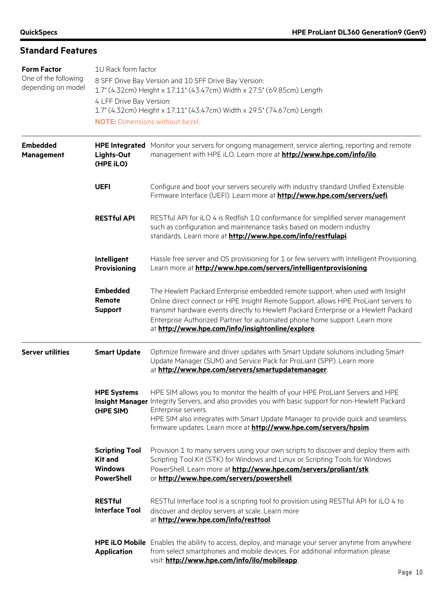| <b>Form Factor</b><br>One of the following<br>depending on model | 1U Rack form factor<br>8 SFF Drive Bay Version and 10 SFF Drive Bay Version:<br>1.7" (4.32cm) Height x 17.11" (43.47cm) Width x 27.5" (69.85cm) Length<br>4 LFF Drive Bay Version:<br>1.7" (4.32cm) Height x 17.11" (43.47cm) Width x 29.5" (74.67cm) Length<br><b>NOTE:</b> Dimensions without bezel. |                                                                                                                                                                                                                                                                                                                                                                                                  |  |  |  |
|------------------------------------------------------------------|--------------------------------------------------------------------------------------------------------------------------------------------------------------------------------------------------------------------------------------------------------------------------------------------------------|--------------------------------------------------------------------------------------------------------------------------------------------------------------------------------------------------------------------------------------------------------------------------------------------------------------------------------------------------------------------------------------------------|--|--|--|
| <b>Embedded</b><br>Management                                    | Lights-Out<br>(HPE iLO)                                                                                                                                                                                                                                                                                | HPE Integrated Monitor your servers for ongoing management, service alerting, reporting and remote<br>management with HPE iLO. Learn more at http://www.hpe.com/info/ilo.                                                                                                                                                                                                                        |  |  |  |
|                                                                  | <b>UEFI</b>                                                                                                                                                                                                                                                                                            | Configure and boot your servers securely with industry standard Unified Extensible<br>Firmware Interface (UEFI). Learn more at http://www.hpe.com/servers/uefi                                                                                                                                                                                                                                   |  |  |  |
|                                                                  | <b>RESTful API</b>                                                                                                                                                                                                                                                                                     | RESTful API for iLO 4 is Redfish 1.0 conformance for simplified server management<br>such as configuration and maintenance tasks based on modern industry<br>standards. Learn more at http://www.hpe.com/info/restfulapi.                                                                                                                                                                        |  |  |  |
|                                                                  | Intelligent<br><b>Provisioning</b>                                                                                                                                                                                                                                                                     | Hassle free server and OS provisioning for 1 or few servers with Intelligent Provisioning.<br>Learn more at http://www.hpe.com/servers/intelligentprovisioning.                                                                                                                                                                                                                                  |  |  |  |
|                                                                  | <b>Embedded</b><br>Remote<br><b>Support</b>                                                                                                                                                                                                                                                            | The Hewlett Packard Enterprise embedded remote support, when used with Insight<br>Online direct connect or HPE Insight Remote Support, allows HPE ProLiant servers to<br>transmit hardware events directly to Hewlett Packard Enterprise or a Hewlett Packard<br>Enterprise Authorized Partner for automated phone home support. Learn more<br>at http://www.hpe.com/info/insightonline/explore. |  |  |  |
| <b>Server utilities</b>                                          | <b>Smart Update</b>                                                                                                                                                                                                                                                                                    | Optimize firmware and driver updates with Smart Update solutions including Smart<br>Update Manager (SUM) and Service Pack for ProLiant (SPP). Learn more<br>at http://www.hpe.com/servers/smartupdatemanager.                                                                                                                                                                                    |  |  |  |
|                                                                  | <b>HPE Systems</b><br>(HPE SIM)                                                                                                                                                                                                                                                                        | HPE SIM allows you to monitor the health of your HPE ProLiant Servers and HPE<br>Insight Manager Integrity Servers, and also provides you with basic support for non-Hewlett Packard<br>Enterprise servers.<br>HPE SIM also integrates with Smart Update Manager to provide quick and seamless<br>firmware updates. Learn more at <b>http://www.hpe.com/servers/hpsim</b> .                      |  |  |  |
|                                                                  | <b>Scripting Tool</b><br><b>Kit and</b><br><b>Windows</b><br><b>PowerShell</b>                                                                                                                                                                                                                         | Provision 1 to many servers using your own scripts to discover and deploy them with<br>Scripting Tool Kit (STK) for Windows and Linux or Scripting Tools for Windows<br>PowerShell. Learn more at http://www.hpe.com/servers/proliant/stk<br>or http://www.hpe.com/servers/powershell                                                                                                            |  |  |  |
|                                                                  | <b>RESTful</b><br><b>Interface Tool</b>                                                                                                                                                                                                                                                                | RESTful Interface tool is a scripting tool to provision using RESTful API for iLO 4 to<br>discover and deploy servers at scale. Learn more<br>at http://www.hpe.com/info/resttool.                                                                                                                                                                                                               |  |  |  |
|                                                                  | <b>Application</b>                                                                                                                                                                                                                                                                                     | HPE iLO Mobile Enables the ability to access, deploy, and manage your server anytime from anywhere<br>from select smartphones and mobile devices. For additional information please<br>visit: http://www.hpe.com/info/ilo/mobileapp.                                                                                                                                                             |  |  |  |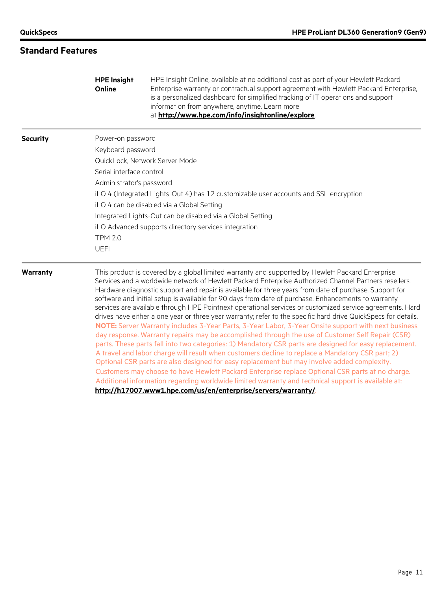|                 | <b>HPE Insight</b><br>Online                               | HPE Insight Online, available at no additional cost as part of your Hewlett Packard<br>Enterprise warranty or contractual support agreement with Hewlett Packard Enterprise,<br>is a personalized dashboard for simplified tracking of IT operations and support<br>information from anywhere, anytime. Learn more<br>at http://www.hpe.com/info/insightonline/explore.                                                                                                                                                                                                                                                                                                                                                                                                                                                                                                                                                                                                                                                                                                                                                                                                                                                                                                                                                                                                                                                                                     |  |  |  |  |  |
|-----------------|------------------------------------------------------------|-------------------------------------------------------------------------------------------------------------------------------------------------------------------------------------------------------------------------------------------------------------------------------------------------------------------------------------------------------------------------------------------------------------------------------------------------------------------------------------------------------------------------------------------------------------------------------------------------------------------------------------------------------------------------------------------------------------------------------------------------------------------------------------------------------------------------------------------------------------------------------------------------------------------------------------------------------------------------------------------------------------------------------------------------------------------------------------------------------------------------------------------------------------------------------------------------------------------------------------------------------------------------------------------------------------------------------------------------------------------------------------------------------------------------------------------------------------|--|--|--|--|--|
| <b>Security</b> | Power-on password                                          |                                                                                                                                                                                                                                                                                                                                                                                                                                                                                                                                                                                                                                                                                                                                                                                                                                                                                                                                                                                                                                                                                                                                                                                                                                                                                                                                                                                                                                                             |  |  |  |  |  |
|                 | Keyboard password                                          |                                                                                                                                                                                                                                                                                                                                                                                                                                                                                                                                                                                                                                                                                                                                                                                                                                                                                                                                                                                                                                                                                                                                                                                                                                                                                                                                                                                                                                                             |  |  |  |  |  |
|                 |                                                            | QuickLock, Network Server Mode                                                                                                                                                                                                                                                                                                                                                                                                                                                                                                                                                                                                                                                                                                                                                                                                                                                                                                                                                                                                                                                                                                                                                                                                                                                                                                                                                                                                                              |  |  |  |  |  |
|                 | Serial interface control                                   |                                                                                                                                                                                                                                                                                                                                                                                                                                                                                                                                                                                                                                                                                                                                                                                                                                                                                                                                                                                                                                                                                                                                                                                                                                                                                                                                                                                                                                                             |  |  |  |  |  |
|                 | Administrator's password                                   |                                                                                                                                                                                                                                                                                                                                                                                                                                                                                                                                                                                                                                                                                                                                                                                                                                                                                                                                                                                                                                                                                                                                                                                                                                                                                                                                                                                                                                                             |  |  |  |  |  |
|                 |                                                            | iLO 4 (Integrated Lights-Out 4) has 12 customizable user accounts and SSL encryption                                                                                                                                                                                                                                                                                                                                                                                                                                                                                                                                                                                                                                                                                                                                                                                                                                                                                                                                                                                                                                                                                                                                                                                                                                                                                                                                                                        |  |  |  |  |  |
|                 | iLO 4 can be disabled via a Global Setting                 |                                                                                                                                                                                                                                                                                                                                                                                                                                                                                                                                                                                                                                                                                                                                                                                                                                                                                                                                                                                                                                                                                                                                                                                                                                                                                                                                                                                                                                                             |  |  |  |  |  |
|                 | Integrated Lights-Out can be disabled via a Global Setting |                                                                                                                                                                                                                                                                                                                                                                                                                                                                                                                                                                                                                                                                                                                                                                                                                                                                                                                                                                                                                                                                                                                                                                                                                                                                                                                                                                                                                                                             |  |  |  |  |  |
|                 | iLO Advanced supports directory services integration       |                                                                                                                                                                                                                                                                                                                                                                                                                                                                                                                                                                                                                                                                                                                                                                                                                                                                                                                                                                                                                                                                                                                                                                                                                                                                                                                                                                                                                                                             |  |  |  |  |  |
|                 | <b>TPM 2.0</b>                                             |                                                                                                                                                                                                                                                                                                                                                                                                                                                                                                                                                                                                                                                                                                                                                                                                                                                                                                                                                                                                                                                                                                                                                                                                                                                                                                                                                                                                                                                             |  |  |  |  |  |
|                 | <b>UEFI</b>                                                |                                                                                                                                                                                                                                                                                                                                                                                                                                                                                                                                                                                                                                                                                                                                                                                                                                                                                                                                                                                                                                                                                                                                                                                                                                                                                                                                                                                                                                                             |  |  |  |  |  |
| Warranty        |                                                            | This product is covered by a global limited warranty and supported by Hewlett Packard Enterprise<br>Services and a worldwide network of Hewlett Packard Enterprise Authorized Channel Partners resellers.<br>Hardware diagnostic support and repair is available for three years from date of purchase. Support for<br>software and initial setup is available for 90 days from date of purchase. Enhancements to warranty<br>services are available through HPE Pointnext operational services or customized service agreements. Hard<br>drives have either a one year or three year warranty; refer to the specific hard drive QuickSpecs for details.<br>NOTE: Server Warranty includes 3-Year Parts, 3-Year Labor, 3-Year Onsite support with next business<br>day response. Warranty repairs may be accomplished through the use of Customer Self Repair (CSR)<br>parts. These parts fall into two categories: 1) Mandatory CSR parts are designed for easy replacement.<br>A travel and labor charge will result when customers decline to replace a Mandatory CSR part; 2)<br>Optional CSR parts are also designed for easy replacement but may involve added complexity.<br>Customers may choose to have Hewlett Packard Enterprise replace Optional CSR parts at no charge.<br>Additional information regarding worldwide limited warranty and technical support is available at:<br>http://h17007.www1.hpe.com/us/en/enterprise/servers/warranty/ |  |  |  |  |  |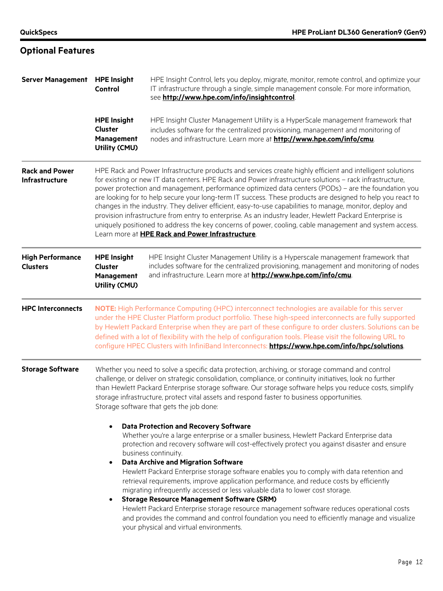# **Optional Features**

| Server Management HPE Insight              | Control                                                                                                                                                                                                                                                                                                                                                                                                                                                                                                                                                                                                                                                                                                                                                                                                                        | HPE Insight Control, lets you deploy, migrate, monitor, remote control, and optimize your<br>IT infrastructure through a single, simple management console. For more information,<br>see http://www.hpe.com/info/insightcontrol.                                                                                                                                                                                                                                                                                                                                                                                                                                                                                                                                                                                                                                                       |  |  |  |  |
|--------------------------------------------|--------------------------------------------------------------------------------------------------------------------------------------------------------------------------------------------------------------------------------------------------------------------------------------------------------------------------------------------------------------------------------------------------------------------------------------------------------------------------------------------------------------------------------------------------------------------------------------------------------------------------------------------------------------------------------------------------------------------------------------------------------------------------------------------------------------------------------|----------------------------------------------------------------------------------------------------------------------------------------------------------------------------------------------------------------------------------------------------------------------------------------------------------------------------------------------------------------------------------------------------------------------------------------------------------------------------------------------------------------------------------------------------------------------------------------------------------------------------------------------------------------------------------------------------------------------------------------------------------------------------------------------------------------------------------------------------------------------------------------|--|--|--|--|
|                                            | <b>HPE Insight</b><br><b>Cluster</b><br>Management<br>Utility (CMU)                                                                                                                                                                                                                                                                                                                                                                                                                                                                                                                                                                                                                                                                                                                                                            | HPE Insight Cluster Management Utility is a HyperScale management framework that<br>includes software for the centralized provisioning, management and monitoring of<br>nodes and infrastructure. Learn more at http://www.hpe.com/info/cmu.                                                                                                                                                                                                                                                                                                                                                                                                                                                                                                                                                                                                                                           |  |  |  |  |
| <b>Rack and Power</b><br>Infrastructure    | HPE Rack and Power Infrastructure products and services create highly efficient and intelligent solutions<br>for existing or new IT data centers. HPE Rack and Power infrastructure solutions - rack infrastructure,<br>power protection and management, performance optimized data centers (PODs) - are the foundation you<br>are looking for to help secure your long-term IT success. These products are designed to help you react to<br>changes in the industry. They deliver efficient, easy-to-use capabilities to manage, monitor, deploy and<br>provision infrastructure from entry to enterprise. As an industry leader, Hewlett Packard Enterprise is<br>uniquely positioned to address the key concerns of power, cooling, cable management and system access.<br>Learn more at HPE Rack and Power Infrastructure. |                                                                                                                                                                                                                                                                                                                                                                                                                                                                                                                                                                                                                                                                                                                                                                                                                                                                                        |  |  |  |  |
| <b>High Performance</b><br><b>Clusters</b> | <b>HPE Insight</b><br>Cluster<br>Management<br>Utility (CMU)                                                                                                                                                                                                                                                                                                                                                                                                                                                                                                                                                                                                                                                                                                                                                                   | HPE Insight Cluster Management Utility is a Hyperscale management framework that<br>includes software for the centralized provisioning, management and monitoring of nodes<br>and infrastructure. Learn more at http://www.hpe.com/info/cmu.                                                                                                                                                                                                                                                                                                                                                                                                                                                                                                                                                                                                                                           |  |  |  |  |
| <b>HPC Interconnects</b>                   |                                                                                                                                                                                                                                                                                                                                                                                                                                                                                                                                                                                                                                                                                                                                                                                                                                | NOTE: High Performance Computing (HPC) interconnect technologies are available for this server<br>under the HPE Cluster Platform product portfolio. These high-speed interconnects are fully supported<br>by Hewlett Packard Enterprise when they are part of these configure to order clusters. Solutions can be<br>defined with a lot of flexibility with the help of configuration tools. Please visit the following URL to<br>configure HPEC Clusters with InfiniBand Interconnects: https://www.hpe.com/info/hpc/solutions                                                                                                                                                                                                                                                                                                                                                        |  |  |  |  |
| <b>Storage Software</b>                    |                                                                                                                                                                                                                                                                                                                                                                                                                                                                                                                                                                                                                                                                                                                                                                                                                                | Whether you need to solve a specific data protection, archiving, or storage command and control<br>challenge, or deliver on strategic consolidation, compliance, or continuity initiatives, look no further<br>than Hewlett Packard Enterprise storage software. Our storage software helps you reduce costs, simplify<br>storage infrastructure, protect vital assets and respond faster to business opportunities.<br>Storage software that gets the job done:                                                                                                                                                                                                                                                                                                                                                                                                                       |  |  |  |  |
|                                            | $\bullet$<br>$\bullet$                                                                                                                                                                                                                                                                                                                                                                                                                                                                                                                                                                                                                                                                                                                                                                                                         | <b>Data Protection and Recovery Software</b><br>Whether you're a large enterprise or a smaller business, Hewlett Packard Enterprise data<br>protection and recovery software will cost-effectively protect you against disaster and ensure<br>business continuity.<br><b>Data Archive and Migration Software</b><br>Hewlett Packard Enterprise storage software enables you to comply with data retention and<br>retrieval requirements, improve application performance, and reduce costs by efficiently<br>migrating infrequently accessed or less valuable data to lower cost storage.<br><b>Storage Resource Management Software (SRM)</b><br>Hewlett Packard Enterprise storage resource management software reduces operational costs<br>and provides the command and control foundation you need to efficiently manage and visualize<br>your physical and virtual environments. |  |  |  |  |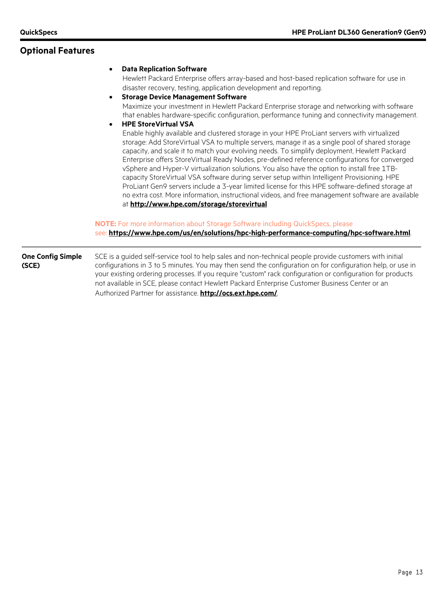### **Optional Features**

#### • **Data Replication Software**

Hewlett Packard Enterprise offers array-based and host-based replication software for use in disaster recovery, testing, application development and reporting.

• **Storage Device Management Software**

Maximize your investment in Hewlett Packard Enterprise storage and networking with software that enables hardware-specific configuration, performance tuning and connectivity management.

#### • **HPE StoreVirtual VSA**

Enable highly available and clustered storage in your HPE ProLiant servers with virtualized storage: Add StoreVirtual VSA to multiple servers, manage it as a single pool of shared storage capacity, and scale it to match your evolving needs. To simplify deployment, Hewlett Packard Enterprise offers StoreVirtual Ready Nodes, pre-defined reference configurations for converged vSphere and Hyper-V virtualization solutions. You also have the option to install free 1TBcapacity StoreVirtual VSA software during server setup within Intelligent Provisioning. HPE ProLiant Gen9 servers include a 3-year limited license for this HPE software-defined storage at no extra cost. More information, instructional videos, and free management software are available at **<http://www.hpe.com/storage/storevirtual>**

#### **NOTE:** For more information about Storage Software including QuickSpecs, please see: **<https://www.hpe.com/us/en/solutions/hpc-high-performance-computing/hpc-software.html>**.

**One Config Simple (SCE)** SCE is a guided self-service tool to help sales and non-technical people provide customers with initial configurations in 3 to 5 minutes. You may then send the configuration on for configuration help, or use in your existing ordering processes. If you require "custom" rack configuration or configuration for products not available in SCE, please contact Hewlett Packard Enterprise Customer Business Center or an Authorized Partner for assistance. **<http://ocs.ext.hpe.com/>**.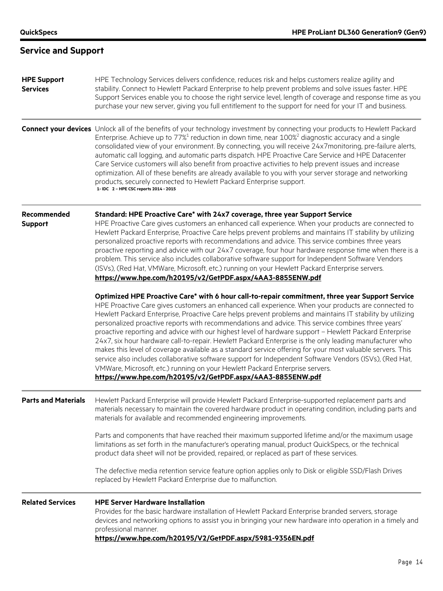| <b>Service and Support</b> |  |  |  |
|----------------------------|--|--|--|
|----------------------------|--|--|--|

#### **HPE Support Services** HPE Technology Services delivers confidence, reduces risk and helps customers realize agility and stability. Connect to Hewlett Packard Enterprise to help prevent problems and solve issues faster. HPE Support Services enable you to choose the right service level, length of coverage and response time as you purchase your new server, giving you full entitlement to the support for need for your IT and business.

**Connect your devices** Unlock all of the benefits of your technology investment by connecting your products to Hewlett Packard Enterprise. Achieve up to  $77\%$ <sup>1</sup> reduction in down time, near  $100\%$ <sup>2</sup> diagnostic accuracy and a single consolidated view of your environment. By connecting, you will receive 24x7monitoring, pre-failure alerts, automatic call logging, and automatic parts dispatch. HPE Proactive Care Service and HPE Datacenter Care Service customers will also benefit from proactive activities to help prevent issues and increase optimization. All of these benefits are already available to you with your server storage and networking products, securely connected to Hewlett Packard Enterprise support. **1- IDC 2 – HPE CSC reports 2014 - 2015**

#### **Recommended Standard: HPE Proactive Care\* with 24x7 coverage, three year Support Service**

**Support**

HPE Proactive Care gives customers an enhanced call experience. When your products are connected to Hewlett Packard Enterprise, Proactive Care helps prevent problems and maintains IT stability by utilizing personalized proactive reports with recommendations and advice. This service combines three years proactive reporting and advice with our 24x7 coverage, four hour hardware response time when there is a problem. This service also includes collaborative software support for Independent Software Vendors (ISVs), (Red Hat, VMWare, Microsoft, etc.) running on your Hewlett Packard Enterprise servers. **<https://www.hpe.com/h20195/v2/GetPDF.aspx/4AA3-8855ENW.pdf>**

**Optimized HPE Proactive Care\* with 6 hour call-to-repair commitment, three year Support Service** HPE Proactive Care gives customers an enhanced call experience. When your products are connected to Hewlett Packard Enterprise, Proactive Care helps prevent problems and maintains IT stability by utilizing personalized proactive reports with recommendations and advice. This service combines three years' proactive reporting and advice with our highest level of hardware support – Hewlett Packard Enterprise 24x7, six hour hardware call-to-repair. Hewlett Packard Enterprise is the only leading manufacturer who makes this level of coverage available as a standard service offering for your most valuable servers. This service also includes collaborative software support for Independent Software Vendors (ISVs), (Red Hat, VMWare, Microsoft, etc.) running on your Hewlett Packard Enterprise servers. **<https://www.hpe.com/h20195/v2/GetPDF.aspx/4AA3-8855ENW.pdf>**

**Parts and Materials** Hewlett Packard Enterprise will provide Hewlett Packard Enterprise-supported replacement parts and materials necessary to maintain the covered hardware product in operating condition, including parts and materials for available and recommended engineering improvements.

> Parts and components that have reached their maximum supported lifetime and/or the maximum usage limitations as set forth in the manufacturer's operating manual, product QuickSpecs, or the technical product data sheet will not be provided, repaired, or replaced as part of these services.

The defective media retention service feature option applies only to Disk or eligible SSD/Flash Drives replaced by Hewlett Packard Enterprise due to malfunction.

### **Related Services HPE Server Hardware Installation** Provides for the basic hardware installation of Hewlett Packard Enterprise branded servers, storage devices and networking options to assist you in bringing your new hardware into operation in a timely and professional manner.

**<https://www.hpe.com/h20195/V2/GetPDF.aspx/5981-9356EN.pdf>**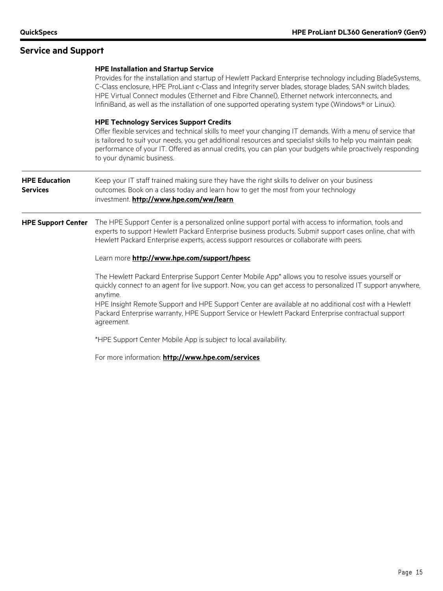|                                         | <b>HPE Installation and Startup Service</b><br>Provides for the installation and startup of Hewlett Packard Enterprise technology including BladeSystems,<br>C-Class enclosure, HPE ProLiant c-Class and Integrity server blades, storage blades, SAN switch blades,<br>HPE Virtual Connect modules (Ethernet and Fibre Channel), Ethernet network interconnects, and<br>InfiniBand, as well as the installation of one supported operating system type (Windows® or Linux). |
|-----------------------------------------|------------------------------------------------------------------------------------------------------------------------------------------------------------------------------------------------------------------------------------------------------------------------------------------------------------------------------------------------------------------------------------------------------------------------------------------------------------------------------|
|                                         | <b>HPE Technology Services Support Credits</b><br>Offer flexible services and technical skills to meet your changing IT demands. With a menu of service that<br>is tailored to suit your needs, you get additional resources and specialist skills to help you maintain peak<br>performance of your IT. Offered as annual credits, you can plan your budgets while proactively responding<br>to your dynamic business.                                                       |
| <b>HPE Education</b><br><b>Services</b> | Keep your IT staff trained making sure they have the right skills to deliver on your business<br>outcomes. Book on a class today and learn how to get the most from your technology<br>investment. http://www.hpe.com/ww/learn                                                                                                                                                                                                                                               |
| <b>HPE Support Center</b>               | The HPE Support Center is a personalized online support portal with access to information, tools and<br>experts to support Hewlett Packard Enterprise business products. Submit support cases online, chat with<br>Hewlett Packard Enterprise experts, access support resources or collaborate with peers.                                                                                                                                                                   |
|                                         | Learn more http://www.hpe.com/support/hpesc                                                                                                                                                                                                                                                                                                                                                                                                                                  |
|                                         | The Hewlett Packard Enterprise Support Center Mobile App* allows you to resolve issues yourself or<br>quickly connect to an agent for live support. Now, you can get access to personalized IT support anywhere,<br>anytime.                                                                                                                                                                                                                                                 |
|                                         | HPE Insight Remote Support and HPE Support Center are available at no additional cost with a Hewlett<br>Packard Enterprise warranty, HPE Support Service or Hewlett Packard Enterprise contractual support<br>agreement.                                                                                                                                                                                                                                                     |
|                                         | *HPE Support Center Mobile App is subject to local availability.                                                                                                                                                                                                                                                                                                                                                                                                             |
|                                         | For more information: http://www.hpe.com/services                                                                                                                                                                                                                                                                                                                                                                                                                            |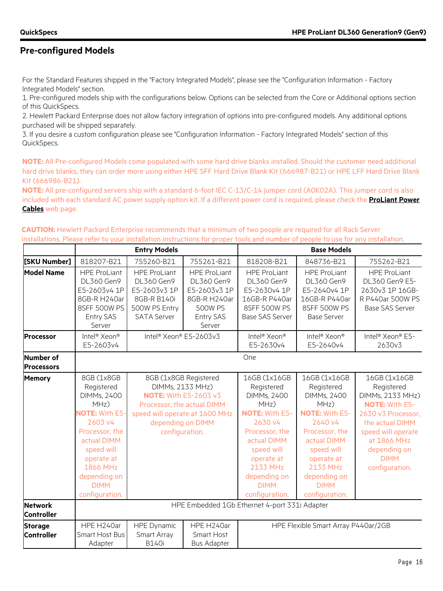### **Pre-configured Models**

For the Standard Features shipped in the "Factory Integrated Models", please see the "Configuration Information - Factory Integrated Models" section.

1. Pre-configured models ship with the configurations below. Options can be selected from the Core or Additional options section of this QuickSpecs.

2. Hewlett Packard Enterprise does not allow factory integration of options into pre-configured models. Any additional options purchased will be shipped separately.

3. If you desire a custom configuration please see "Configuration Information - Factory Integrated Models" section of this QuickSpecs.

**NOTE:** All Pre-configured Models come populated with some hard drive blanks installed. Should the customer need additional hard drive blanks, they can order more using either HPE SFF Hard Drive Blank Kit (666987-B21) or HPE LFF Hard Drive Blank Kit (666986-B21).

**NOTE:** All pre-configured servers ship with a standard 6-foot IEC C-13/C-14 jumper cord (A0K02A). This jumper cord is also included with each standard AC power supply option kit. If a different power cord is required, please check the **[ProLiant Power](http://h18004.www1.hp.com/products/servers/proliantstorage/power-protection/options/power-cable.html)  [Cables](http://h18004.www1.hp.com/products/servers/proliantstorage/power-protection/options/power-cable.html)** web page.

**CAUTION:** Hewlett Packard Enterprise recommends that a minimum of two people are required for all Rack Server installations. Please refer to your installation instructions for proper tools and number of people to use for any installation.

|                                     |                                                                                                                                                                                                                      | <b>Entry Models</b>                                                                                            |                                                                                                                                                                                  |                                                                                                                                                                                                                        | <b>Base Models</b>                                                                                                                                                                                                     |                                                                                                                                                                                                        |
|-------------------------------------|----------------------------------------------------------------------------------------------------------------------------------------------------------------------------------------------------------------------|----------------------------------------------------------------------------------------------------------------|----------------------------------------------------------------------------------------------------------------------------------------------------------------------------------|------------------------------------------------------------------------------------------------------------------------------------------------------------------------------------------------------------------------|------------------------------------------------------------------------------------------------------------------------------------------------------------------------------------------------------------------------|--------------------------------------------------------------------------------------------------------------------------------------------------------------------------------------------------------|
| [SKU Number]                        | 818207-B21                                                                                                                                                                                                           | 755260-B21                                                                                                     | 755261-B21                                                                                                                                                                       | 818208-B21                                                                                                                                                                                                             | 848736-B21                                                                                                                                                                                                             | 755262-B21                                                                                                                                                                                             |
| <b>Model Name</b>                   | <b>HPE ProLiant</b><br><b>DL360 Gen9</b><br>E5-2603v4 1P<br>8GB-R H240ar<br>8SFF 500W PS<br>Entry SAS<br>Server                                                                                                      | <b>HPE ProLiant</b><br><b>DL360 Gen9</b><br>E5-2603v3 1P<br>8GB-R B140i<br>500W PS Entry<br><b>SATA Server</b> | <b>HPE ProLiant</b><br><b>DL360 Gen9</b><br>E5-2603v3 1P<br>8GB-R H240ar<br><b>500W PS</b><br>Entry SAS<br>Server                                                                | <b>HPE ProLiant</b><br><b>DL360 Gen9</b><br>E5-2630v4 1P<br>16GB-R P440ar<br>8SFF 500W PS<br><b>Base SAS Server</b>                                                                                                    | <b>HPE ProLiant</b><br>DL360 Gen9<br>E5-2640v4 1P<br>16GB-R P440ar<br>8SFF 500W PS<br><b>Base Server</b>                                                                                                               | <b>HPE ProLiant</b><br>DL360 Gen9 E5-<br>2630v3 1P 16GB-<br>R P440ar 500W PS<br><b>Base SAS Server</b>                                                                                                 |
| Processor                           | Intel <sup>®</sup> Xeon <sup>®</sup><br>E5-2603v4                                                                                                                                                                    | Intel® Xeon® E5-2603v3                                                                                         |                                                                                                                                                                                  | Intel <sup>®</sup> Xeon <sup>®</sup><br>E5-2630v4                                                                                                                                                                      | Intel <sup>®</sup> Xeon <sup>®</sup><br>E5-2640v4                                                                                                                                                                      | Intel <sup>®</sup> Xeon® E5-<br>2630v3                                                                                                                                                                 |
| Number of<br><b>Processors</b>      |                                                                                                                                                                                                                      |                                                                                                                |                                                                                                                                                                                  | One                                                                                                                                                                                                                    |                                                                                                                                                                                                                        |                                                                                                                                                                                                        |
| <b>Memory</b>                       | 8GB (1x8GB<br>Registered<br><b>DIMMs, 2400</b><br>MHz)<br><b>NOTE: With E5-</b><br>2603 v4<br>Processor, the<br>actual DIMM<br>speed will<br>operate at<br>1866 MHz<br>depending on<br><b>DIMM</b><br>configuration. |                                                                                                                | 8GB (1x8GB Registered<br>DIMMs, 2133 MHz)<br><b>NOTE: With E5-2603 v3</b><br>Processor, the actual DIMM<br>speed will operate at 1600 MHz<br>depending on DIMM<br>configuration. | 16GB (1x16GB<br>Registered<br><b>DIMMs, 2400</b><br>MHz)<br><b>NOTE: With E5-</b><br>2630 v4<br>Processor, the<br>actual DIMM<br>speed will<br>operate at<br>2133 MHz<br>depending on<br><b>DIMM</b><br>configuration. | 16GB (1x16GB<br>Registered<br><b>DIMMs, 2400</b><br>MHz)<br><b>NOTE: With E5-</b><br>2640 v4<br>Processor, the<br>actual DIMM<br>speed will<br>operate at<br>2133 MHz<br>depending on<br><b>DIMM</b><br>configuration. | 16GB (1x16GB<br>Registered<br>DIMMs, 2133 MHz)<br><b>NOTE: With E5-</b><br>2630 v3 Processor.<br>the actual DIMM<br>speed will operate<br>at 1866 MHz<br>depending on<br><b>DIMM</b><br>configuration. |
| <b>Network</b><br><b>Controller</b> |                                                                                                                                                                                                                      |                                                                                                                |                                                                                                                                                                                  | HPE Embedded 1Gb Ethernet 4-port 331i Adapter                                                                                                                                                                          |                                                                                                                                                                                                                        |                                                                                                                                                                                                        |
| <b>Storage</b><br><b>Controller</b> | HPE H240ar<br>Smart Host Bus<br>Adapter                                                                                                                                                                              | <b>HPE Dynamic</b><br>Smart Array<br><b>B140i</b>                                                              | HPE H240ar<br>Smart Host<br><b>Bus Adapter</b>                                                                                                                                   |                                                                                                                                                                                                                        | HPE Flexible Smart Array P440ar/2GB                                                                                                                                                                                    |                                                                                                                                                                                                        |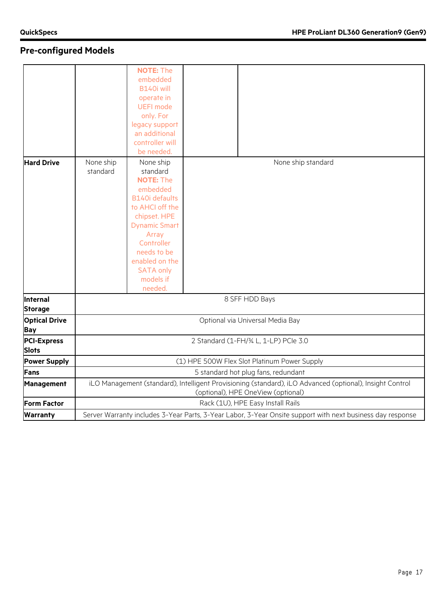# **Pre-configured Models**

| <b>Hard Drive</b>                  |                       | <b>NOTE: The</b><br>embedded<br>B140i will<br>operate in<br><b>UEFI mode</b><br>only. For<br>legacy support<br>an additional<br>controller will<br>be needed.                                                                                 |                                                                                                                                                |
|------------------------------------|-----------------------|-----------------------------------------------------------------------------------------------------------------------------------------------------------------------------------------------------------------------------------------------|------------------------------------------------------------------------------------------------------------------------------------------------|
|                                    | None ship<br>standard | None ship<br>standard<br><b>NOTE: The</b><br>embedded<br><b>B140i defaults</b><br>to AHCI off the<br>chipset. HPE<br><b>Dynamic Smart</b><br>Array<br>Controller<br>needs to be<br>enabled on the<br><b>SATA only</b><br>models if<br>needed. | None ship standard                                                                                                                             |
| Internal<br><b>Storage</b>         |                       |                                                                                                                                                                                                                                               | 8 SFF HDD Bays                                                                                                                                 |
| <b>Optical Drive</b><br>Bay        |                       |                                                                                                                                                                                                                                               | Optional via Universal Media Bay                                                                                                               |
| <b>PCI-Express</b><br><b>Slots</b> |                       |                                                                                                                                                                                                                                               | 2 Standard (1-FH/3/4 L, 1-LP) PCIe 3.0                                                                                                         |
| <b>Power Supply</b>                |                       |                                                                                                                                                                                                                                               | (1) HPE 500W Flex Slot Platinum Power Supply                                                                                                   |
| Fans                               |                       |                                                                                                                                                                                                                                               | 5 standard hot plug fans, redundant                                                                                                            |
| <b>Management</b>                  |                       |                                                                                                                                                                                                                                               | iLO Management (standard), Intelligent Provisioning (standard), iLO Advanced (optional), Insight Control<br>(optional), HPE OneView (optional) |
| <b>Form Factor</b>                 |                       |                                                                                                                                                                                                                                               | Rack (1U), HPE Easy Install Rails                                                                                                              |
| <b>Warranty</b>                    |                       |                                                                                                                                                                                                                                               | Server Warranty includes 3-Year Parts, 3-Year Labor, 3-Year Onsite support with next business day response                                     |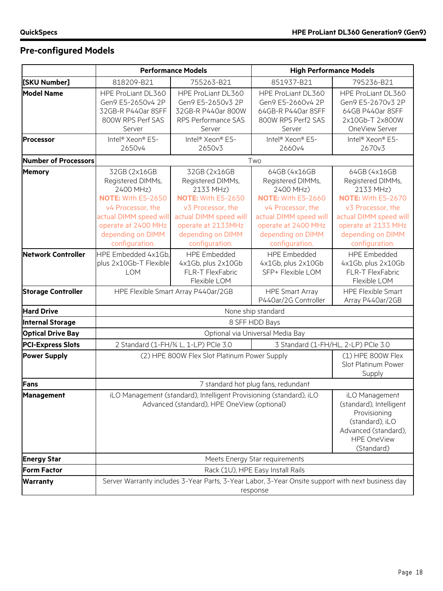# **Pre-configured Models**

|                             |                                                                                                                                                                                          | <b>Performance Models</b>                                                                                                                                                               |                                                                                                                                                                                          | <b>High Performance Models</b>                                                                                                                                                           |
|-----------------------------|------------------------------------------------------------------------------------------------------------------------------------------------------------------------------------------|-----------------------------------------------------------------------------------------------------------------------------------------------------------------------------------------|------------------------------------------------------------------------------------------------------------------------------------------------------------------------------------------|------------------------------------------------------------------------------------------------------------------------------------------------------------------------------------------|
| [SKU Number]                | 818209-B21                                                                                                                                                                               | 755263-B21                                                                                                                                                                              | 851937-B21                                                                                                                                                                               | 795236-B21                                                                                                                                                                               |
| <b>Model Name</b>           | HPE ProLiant DL360<br>Gen9 E5-2650v4 2P<br>32GB-R P440ar 8SFF<br>800W RPS Perf SAS<br>Server                                                                                             | HPE ProLiant DL360<br>Gen9 E5-2650v3 2P<br>32GB-R P440ar 800W<br>RPS Performance SAS<br>Server                                                                                          | HPE ProLiant DL360<br>Gen9 E5-2660v4 2P<br>64GB-R P440ar 8SFF<br>800W RPS Perf2 SAS<br>Server                                                                                            | HPE ProLiant DL360<br>Gen9 E5-2670v3 2P<br>64GB P440ar 8SFF<br>2x10Gb-T 2x800W<br>OneView Server                                                                                         |
| <b>Processor</b>            | Intel <sup>®</sup> Xeon <sup>®</sup> E5-<br>2650v4                                                                                                                                       | Intel <sup>®</sup> Xeon® E5-<br>2650v3                                                                                                                                                  | Intel <sup>®</sup> Xeon® E5-<br>2660v4                                                                                                                                                   | Intel <sup>®</sup> Xeon® E5-<br>2670v3                                                                                                                                                   |
| <b>Number of Processors</b> |                                                                                                                                                                                          |                                                                                                                                                                                         | Two                                                                                                                                                                                      |                                                                                                                                                                                          |
| <b>Memory</b>               | 32GB (2x16GB<br>Registered DIMMs,<br>2400 MHz)<br><b>NOTE: With E5-2650</b><br>v4 Processor, the<br>actual DIMM speed will<br>operate at 2400 MHz<br>depending on DIMM<br>configuration. | 32GB (2x16GB<br>Registered DIMMs,<br>2133 MHz)<br><b>NOTE: With E5-2650</b><br>v3 Processor, the<br>actual DIMM speed will<br>operate at 2133MHz<br>depending on DIMM<br>configuration. | 64GB (4x16GB<br>Registered DIMMs,<br>2400 MHz)<br><b>NOTE: With E5-2660</b><br>v4 Processor, the<br>actual DIMM speed will<br>operate at 2400 MHz<br>depending on DIMM<br>configuration. | 64GB (4x16GB<br>Registered DIMMs,<br>2133 MHz)<br><b>NOTE: With E5-2670</b><br>v3 Processor, the<br>actual DIMM speed will<br>operate at 2133 MHz<br>depending on DIMM<br>configuration. |
| <b>Network Controller</b>   | HPE Embedded 4x1Gb.<br>plus 2x10Gb-T Flexible<br><b>LOM</b>                                                                                                                              | <b>HPE Embedded</b><br>4x1Gb, plus 2x10Gb<br>FLR-T FlexFabric<br>Flexible LOM                                                                                                           | <b>HPE Embedded</b><br>4x1Gb, plus 2x10Gb<br>SFP+ Flexible LOM                                                                                                                           | <b>HPE Embedded</b><br>4x1Gb, plus 2x10Gb<br>FLR-T FlexFabric<br>Flexible LOM                                                                                                            |
| <b>Storage Controller</b>   |                                                                                                                                                                                          | HPE Flexible Smart Array P440ar/2GB                                                                                                                                                     | <b>HPE Smart Array</b><br>P440ar/2G Controller                                                                                                                                           | <b>HPE Flexible Smart</b><br>Array P440ar/2GB                                                                                                                                            |
| <b>Hard Drive</b>           |                                                                                                                                                                                          |                                                                                                                                                                                         | None ship standard                                                                                                                                                                       |                                                                                                                                                                                          |
| <b>Internal Storage</b>     |                                                                                                                                                                                          |                                                                                                                                                                                         | 8 SFF HDD Bays                                                                                                                                                                           |                                                                                                                                                                                          |
| <b>Optical Drive Bay</b>    |                                                                                                                                                                                          |                                                                                                                                                                                         | Optional via Universal Media Bay                                                                                                                                                         |                                                                                                                                                                                          |
| <b>PCI-Express Slots</b>    |                                                                                                                                                                                          | 2 Standard (1-FH/3/4 L, 1-LP) PCIe 3.0                                                                                                                                                  |                                                                                                                                                                                          | 3 Standard (1-FH/HL, 2-LP) PCIe 3.0                                                                                                                                                      |
| <b>Power Supply</b>         | (2) HPE 800W Flex Slot Platinum Power Supply                                                                                                                                             |                                                                                                                                                                                         | (1) HPE 800W Flex<br>Slot Platinum Power<br>Supply                                                                                                                                       |                                                                                                                                                                                          |
| Fans                        |                                                                                                                                                                                          |                                                                                                                                                                                         | 7 standard hot plug fans, redundant                                                                                                                                                      |                                                                                                                                                                                          |
| <b>Management</b>           | iLO Management (standard), Intelligent Provisioning (standard), iLO<br>Advanced (standard), HPE OneView (optional)                                                                       |                                                                                                                                                                                         | iLO Management<br>(standard), Intelligent<br>Provisioning<br>(standard), iLO<br>Advanced (standard),<br><b>HPE OneView</b><br>(Standard)                                                 |                                                                                                                                                                                          |
| <b>Energy Star</b>          |                                                                                                                                                                                          |                                                                                                                                                                                         | Meets Energy Star requirements                                                                                                                                                           |                                                                                                                                                                                          |
| <b>Form Factor</b>          |                                                                                                                                                                                          |                                                                                                                                                                                         | Rack (1U), HPE Easy Install Rails                                                                                                                                                        |                                                                                                                                                                                          |
| <b>Warranty</b>             | Server Warranty includes 3-Year Parts, 3-Year Labor, 3-Year Onsite support with next business day<br>response                                                                            |                                                                                                                                                                                         |                                                                                                                                                                                          |                                                                                                                                                                                          |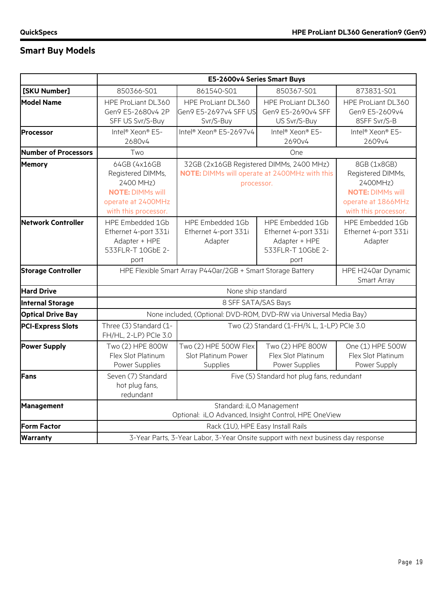# **Smart Buy Models**

|                           |                                                                                                                         | E5-2600v4 Series Smart Buys                                                                             |                                                                                        |                                                                                                                       |  |
|---------------------------|-------------------------------------------------------------------------------------------------------------------------|---------------------------------------------------------------------------------------------------------|----------------------------------------------------------------------------------------|-----------------------------------------------------------------------------------------------------------------------|--|
| [SKU Number]              | 850366-S01                                                                                                              | 861540-S01                                                                                              | 850367-S01<br>873831-S01                                                               |                                                                                                                       |  |
| <b>Model Name</b>         | HPE ProLiant DL360<br>Gen9 E5-2680v4 2P<br>SFF US Svr/S-Buy                                                             | HPE ProLiant DL360<br>Gen9 E5-2697v4 SFF US<br>Svr/S-Buy                                                | HPE ProLiant DL360<br>Gen9 E5-2690v4 SFF<br>US Svr/S-Buy                               | HPE ProLiant DL360<br>Gen9 E5-2609v4<br>8SFF Svr/S-B                                                                  |  |
| Processor                 | Intel <sup>®</sup> Xeon <sup>®</sup> E5-<br>2680v4                                                                      | Intel® Xeon® E5-2697v4                                                                                  | Intel <sup>®</sup> Xeon <sup>®</sup> E5-<br>2690v4                                     | Intel <sup>®</sup> Xeon <sup>®</sup> E5-<br>2609v4                                                                    |  |
| Number of Processors      | Two                                                                                                                     |                                                                                                         | One                                                                                    |                                                                                                                       |  |
| <b>Memory</b>             | 64GB (4x16GB<br>Registered DIMMs,<br>2400 MHz)<br><b>NOTE: DIMMs will</b><br>operate at 2400MHz<br>with this processor. | 32GB (2x16GB Registered DIMMs, 2400 MHz)<br>NOTE: DIMMs will operate at 2400MHz with this<br>processor. |                                                                                        | 8GB (1x8GB)<br>Registered DIMMs,<br>2400MHz)<br><b>NOTE: DIMMs will</b><br>operate at 1866MHz<br>with this processor. |  |
| Network Controller        | HPE Embedded 1Gb<br>Ethernet 4-port 331i<br>Adapter + HPE<br>533FLR-T 10GbE 2-<br>port                                  | HPE Embedded 1Gb<br>Ethernet 4-port 331i<br>Adapter                                                     | HPE Embedded 1Gb<br>Ethernet 4-port 331i<br>Adapter + HPE<br>533FLR-T 10GbE 2-<br>port | HPE Embedded 1Gb<br>Ethernet 4-port 331i<br>Adapter                                                                   |  |
| <b>Storage Controller</b> |                                                                                                                         | HPE Flexible Smart Array P440ar/2GB + Smart Storage Battery                                             | HPE H240ar Dynamic<br>Smart Array                                                      |                                                                                                                       |  |
| <b>Hard Drive</b>         |                                                                                                                         | None ship standard                                                                                      |                                                                                        |                                                                                                                       |  |
| <b>Internal Storage</b>   |                                                                                                                         | 8 SFF SATA/SAS Bays                                                                                     |                                                                                        |                                                                                                                       |  |
| <b>Optical Drive Bay</b>  |                                                                                                                         | None included, (Optional: DVD-ROM, DVD-RW via Universal Media Bay)                                      |                                                                                        |                                                                                                                       |  |
| <b>PCI-Express Slots</b>  | Three (3) Standard (1-<br>FH/HL, 2-LP) PCle 3.0                                                                         |                                                                                                         | Two (2) Standard (1-FH/¾ L, 1-LP) PCle 3.0                                             |                                                                                                                       |  |
| <b>Power Supply</b>       | Two (2) HPE 800W<br>Flex Slot Platinum<br>Power Supplies                                                                | Two (2) HPE 500W Flex<br>Slot Platinum Power<br>Supplies                                                | Two (2) HPE 800W<br>Flex Slot Platinum<br>Power Supplies                               | One (1) HPE 500W<br>Flex Slot Platinum<br>Power Supply                                                                |  |
| Fans                      | Seven (7) Standard<br>hot plug fans,<br>redundant                                                                       |                                                                                                         | Five (5) Standard hot plug fans, redundant                                             |                                                                                                                       |  |
| <b>Management</b>         |                                                                                                                         | Standard: iLO Management<br>Optional: iLO Advanced, Insight Control, HPE OneView                        |                                                                                        |                                                                                                                       |  |
| <b>Form Factor</b>        |                                                                                                                         | Rack (1U), HPE Easy Install Rails                                                                       |                                                                                        |                                                                                                                       |  |
| <b>Warranty</b>           |                                                                                                                         | 3-Year Parts, 3-Year Labor, 3-Year Onsite support with next business day response                       |                                                                                        |                                                                                                                       |  |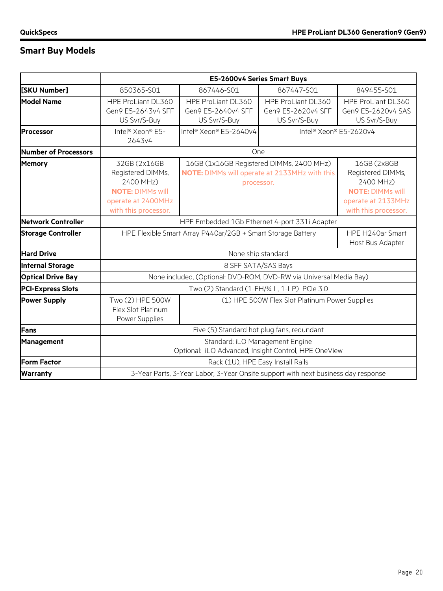# **Smart Buy Models**

|                           |                                                                                                                         | E5-2600v4 Series Smart Buys                                                                             |                                                                                   |                                                                                                                        |  |
|---------------------------|-------------------------------------------------------------------------------------------------------------------------|---------------------------------------------------------------------------------------------------------|-----------------------------------------------------------------------------------|------------------------------------------------------------------------------------------------------------------------|--|
| [SKU Number]              | 850365-S01                                                                                                              | 867446-S01                                                                                              | 867447-S01                                                                        | 849455-S01                                                                                                             |  |
| <b>Model Name</b>         | HPE ProLiant DL360<br>Gen9 E5-2643v4 SFF<br>US Svr/S-Buy                                                                | HPE ProLiant DL360<br>Gen9 E5-2640v4 SFF<br>US Svr/S-Buy                                                | HPE ProLiant DL360<br>Gen9 E5-2620v4 SFF<br>US Svr/S-Buy                          | HPE ProLiant DL360<br>Gen9 E5-2620v4 SAS<br>US Svr/S-Buy                                                               |  |
| Processor                 | Intel <sup>®</sup> Xeon® E5-<br>2643v4                                                                                  | Intel® Xeon® E5-2640v4                                                                                  | Intel <sup>®</sup> Xeon® E5-2620v4                                                |                                                                                                                        |  |
| Number of Processors      |                                                                                                                         |                                                                                                         | One                                                                               |                                                                                                                        |  |
| <b>Memory</b>             | 32GB (2x16GB<br>Registered DIMMs,<br>2400 MHz)<br><b>NOTE: DIMMs will</b><br>operate at 2400MHz<br>with this processor. | 16GB (1x16GB Registered DIMMs, 2400 MHz)<br>NOTE: DIMMs will operate at 2133MHz with this<br>processor. |                                                                                   | 16GB (2x8GB<br>Registered DIMMs,<br>2400 MHz)<br><b>NOTE: DIMMs will</b><br>operate at 2133MHz<br>with this processor. |  |
| Network Controller        |                                                                                                                         | HPE Embedded 1Gb Ethernet 4-port 331i Adapter                                                           |                                                                                   |                                                                                                                        |  |
| <b>Storage Controller</b> |                                                                                                                         | HPE Flexible Smart Array P440ar/2GB + Smart Storage Battery                                             | HPE H240ar Smart<br>Host Bus Adapter                                              |                                                                                                                        |  |
| <b>Hard Drive</b>         |                                                                                                                         |                                                                                                         | None ship standard                                                                |                                                                                                                        |  |
| <b>Internal Storage</b>   |                                                                                                                         |                                                                                                         | 8 SFF SATA/SAS Bays                                                               |                                                                                                                        |  |
| <b>Optical Drive Bay</b>  |                                                                                                                         | None included, (Optional: DVD-ROM, DVD-RW via Universal Media Bay)                                      |                                                                                   |                                                                                                                        |  |
| <b>PCI-Express Slots</b>  |                                                                                                                         |                                                                                                         | Two (2) Standard (1-FH/34 L, 1-LP) PCIe 3.0                                       |                                                                                                                        |  |
| <b>Power Supply</b>       | Two (2) HPE 500W<br>Flex Slot Platinum<br>Power Supplies                                                                |                                                                                                         | (1) HPE 500W Flex Slot Platinum Power Supplies                                    |                                                                                                                        |  |
| Fans                      |                                                                                                                         | Five (5) Standard hot plug fans, redundant                                                              |                                                                                   |                                                                                                                        |  |
| Management                |                                                                                                                         | Standard: iLO Management Engine<br>Optional: iLO Advanced, Insight Control, HPE OneView                 |                                                                                   |                                                                                                                        |  |
| <b>Form Factor</b>        |                                                                                                                         |                                                                                                         | Rack (1U), HPE Easy Install Rails                                                 |                                                                                                                        |  |
| <b>Warranty</b>           |                                                                                                                         |                                                                                                         | 3-Year Parts, 3-Year Labor, 3-Year Onsite support with next business day response |                                                                                                                        |  |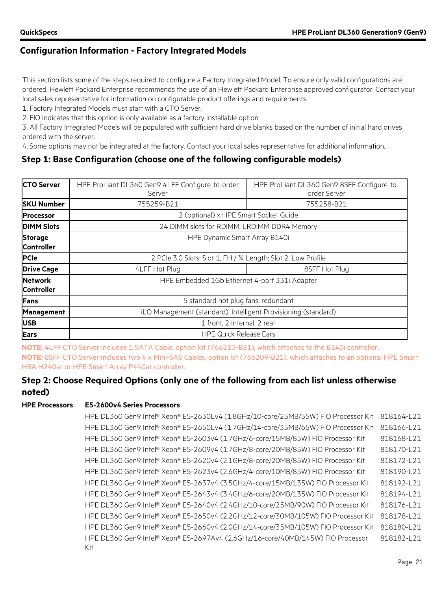This section lists some of the steps required to configure a Factory Integrated Model. To ensure only valid configurations are ordered, Hewlett Packard Enterprise recommends the use of an Hewlett Packard Enterprise approved configurator. Contact your local sales representative for information on configurable product offerings and requirements.

1. Factory Integrated Models must start with a CTO Server.

2. FIO indicates that this option is only available as a factory installable option.

3. All Factory Integrated Models will be populated with sufficient hard drive blanks based on the number of initial hard drives ordered with the server.

4. Some options may not be integrated at the factory. Contact your local sales representative for additional information.

### **Step 1: Base Configuration (choose one of the following configurable models)**

| <b>CTO Server</b>                   | HPE ProLiant DL360 Gen9 4LFF Configure-to-order<br>Server      | HPE ProLiant DL360 Gen9 8SFF Configure-to-<br>order Server |  |  |
|-------------------------------------|----------------------------------------------------------------|------------------------------------------------------------|--|--|
| <b>SKU Number</b>                   | 755259-B21                                                     | 755258-B21                                                 |  |  |
| <b>Processor</b>                    | 2 (optional) x HPE Smart Socket Guide                          |                                                            |  |  |
| <b>DIMM Slots</b>                   | 24 DIMM slots for RDIMM, LRDIMM DDR4 Memory                    |                                                            |  |  |
| <b>Storage</b><br><b>Controller</b> | HPE Dynamic Smart Array B140i                                  |                                                            |  |  |
| <b>PCIe</b>                         | 2 PCIe 3.0 Slots: Slot 1, FH / 3/4 Length; Slot 2, Low Profile |                                                            |  |  |
| <b>Drive Cage</b>                   | 4LFF Hot Plug                                                  | 8SFF Hot Plug                                              |  |  |
| <b>Network</b><br><b>Controller</b> | HPE Embedded 1Gb Ethernet 4-port 331i Adapter                  |                                                            |  |  |
| <b>Fans</b>                         | 5 standard hot plug fans, redundant                            |                                                            |  |  |
| <b>Management</b>                   | iLO Management (standard), Intelligent Provisioning (standard) |                                                            |  |  |
| <b>USB</b>                          | 1 front, 2 internal, 2 rear                                    |                                                            |  |  |
| <b>Ears</b>                         |                                                                | <b>HPE Quick Release Ears</b>                              |  |  |

**NOTE:** 4LFF CTO Server includes 1 SATA Cable, option kit (766213-B21), which attaches to the B140i controller. **NOTE:** 8SFF CTO Server includes two 4 x Mini-SAS Cables, option kit (766209-B21), which attaches to an optional HPE Smart HBA H240ar or HPE Smart Array P440ar controller.

### **Step 2: Choose Required Options (only one of the following from each list unless otherwise noted)**

### **HPE Processors E5-2600v4 Series Processors**

HPE DL360 Gen9 Intel® Xeon® E5-2630Lv4 (1.8GHz/10-core/25MB/55W) FIO Processor Kit 818164-L21 HPE DL360 Gen9 Intel® Xeon® E5-2650Lv4 (1.7GHz/14-core/35MB/65W) FIO Processor Kit 818166-L21 HPE DL360 Gen9 Intel® Xeon® E5-2603v4 (1.7GHz/6-core/15MB/85W) FIO Processor Kit 818168-L21 HPE DL360 Gen9 Intel® Xeon® E5-2609v4 (1.7GHz/8-core/20MB/85W) FIO Processor Kit 818170-L21 HPE DL360 Gen9 Intel® Xeon® E5-2620v4 (2.1GHz/8-core/20MB/85W) FIO Processor Kit 818172-L21 HPE DL360 Gen9 Intel® Xeon® E5-2623v4 (2.6GHz/4-core/10MB/85W) FIO Processor Kit 818190-L21 HPE DL360 Gen9 Intel® Xeon® E5-2637v4 (3.5GHz/4-core/15MB/135W) FIO Processor Kit 818192-L21 HPE DL360 Gen9 Intel® Xeon® E5-2643v4 (3.4GHz/6-core/20MB/135W) FIO Processor Kit 818194-L21 HPE DL360 Gen9 Intel® Xeon® E5-2640v4 (2.4GHz/10-core/25MB/90W) FIO Processor Kit 818176-L21 HPE DL360 Gen9 Intel® Xeon® E5-2650v4 (2.2GHz/12-core/30MB/105W) FIO Processor Kit 818178-L21 HPE DL360 Gen9 Intel® Xeon® E5-2660v4 (2.0GHz/14-core/35MB/105W) FIO Processor Kit 818180-L21 HPE DL360 Gen9 Intel® Xeon® E5-2697Av4 (2.6GHz/16-core/40MB/145W) FIO Processor Kit 818182-L21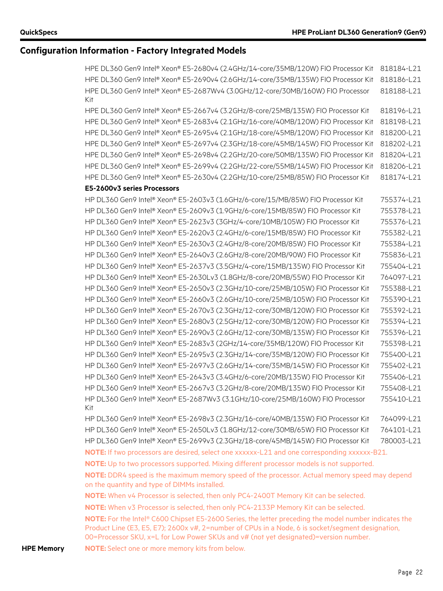HPE DL360 Gen9 Intel® Xeon® E5-2680v4 (2.4GHz/14-core/35MB/120W) FIO Processor Kit 818184-L21 HPE DL360 Gen9 Intel® Xeon® E5-2690v4 (2.6GHz/14-core/35MB/135W) FIO Processor Kit 818186-L21 HPE DL360 Gen9 Intel® Xeon® E5-2687Wv4 (3.0GHz/12-core/30MB/160W) FIO Processor Kit 818188-L21

HPE DL360 Gen9 Intel® Xeon® E5-2667v4 (3.2GHz/8-core/25MB/135W) FIO Processor Kit 818196-L21 HPE DL360 Gen9 Intel® Xeon® E5-2683v4 (2.1GHz/16-core/40MB/120W) FIO Processor Kit 818198-L21 HPE DL360 Gen9 Intel® Xeon® E5-2695v4 (2.1GHz/18-core/45MB/120W) FIO Processor Kit 818200-L21 HPE DL360 Gen9 Intel® Xeon® E5-2697v4 (2.3GHz/18-core/45MB/145W) FIO Processor Kit 818202-L21 HPE DL360 Gen9 Intel® Xeon® E5-2698v4 (2.2GHz/20-core/50MB/135W) FIO Processor Kit 818204-L21 HPE DL360 Gen9 Intel® Xeon® E5-2699v4 (2.2GHz/22-core/55MB/145W) FIO Processor Kit 818206-L21 HPE DL360 Gen9 Intel® Xeon® E5-2630v4 (2.2GHz/10-core/25MB/85W) FIO Processor Kit 818174-L21

### **E5-2600v3 series Processors**

HP DL360 Gen9 Intel® Xeon® E5-2603v3 (1.6GHz/6-core/15/MB/85W) FIO Processor Kit 755374-L21 HP DL360 Gen9 Intel® Xeon® E5-2609v3 (1.9GHz/6-core/15MB/85W) FIO Processor Kit 755378-L21 HP DL360 Gen9 Intel® Xeon® E5-2623v3 (3GHz/4-core/10MB/105W) FIO Processor Kit 755376-L21 HP DL360 Gen9 Intel® Xeon® E5-2620v3 (2.4GHz/6-core/15MB/85W) FIO Processor Kit 755382-L21 HP DL360 Gen9 Intel® Xeon® E5-2630v3 (2.4GHz/8-core/20MB/85W) FIO Processor Kit 755384-L21 HP DL360 Gen9 Intel® Xeon® E5-2640v3 (2.6GHz/8-core/20MB/90W) FIO Processor Kit 755836-L21 HP DL360 Gen9 Intel® Xeon® E5-2637v3 (3.5GHz/4-core/15MB/135W) FIO Processor Kit 755404-L21 HP DL360 Gen9 Intel® Xeon® E5-2630Lv3 (1.8GHz/8-core/20MB/55W) FIO Processor Kit 764097-L21 HP DL360 Gen9 Intel® Xeon® E5-2650v3 (2.3GHz/10-core/25MB/105W) FIO Processor Kit 755388-L21 HP DL360 Gen9 Intel® Xeon® E5-2660v3 (2.6GHz/10-core/25MB/105W) FIO Processor Kit 755390-L21 HP DL360 Gen9 Intel® Xeon® E5-2670v3 (2.3GHz/12-core/30MB/120W) FIO Processor Kit 755392-L21 HP DL360 Gen9 Intel® Xeon® E5-2680v3 (2.5GHz/12-core/30MB/120W) FIO Processor Kit 755394-L21 HP DL360 Gen9 Intel® Xeon® E5-2690v3 (2.6GHz/12-core/30MB/135W) FIO Processor Kit 755396-L21 HP DL360 Gen9 Intel® Xeon® E5-2683v3 (2GHz/14-core/35MB/120W) FIO Processor Kit 755398-L21 HP DL360 Gen9 Intel® Xeon® E5-2695v3 (2.3GHz/14-core/35MB/120W) FIO Processor Kit 755400-L21 HP DL360 Gen9 Intel® Xeon® E5-2697v3 (2.6GHz/14-core/35MB/145W) FIO Processor Kit 755402-L21 HP DL360 Gen9 Intel® Xeon® E5-2643v3 (3.4GHz/6-core/20MB/135W) FIO Processor Kit 755406-L21 HP DL360 Gen9 Intel® Xeon® E5-2667v3 (3.2GHz/8-core/20MB/135W) FIO Processor Kit 755408-L21 HP DL360 Gen9 Intel® Xeon® E5-2687Wv3 (3.1GHz/10-core/25MB/160W) FIO Processor Kit 755410-L21 HP DL360 Gen9 Intel® Xeon® E5-2698v3 (2.3GHz/16-core/40MB/135W) FIO Processor Kit 764099-L21

HP DL360 Gen9 Intel® Xeon® E5-2650Lv3 (1.8GHz/12-core/30MB/65W) FIO Processor Kit 764101-L21 HP DL360 Gen9 Intel® Xeon® E5-2699v3 (2.3GHz/18-core/45MB/145W) FIO Processor Kit 780003-L21 **NOTE:** If two processors are desired, select one xxxxxx-L21 and one corresponding xxxxxx-B21.

**NOTE:** Up to two processors supported. Mixing different processor models is not supported.

**NOTE:** DDR4 speed is the maximum memory speed of the processor. Actual memory speed may depend on the quantity and type of DIMMs installed.

**NOTE:** When v4 Processor is selected, then only PC4-2400T Memory Kit can be selected.

**NOTE:** When v3 Processor is selected, then only PC4-2133P Memory Kit can be selected.

**NOTE:** For the Intel® C600 Chipset E5-2600 Series, the letter preceding the model number indicates the Product Line (E3, E5, E7); 2600x v#, 2=number of CPUs in a Node, 6 is socket/segment designation, 00=Processor SKU, x=L for Low Power SKUs and v# (not yet designated)=version number.

**HPE Memory NOTE:** Select one or more memory kits from below.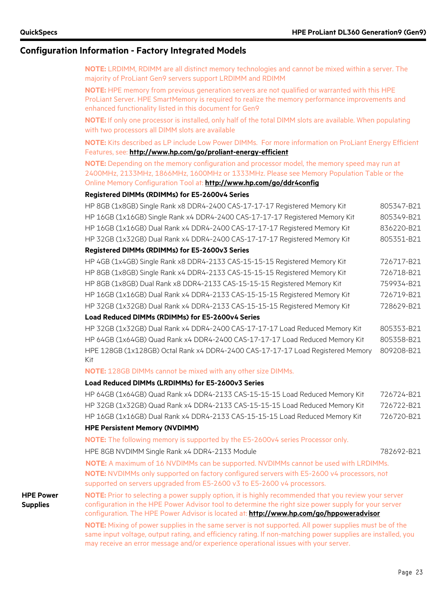**NOTE:** LRDIMM, RDIMM are all distinct memory technologies and cannot be mixed within a server. The majority of ProLiant Gen9 servers support LRDIMM and RDIMM

**NOTE:** HPE memory from previous generation servers are not qualified or warranted with this HPE ProLiant Server. HPE SmartMemory is required to realize the memory performance improvements and enhanced functionality listed in this document for Gen9

**NOTE:** If only one processor is installed, only half of the total DIMM slots are available. When populating with two processors all DIMM slots are available

**NOTE:** Kits described as LP include Low Power DIMMs. For more information on ProLiant Energy Efficient Features, see: **<http://www.hp.com/go/proliant-energy-efficient>**

**NOTE:** Depending on the memory configuration and processor model, the memory speed may run at 2400MHz, 2133MHz, 1866MHz, 1600MHz or 1333MHz. Please see Memory Population Table or the Online Memory Configuration Tool at: **[http://www.hp.com/go/ddr4config](http://h22195.www2.hp.com/DDR4memoryconfig/Home/Legal)**

#### **Registered DIMMs (RDIMMs) for E5-2600v4 Series**

| HP 8GB (1x8GB) Single Rank x8 DDR4-2400 CAS-17-17-17 Registered Memory Kit   | 805347-B21 |
|------------------------------------------------------------------------------|------------|
| HP 16GB (1x16GB) Single Rank x4 DDR4-2400 CAS-17-17-17 Registered Memory Kit | 805349-B21 |
| HP 16GB (1x16GB) Dual Rank x4 DDR4-2400 CAS-17-17-17 Registered Memory Kit   | 836220-B21 |
| HP 32GB (1x32GB) Dual Rank x4 DDR4-2400 CAS-17-17-17 Registered Memory Kit   | 805351-B21 |
| Registered DIMMs (RDIMMs) for E5-2600v3 Series                               |            |
| HP 4GB (1x4GB) Single Rank x8 DDR4-2133 CAS-15-15-15 Registered Memory Kit   | 726717-B21 |
| HP 8GB (1x8GB) Single Rank x4 DDR4-2133 CAS-15-15-15 Registered Memory Kit   | 726718-B21 |
| HP 8GB (1x8GB) Dual Rank x8 DDR4-2133 CAS-15-15-15 Registered Memory Kit     | 759934-B21 |
| HP 16GB (1x16GB) Dual Rank x4 DDR4-2133 CAS-15-15-15 Registered Memory Kit   | 726719-B21 |
| HP 32GB (1x32GB) Dual Rank x4 DDR4-2133 CAS-15-15-15 Registered Memory Kit   | 728629-B21 |
| Load Reduced DIMMs (RDIMMs) for E5-2600v4 Series                             |            |

HP 32GB (1x32GB) Dual Rank x4 DDR4-2400 CAS-17-17-17 Load Reduced Memory Kit 805353-B21 HP 64GB (1x64GB) Quad Rank x4 DDR4-2400 CAS-17-17-17 Load Reduced Memory Kit 805358-B21 HPE 128GB (1x128GB) Octal Rank x4 DDR4-2400 CAS-17-17-17 Load Registered Memory Kit 809208-B21

**NOTE:** 128GB DIMMs cannot be mixed with any other size DIMMs.

#### **Load Reduced DIMMs (LRDIMMs) for E5-2600v3 Series**

| HP 64GB (1x64GB) Quad Rank x4 DDR4-2133 CAS-15-15-15 Load Reduced Memory Kit | 726724-B21 |
|------------------------------------------------------------------------------|------------|
| HP 32GB (1x32GB) Quad Rank x4 DDR4-2133 CAS-15-15-15 Load Reduced Memory Kit | 726722-B21 |
| HP 16GB (1x16GB) Dual Rank x4 DDR4-2133 CAS-15-15-15 Load Reduced Memory Kit | 726720-B21 |

#### **HPE Persistent Memory (NVDIMM)**

**NOTE:** The following memory is supported by the E5-2600v4 series Processor only.

HPE 8GB NVDIMM Single Rank x4 DDR4-2133 Module 782692-B21

**NOTE:** A maximum of 16 NVDIMMs can be supported. NVDIMMs cannot be used with LRDIMMs. **NOTE:** NVDIMMs only supported on factory configured servers with E5-2600 v4 processors, not supported on servers upgraded from E5-2600 v3 to E5-2600 v4 processors.

**HPE Power Supplies**

**NOTE:** Prior to selecting a power supply option, it is highly recommended that you review your server configuration in the HPE Power Advisor tool to determine the right size power supply for your server configuration. The HPE Power Advisor is located at: **<http://www.hp.com/go/hppoweradvisor>**

**NOTE:** Mixing of power supplies in the same server is not supported. All power supplies must be of the same input voltage, output rating, and efficiency rating. If non-matching power supplies are installed, you may receive an error message and/or experience operational issues with your server.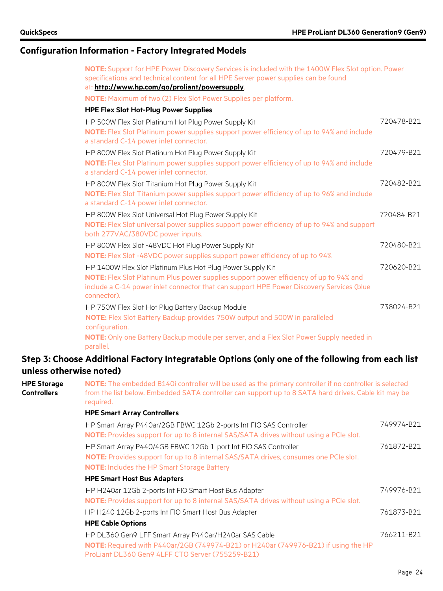| NOTE: Support for HPE Power Discovery Services is included with the 1400W Flex Slot option. Power<br>specifications and technical content for all HPE Server power supplies can be found |            |
|------------------------------------------------------------------------------------------------------------------------------------------------------------------------------------------|------------|
| at: http://www.hp.com/go/proliant/powersupply.                                                                                                                                           |            |
| <b>NOTE:</b> Maximum of two (2) Flex Slot Power Supplies per platform.                                                                                                                   |            |
| <b>HPE Flex Slot Hot-Plug Power Supplies</b>                                                                                                                                             |            |
| HP 500W Flex Slot Platinum Hot Plug Power Supply Kit                                                                                                                                     | 720478-B21 |
| NOTE: Flex Slot Platinum power supplies support power efficiency of up to 94% and include<br>a standard C-14 power inlet connector.                                                      |            |
| HP 800W Flex Slot Platinum Hot Plug Power Supply Kit                                                                                                                                     | 720479-B21 |
| NOTE: Flex Slot Platinum power supplies support power efficiency of up to 94% and include<br>a standard C-14 power inlet connector.                                                      |            |
| HP 800W Flex Slot Titanium Hot Plug Power Supply Kit                                                                                                                                     | 720482-B21 |
| NOTE: Flex Slot Titanium power supplies support power efficiency of up to 96% and include<br>a standard C-14 power inlet connector.                                                      |            |
| HP 800W Flex Slot Universal Hot Plug Power Supply Kit                                                                                                                                    | 720484-B21 |
| NOTE: Flex Slot universal power supplies support power efficiency of up to 94% and support<br>both 277VAC/380VDC power inputs.                                                           |            |
| HP 800W Flex Slot -48VDC Hot Plug Power Supply Kit                                                                                                                                       | 720480-B21 |
| <b>NOTE:</b> Flex Slot -48VDC power supplies support power efficiency of up to 94%                                                                                                       |            |
| HP 1400W Flex Slot Platinum Plus Hot Plug Power Supply Kit                                                                                                                               | 720620-B21 |
| NOTE: Flex Slot Platinum Plus power supplies support power efficiency of up to 94% and                                                                                                   |            |
| include a C-14 power inlet connector that can support HPE Power Discovery Services (blue<br>connector).                                                                                  |            |
| HP 750W Flex Slot Hot Plug Battery Backup Module                                                                                                                                         | 738024-B21 |
| NOTE: Flex Slot Battery Backup provides 750W output and 500W in paralleled<br>configuration.                                                                                             |            |
| NOTE: Only one Battery Backup module per server, and a Flex Slot Power Supply needed in<br>parallel.                                                                                     |            |

### **Step 3: Choose Additional Factory Integratable Options (only one of the following from each list unless otherwise noted)**

**HPE Storage Controllers NOTE:** The embedded B140i controller will be used as the primary controller if no controller is selected from the list below. Embedded SATA controller can support up to 8 SATA hard drives. Cable kit may be required. **HPE Smart Array Controllers** HP Smart Array P440ar/2GB FBWC 12Gb 2-ports Int FIO SAS Controller **NOTE:** Provides support for up to 8 internal SAS/SATA drives without using a PCIe slot. 749974-B21 HP Smart Array P440/4GB FBWC 12Gb 1-port Int FIO SAS Controller **NOTE:** Provides support for up to 8 internal SAS/SATA drives, consumes one PCIe slot. **NOTE:** Includes the HP Smart Storage Battery 761872-B21 **HPE Smart Host Bus Adapters** HP H240ar 12Gb 2-ports Int FIO Smart Host Bus Adapter **NOTE:** Provides support for up to 8 internal SAS/SATA drives without using a PCIe slot. 749976-B21 HP H240 12Gb 2-ports Int FIO Smart Host Bus Adapter 761873-B21 **HPE Cable Options** HP DL360 Gen9 LFF Smart Array P440ar/H240ar SAS Cable **NOTE:** Required with P440ar/2GB (749974-B21) or H240ar (749976-B21) if using the HP ProLiant DL360 Gen9 4LFF CTO Server (755259-B21) 766211-B21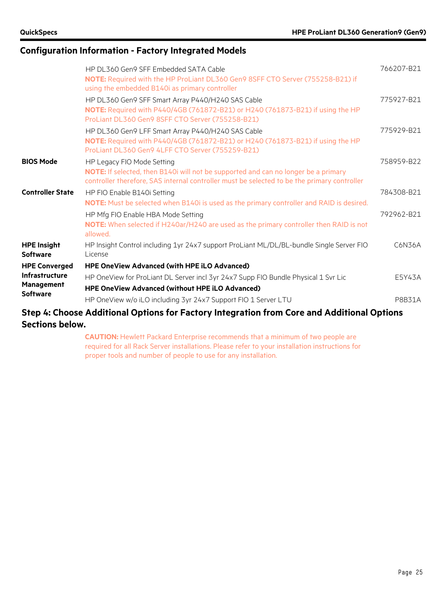|                                       | HP DL360 Gen9 SFF Embedded SATA Cable                                                                                                                                             | 766207-B21 |
|---------------------------------------|-----------------------------------------------------------------------------------------------------------------------------------------------------------------------------------|------------|
|                                       | NOTE: Required with the HP ProLiant DL360 Gen9 8SFF CTO Server (755258-B21) if<br>using the embedded B140i as primary controller                                                  |            |
|                                       | HP DL360 Gen9 SFF Smart Array P440/H240 SAS Cable                                                                                                                                 | 775927-B21 |
|                                       | NOTE: Required with P440/4GB (761872-B21) or H240 (761873-B21) if using the HP<br>ProLiant DL360 Gen9 8SFF CTO Server (755258-B21)                                                |            |
|                                       | HP DL360 Gen9 LFF Smart Array P440/H240 SAS Cable                                                                                                                                 | 775929-B21 |
|                                       | NOTE: Required with P440/4GB (761872-B21) or H240 (761873-B21) if using the HP<br>ProLiant DL360 Gen9 4LFF CTO Server (755259-B21)                                                |            |
| <b>BIOS Mode</b>                      | HP Legacy FIO Mode Setting                                                                                                                                                        | 758959-B22 |
|                                       | NOTE: If selected, then B140i will not be supported and can no longer be a primary<br>controller therefore, SAS internal controller must be selected to be the primary controller |            |
| <b>Controller State</b>               | HP FIO Enable B140i Setting                                                                                                                                                       | 784308-B21 |
|                                       | NOTE: Must be selected when B140i is used as the primary controller and RAID is desired.                                                                                          |            |
|                                       | HP Mfg FIO Enable HBA Mode Setting                                                                                                                                                | 792962-B21 |
|                                       | NOTE: When selected if H240ar/H240 are used as the primary controller then RAID is not<br>allowed.                                                                                |            |
| <b>HPE Insight</b><br><b>Software</b> | HP Insight Control including 1yr 24x7 support ProLiant ML/DL/BL-bundle Single Server FIO<br>License                                                                               | C6N36A     |
| <b>HPE Converged</b>                  | <b>HPE OneView Advanced (with HPE iLO Advanced)</b>                                                                                                                               |            |
| <b>Infrastructure</b>                 | HP OneView for ProLiant DL Server incl 3yr 24x7 Supp FIO Bundle Physical 1 Svr Lic                                                                                                | E5Y43A     |
| <b>Management</b>                     | <b>HPE OneView Advanced (without HPE iLO Advanced)</b>                                                                                                                            |            |
| <b>Software</b>                       | HP OneView w/o iLO including 3yr 24x7 Support FIO 1 Server LTU                                                                                                                    | P8B31A     |
|                                       | Step 4: Choose Additional Options for Factory Integration from Core and Additional Options                                                                                        |            |

**Sections below.**

**CAUTION:** Hewlett Packard Enterprise recommends that a minimum of two people are required for all Rack Server installations. Please refer to your installation instructions for proper tools and number of people to use for any installation.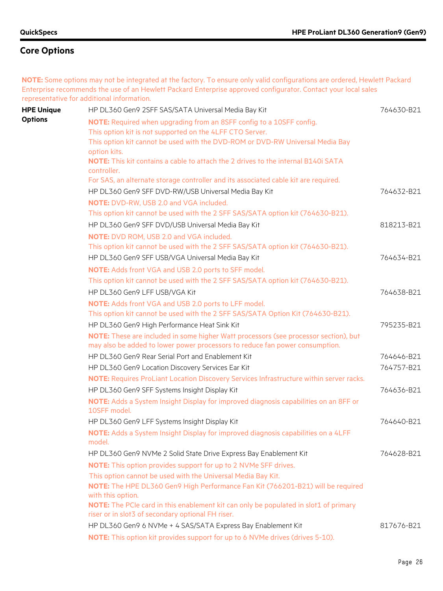**NOTE:** Some options may not be integrated at the factory. To ensure only valid configurations are ordered, Hewlett Packard Enterprise recommends the use of an Hewlett Packard Enterprise approved configurator. Contact your local sales representative for additional information.

| <b>HPE Unique</b> | HP DL360 Gen9 2SFF SAS/SATA Universal Media Bay Kit                                                                                       | 764630-B21 |
|-------------------|-------------------------------------------------------------------------------------------------------------------------------------------|------------|
| <b>Options</b>    | NOTE: Required when upgrading from an 8SFF config to a 10SFF config.                                                                      |            |
|                   | This option kit is not supported on the 4LFF CTO Server.                                                                                  |            |
|                   | This option kit cannot be used with the DVD-ROM or DVD-RW Universal Media Bay                                                             |            |
|                   | option kits.                                                                                                                              |            |
|                   | <b>NOTE:</b> This kit contains a cable to attach the 2 drives to the internal B140i SATA                                                  |            |
|                   | controller.                                                                                                                               |            |
|                   | For SAS, an alternate storage controller and its associated cable kit are required.                                                       |            |
|                   | HP DL360 Gen9 SFF DVD-RW/USB Universal Media Bay Kit                                                                                      | 764632-B21 |
|                   | <b>NOTE:</b> DVD-RW, USB 2.0 and VGA included.                                                                                            |            |
|                   | This option kit cannot be used with the 2 SFF SAS/SATA option kit (764630-B21).                                                           |            |
|                   | HP DL360 Gen9 SFF DVD/USB Universal Media Bay Kit                                                                                         | 818213-B21 |
|                   | NOTE: DVD ROM, USB 2.0 and VGA included.                                                                                                  |            |
|                   | This option kit cannot be used with the 2 SFF SAS/SATA option kit (764630-B21).                                                           |            |
|                   | HP DL360 Gen9 SFF USB/VGA Universal Media Bay Kit                                                                                         | 764634-B21 |
|                   | <b>NOTE:</b> Adds front VGA and USB 2.0 ports to SFF model.                                                                               |            |
|                   | This option kit cannot be used with the 2 SFF SAS/SATA option kit (764630-B21).                                                           |            |
|                   | HP DL360 Gen9 LFF USB/VGA Kit                                                                                                             | 764638-B21 |
|                   | <b>NOTE:</b> Adds front VGA and USB 2.0 ports to LFF model.                                                                               |            |
|                   | This option kit cannot be used with the 2 SFF SAS/SATA Option Kit (764630-B21).                                                           |            |
|                   | HP DL360 Gen9 High Performance Heat Sink Kit                                                                                              | 795235-B21 |
|                   | NOTE: These are included in some higher Watt processors (see processor section), but                                                      |            |
|                   | may also be added to lower power processors to reduce fan power consumption.                                                              |            |
|                   | HP DL360 Gen9 Rear Serial Port and Enablement Kit                                                                                         | 764646-B21 |
|                   | HP DL360 Gen9 Location Discovery Services Ear Kit                                                                                         | 764757-B21 |
|                   | NOTE: Requires ProLiant Location Discovery Services Infrastructure within server racks.                                                   |            |
|                   | HP DL360 Gen9 SFF Systems Insight Display Kit                                                                                             | 764636-B21 |
|                   | NOTE: Adds a System Insight Display for improved diagnosis capabilities on an 8FF or<br>10SFF model.                                      |            |
|                   | HP DL360 Gen9 LFF Systems Insight Display Kit                                                                                             | 764640-B21 |
|                   | NOTE: Adds a System Insight Display for improved diagnosis capabilities on a 4LFF<br>model.                                               |            |
|                   | HP DL360 Gen9 NVMe 2 Solid State Drive Express Bay Enablement Kit                                                                         | 764628-B21 |
|                   | NOTE: This option provides support for up to 2 NVMe SFF drives.                                                                           |            |
|                   | This option cannot be used with the Universal Media Bay Kit.                                                                              |            |
|                   | NOTE: The HPE DL360 Gen9 High Performance Fan Kit (766201-B21) will be required<br>with this option.                                      |            |
|                   | NOTE: The PCIe card in this enablement kit can only be populated in slot1 of primary<br>riser or in slot3 of secondary optional FH riser. |            |
|                   | HP DL360 Gen9 6 NVMe + 4 SAS/SATA Express Bay Enablement Kit                                                                              | 817676-B21 |
|                   | <b>NOTE:</b> This option kit provides support for up to 6 NVMe drives (drives 5-10).                                                      |            |
|                   |                                                                                                                                           |            |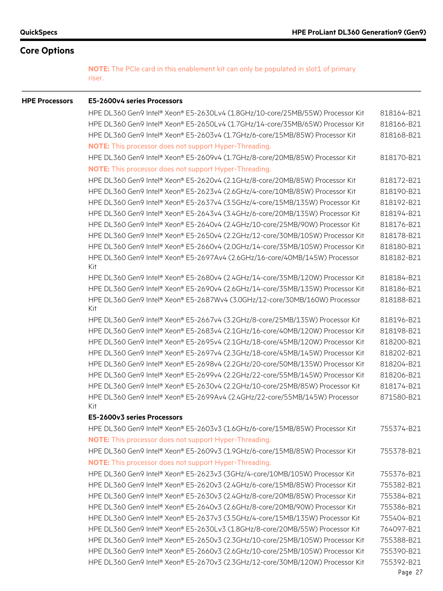**NOTE:** The PCIe card in this enablement kit can only be populated in slot1 of primary riser.

#### **HPE Processors E5-2600v4 series Processors**

HPE DL360 Gen9 Intel® Xeon® E5-2630Lv4 (1.8GHz/10-core/25MB/55W) Processor Kit 818164-B21 HPE DL360 Gen9 Intel® Xeon® E5-2650Lv4 (1.7GHz/14-core/35MB/65W) Processor Kit 818166-B21 HPE DL360 Gen9 Intel® Xeon® E5-2603v4 (1.7GHz/6-core/15MB/85W) Processor Kit 818168-B21 **NOTE:** This processor does not support Hyper-Threading. HPE DL360 Gen9 Intel® Xeon® E5-2609v4 (1.7GHz/8-core/20MB/85W) Processor Kit 818170-B21 **NOTE:** This processor does not support Hyper-Threading. HPE DL360 Gen9 Intel® Xeon® E5-2620v4 (2.1GHz/8-core/20MB/85W) Processor Kit 818172-B21 HPE DL360 Gen9 Intel® Xeon® E5-2623v4 (2.6GHz/4-core/10MB/85W) Processor Kit 818190-B21 HPE DL360 Gen9 Intel® Xeon® E5-2637v4 (3.5GHz/4-core/15MB/135W) Processor Kit 818192-B21 HPE DL360 Gen9 Intel® Xeon® E5-2643v4 (3.4GHz/6-core/20MB/135W) Processor Kit 818194-B21 HPE DL360 Gen9 Intel® Xeon® E5-2640v4 (2.4GHz/10-core/25MB/90W) Processor Kit 818176-B21 HPE DL360 Gen9 Intel® Xeon® E5-2650v4 (2.2GHz/12-core/30MB/105W) Processor Kit 818178-B21 HPE DL360 Gen9 Intel® Xeon® E5-2660v4 (2.0GHz/14-core/35MB/105W) Processor Kit 818180-B21 HPE DL360 Gen9 Intel® Xeon® E5-2697Av4 (2.6GHz/16-core/40MB/145W) Processor Kit 818182-B21 HPE DL360 Gen9 Intel® Xeon® E5-2680v4 (2.4GHz/14-core/35MB/120W) Processor Kit 818184-B21 HPE DL360 Gen9 Intel® Xeon® E5-2690v4 (2.6GHz/14-core/35MB/135W) Processor Kit 818186-B21 HPE DL360 Gen9 Intel® Xeon® E5-2687Wv4 (3.0GHz/12-core/30MB/160W) Processor Kit 818188-B21 HPE DL360 Gen9 Intel® Xeon® E5-2667v4 (3.2GHz/8-core/25MB/135W) Processor Kit 818196-B21 HPE DL360 Gen9 Intel® Xeon® E5-2683v4 (2.1GHz/16-core/40MB/120W) Processor Kit 818198-B21 HPE DL360 Gen9 Intel® Xeon® E5-2695v4 (2.1GHz/18-core/45MB/120W) Processor Kit 818200-B21 HPE DL360 Gen9 Intel® Xeon® E5-2697v4 (2.3GHz/18-core/45MB/145W) Processor Kit 818202-B21 HPE DL360 Gen9 Intel® Xeon® E5-2698v4 (2.2GHz/20-core/50MB/135W) Processor Kit 818204-B21 HPE DL360 Gen9 Intel® Xeon® E5-2699v4 (2.2GHz/22-core/55MB/145W) Processor Kit 818206-B21 HPE DL360 Gen9 Intel® Xeon® E5-2630v4 (2.2GHz/10-core/25MB/85W) Processor Kit 818174-B21 HPE DL360 Gen9 Intel® Xeon® E5-2699Av4 (2.4GHz/22-core/55MB/145W) Processor Kit 871580-B21 **E5-2600v3 series Processors** HPE DL360 Gen9 Intel® Xeon® E5-2603v3 (1.6GHz/6-core/15MB/85W) Processor Kit 755374-B21 **NOTE:** This processor does not support Hyper-Threading. HPE DL360 Gen9 Intel® Xeon® E5-2609v3 (1.9GHz/6-core/15MB/85W) Processor Kit 755378-B21 **NOTE:** This processor does not support Hyper-Threading. HPE DL360 Gen9 Intel® Xeon® E5-2623v3 (3GHz/4-core/10MB/105W) Processor Kit 755376-B21 HPE DL360 Gen9 Intel® Xeon® E5-2620v3 (2.4GHz/6-core/15MB/85W) Processor Kit 755382-B21 HPE DL360 Gen9 Intel® Xeon® E5-2630v3 (2.4GHz/8-core/20MB/85W) Processor Kit 755384-B21 HPE DL360 Gen9 Intel® Xeon® E5-2640v3 (2.6GHz/8-core/20MB/90W) Processor Kit 755386-B21 HPE DL360 Gen9 Intel® Xeon® E5-2637v3 (3.5GHz/4-core/15MB/135W) Processor Kit 755404-B21 HPE DL360 Gen9 Intel® Xeon® E5-2630Lv3 (1.8GHz/8-core/20MB/55W) Processor Kit 764097-B21 HPE DL360 Gen9 Intel® Xeon® E5-2650v3 (2.3GHz/10-core/25MB/105W) Processor Kit 755388-B21 HPE DL360 Gen9 Intel® Xeon® E5-2660v3 (2.6GHz/10-core/25MB/105W) Processor Kit 755390-B21 HPE DL360 Gen9 Intel® Xeon® E5-2670v3 (2.3GHz/12-core/30MB/120W) Processor Kit 755392-B21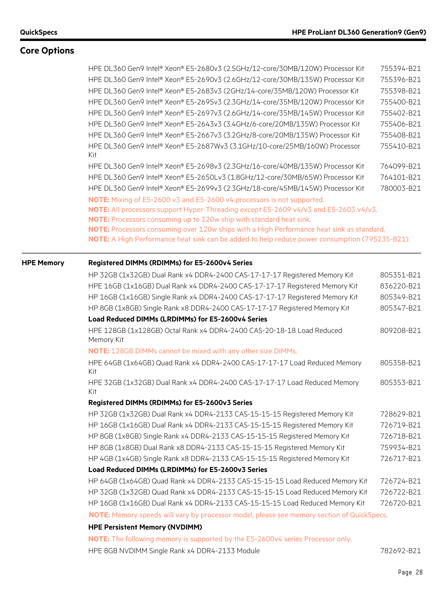|                   | HPE DL360 Gen9 Intel® Xeon® E5-2680v3 (2.5GHz/12-core/30MB/120W) Processor Kit                                                                                                                                                                                                                                                     | 755394-B21 |
|-------------------|------------------------------------------------------------------------------------------------------------------------------------------------------------------------------------------------------------------------------------------------------------------------------------------------------------------------------------|------------|
|                   | HPE DL360 Gen9 Intel® Xeon® E5-2690v3 (2.6GHz/12-core/30MB/135W) Processor Kit                                                                                                                                                                                                                                                     | 755396-B21 |
|                   | HPE DL360 Gen9 Intel® Xeon® E5-2683v3 (2GHz/14-core/35MB/120W) Processor Kit                                                                                                                                                                                                                                                       | 755398-B21 |
|                   | HPE DL360 Gen9 Intel® Xeon® E5-2695v3 (2.3GHz/14-core/35MB/120W) Processor Kit                                                                                                                                                                                                                                                     | 755400-B21 |
|                   | HPE DL360 Gen9 Intel® Xeon® E5-2697v3 (2.6GHz/14-core/35MB/145W) Processor Kit                                                                                                                                                                                                                                                     | 755402-B21 |
|                   | HPE DL360 Gen9 Intel® Xeon® E5-2643v3 (3.4GHz/6-core/20MB/135W) Processor Kit                                                                                                                                                                                                                                                      | 755406-B21 |
|                   | HPE DL360 Gen9 Intel® Xeon® E5-2667v3 (3.2GHz/8-core/20MB/135W) Processor Kit                                                                                                                                                                                                                                                      | 755408-B21 |
|                   | HPE DL360 Gen9 Intel® Xeon® E5-2687Wv3 (3.1GHz/10-core/25MB/160W) Processor<br>Kit                                                                                                                                                                                                                                                 | 755410-B21 |
|                   | HPE DL360 Gen9 Intel® Xeon® E5-2698v3 (2.3GHz/16-core/40MB/135W) Processor Kit                                                                                                                                                                                                                                                     | 764099-B21 |
|                   | HPE DL360 Gen9 Intel® Xeon® E5-2650Lv3 (1.8GHz/12-core/30MB/65W) Processor Kit                                                                                                                                                                                                                                                     | 764101-B21 |
|                   | HPE DL360 Gen9 Intel® Xeon® E5-2699v3 (2.3GHz/18-core/45MB/145W) Processor Kit                                                                                                                                                                                                                                                     | 780003-B21 |
|                   | NOTE: Mixing of E5-2600 v3 and E5-2600 v4 processors is not supported.<br>NOTE: All processors support Hyper-Threading except E5-2609 v4/v3 and E5-2603 v4/v3.<br>NOTE: Processors consuming up to 120w ship with standard heat sink.<br>NOTE: Processors consuming over 120w ships with a High Performance heat sink as standard. |            |
|                   | NOTE: A High Performance heat sink can be added to help reduce power consumption (795235-B21).                                                                                                                                                                                                                                     |            |
| <b>HPE Memory</b> | Registered DIMMs (RDIMMs) for E5-2600v4 Series                                                                                                                                                                                                                                                                                     |            |
|                   | HP 32GB (1x32GB) Dual Rank x4 DDR4-2400 CAS-17-17-17 Registered Memory Kit                                                                                                                                                                                                                                                         | 805351-B21 |
|                   | HPE 16GB (1x16GB) Dual Rank x4 DDR4-2400 CAS-17-17-17 Registered Memory Kit                                                                                                                                                                                                                                                        | 836220-B21 |
|                   | HP 16GB (1x16GB) Single Rank x4 DDR4-2400 CAS-17-17-17 Registered Memory Kit                                                                                                                                                                                                                                                       | 805349-B21 |
|                   | HP 8GB (1x8GB) Single Rank x8 DDR4-2400 CAS-17-17-17 Registered Memory Kit                                                                                                                                                                                                                                                         | 805347-B21 |
|                   | Load Reduced DIMMs (LRDIMMs) for E5-2600v4 Series                                                                                                                                                                                                                                                                                  |            |
|                   | HPE 128GB (1x128GB) Octal Rank x4 DDR4-2400 CAS-20-18-18 Load Reduced<br>Memory Kit                                                                                                                                                                                                                                                | 809208-B21 |
|                   | <b>NOTE:</b> 128GB DIMMs cannot be mixed with any other size DIMMs.                                                                                                                                                                                                                                                                |            |
|                   | HPE 64GB (1x64GB) Quad Rank x4 DDR4-2400 CAS-17-17-17 Load Reduced Memory<br>Kit                                                                                                                                                                                                                                                   | 805358-B21 |
|                   | HPE 32GB (1x32GB) Dual Rank x4 DDR4-2400 CAS-17-17-17 Load Reduced Memory<br>Kit                                                                                                                                                                                                                                                   | 805353-B21 |
|                   | Registered DIMMs (RDIMMs) for E5-2600v3 Series                                                                                                                                                                                                                                                                                     |            |
|                   | HP 32GB (1x32GB) Dual Rank x4 DDR4-2133 CAS-15-15-15 Registered Memory Kit                                                                                                                                                                                                                                                         | 728629-B21 |
|                   | HP 16GB (1x16GB) Dual Rank x4 DDR4-2133 CAS-15-15-15 Registered Memory Kit                                                                                                                                                                                                                                                         | 726719-B21 |
|                   | HP 8GB (1x8GB) Single Rank x4 DDR4-2133 CAS-15-15-15 Registered Memory Kit                                                                                                                                                                                                                                                         | 726718-B21 |
|                   | HP 8GB (1x8GB) Dual Rank x8 DDR4-2133 CAS-15-15-15 Registered Memory Kit                                                                                                                                                                                                                                                           | 759934-B21 |
|                   | HP 4GB (1x4GB) Single Rank x8 DDR4-2133 CAS-15-15-15 Registered Memory Kit                                                                                                                                                                                                                                                         | 726717-B21 |
|                   | Load Reduced DIMMs (LRDIMMs) for E5-2600v3 Series                                                                                                                                                                                                                                                                                  |            |
|                   | HP 64GB (1x64GB) Quad Rank x4 DDR4-2133 CAS-15-15-15 Load Reduced Memory Kit                                                                                                                                                                                                                                                       | 726724-B21 |
|                   | HP 32GB (1x32GB) Quad Rank x4 DDR4-2133 CAS-15-15-15 Load Reduced Memory Kit                                                                                                                                                                                                                                                       | 726722-B21 |
|                   | HP 16GB (1x16GB) Dual Rank x4 DDR4-2133 CAS-15-15-15 Load Reduced Memory Kit                                                                                                                                                                                                                                                       | 726720-B21 |
|                   | NOTE: Memory speeds will vary by processor model, please see memory section of QuickSpecs.                                                                                                                                                                                                                                         |            |
|                   | <b>HPE Persistent Memory (NVDIMM)</b>                                                                                                                                                                                                                                                                                              |            |
|                   | <b>NOTE:</b> The following memory is supported by the E5-2600v4 series Processor only.                                                                                                                                                                                                                                             |            |
|                   | HPE 8GB NVDIMM Single Rank x4 DDR4-2133 Module                                                                                                                                                                                                                                                                                     | 782692-B21 |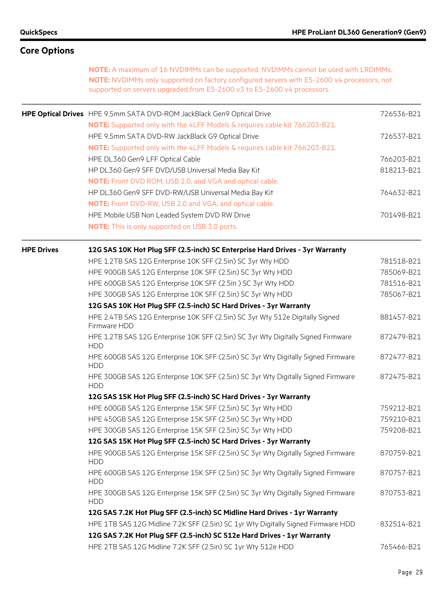| <b>Core Options</b> |                                                                                                                                                                                                                                                                      |            |
|---------------------|----------------------------------------------------------------------------------------------------------------------------------------------------------------------------------------------------------------------------------------------------------------------|------------|
|                     | <b>NOTE:</b> A maximum of 16 NVDIMMs can be supported. NVDIMMs cannot be used with LRDIMMs.<br>NOTE: NVDIMMs only supported on factory configured servers with E5-2600 v4 processors, not<br>supported on servers upgraded from E5-2600 v3 to E5-2600 v4 processors. |            |
|                     | HPE Optical Drives HPE 9.5mm SATA DVD-ROM JackBlack Gen9 Optical Drive                                                                                                                                                                                               | 726536-B21 |
|                     | NOTE: Supported only with the 4LFF Models & requires cable kit 766203-B21.                                                                                                                                                                                           |            |
|                     | HPE 9.5mm SATA DVD-RW JackBlack G9 Optical Drive                                                                                                                                                                                                                     | 726537-B21 |
|                     | NOTE: Supported only with the 4LFF Models & requires cable kit 766203-B21.                                                                                                                                                                                           |            |
|                     | HPE DL360 Gen9 LFF Optical Cable                                                                                                                                                                                                                                     | 766203-B21 |
|                     | HP DL360 Gen9 SFF DVD/USB Universal Media Bay Kit                                                                                                                                                                                                                    | 818213-B21 |
|                     | <b>NOTE:</b> Front DVD ROM, USB 2.0, and VGA and optical cable.                                                                                                                                                                                                      |            |
|                     | HP DL360 Gen9 SFF DVD-RW/USB Universal Media Bay Kit                                                                                                                                                                                                                 | 764632-B21 |
|                     | NOTE: Front DVD-RW, USB 2.0 and VGA, and optical cable.                                                                                                                                                                                                              |            |
|                     | HPE Mobile USB Non Leaded System DVD RW Drive                                                                                                                                                                                                                        | 701498-B21 |
|                     | <b>NOTE:</b> This is only supported on USB 3.0 ports.                                                                                                                                                                                                                |            |
| <b>HPE Drives</b>   | 12G SAS 10K Hot Plug SFF (2.5-inch) SC Enterprise Hard Drives - 3yr Warranty                                                                                                                                                                                         |            |
|                     | HPE 1.2TB SAS 12G Enterprise 10K SFF (2.5in) SC 3yr Wty HDD                                                                                                                                                                                                          | 781518-B21 |
|                     | HPE 900GB SAS 12G Enterprise 10K SFF (2.5in) SC 3yr Wty HDD                                                                                                                                                                                                          | 785069-B21 |
|                     | HPE 600GB SAS 12G Enterprise 10K SFF (2.5in) SC 3yr Wty HDD                                                                                                                                                                                                          | 781516-B21 |
|                     | HPE 300GB SAS 12G Enterprise 10K SFF (2.5in) SC 3yr Wty HDD                                                                                                                                                                                                          | 785067-B21 |
|                     | 12G SAS 10K Hot Plug SFF (2.5-inch) SC Hard Drives - 3yr Warranty                                                                                                                                                                                                    |            |
|                     | HPE 2.4TB SAS 12G Enterprise 10K SFF (2.5in) SC 3yr Wty 512e Digitally Signed<br>Firmware HDD                                                                                                                                                                        | 881457-B21 |
|                     | HPE 1.2TB SAS 12G Enterprise 10K SFF (2.5in) SC 3yr Wty Digitally Signed Firmware<br><b>HDD</b>                                                                                                                                                                      | 872479-B21 |
|                     | HPE 600GB SAS 12G Enterprise 10K SFF (2.5in) SC 3yr Wty Digitally Signed Firmware<br><b>HDD</b>                                                                                                                                                                      | 872477-B21 |
|                     | HPE 300GB SAS 12G Enterprise 10K SFF (2.5in) SC 3yr Wty Digitally Signed Firmware<br><b>HDD</b>                                                                                                                                                                      | 872475-B21 |
|                     | 12G SAS 15K Hot Plug SFF (2.5-inch) SC Hard Drives - 3yr Warranty                                                                                                                                                                                                    |            |
|                     | HPE 600GB SAS 12G Enterprise 15K SFF (2.5in) SC 3yr Wty HDD                                                                                                                                                                                                          | 759212-B21 |
|                     | HPE 450GB SAS 12G Enterprise 15K SFF (2.5in) SC 3yr Wty HDD                                                                                                                                                                                                          | 759210-B21 |
|                     | HPE 300GB SAS 12G Enterprise 15K SFF (2.5in) SC 3yr Wty HDD                                                                                                                                                                                                          | 759208-B21 |
|                     | 12G SAS 15K Hot Plug SFF (2.5-inch) SC Hard Drives - 3yr Warranty                                                                                                                                                                                                    |            |
|                     | HPE 900GB SAS 12G Enterprise 15K SFF (2.5in) SC 3yr Wty Digitally Signed Firmware<br><b>HDD</b>                                                                                                                                                                      | 870759-B21 |
|                     | HPE 600GB SAS 12G Enterprise 15K SFF (2.5in) SC 3yr Wty Digitally Signed Firmware<br><b>HDD</b>                                                                                                                                                                      | 870757-B21 |
|                     | HPE 300GB SAS 12G Enterprise 15K SFF (2.5in) SC 3yr Wty Digitally Signed Firmware<br><b>HDD</b>                                                                                                                                                                      | 870753-B21 |
|                     | 12G SAS 7.2K Hot Plug SFF (2.5-inch) SC Midline Hard Drives - 1yr Warranty                                                                                                                                                                                           |            |
|                     | HPE 1TB SAS 12G Midline 7.2K SFF (2.5in) SC 1yr Wty Digitally Signed Firmware HDD                                                                                                                                                                                    | 832514-B21 |
|                     | 12G SAS 7.2K Hot Plug SFF (2.5-inch) SC 512e Hard Drives - 1yr Warranty                                                                                                                                                                                              |            |
|                     | HPE 2TB SAS 12G Midline 7.2K SFF (2.5in) SC 1yr Wty 512e HDD                                                                                                                                                                                                         | 765466-B21 |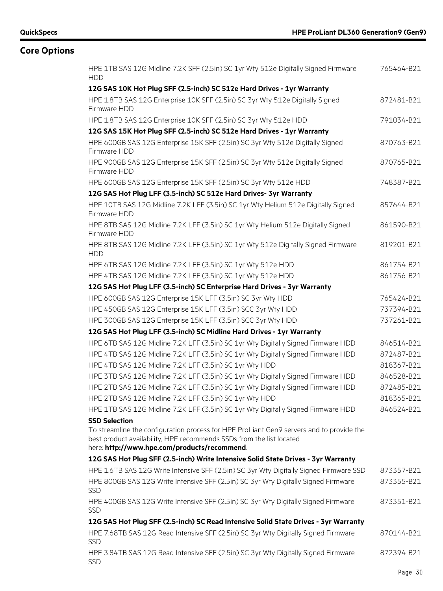| HPE 1TB SAS 12G Midline 7.2K SFF (2.5in) SC 1yr Wty 512e Digitally Signed Firmware<br><b>HDD</b>                                                                                                                 | 765464-B21               |
|------------------------------------------------------------------------------------------------------------------------------------------------------------------------------------------------------------------|--------------------------|
| 12G SAS 10K Hot Plug SFF (2.5-inch) SC 512e Hard Drives - 1yr Warranty                                                                                                                                           |                          |
| HPE 1.8TB SAS 12G Enterprise 10K SFF (2.5in) SC 3yr Wty 512e Digitally Signed<br>Firmware HDD                                                                                                                    | 872481-B21               |
| HPE 1.8TB SAS 12G Enterprise 10K SFF (2.5in) SC 3yr Wty 512e HDD                                                                                                                                                 | 791034-B21               |
| 12G SAS 15K Hot Plug SFF (2.5-inch) SC 512e Hard Drives - 1yr Warranty                                                                                                                                           |                          |
| HPE 600GB SAS 12G Enterprise 15K SFF (2.5in) SC 3yr Wty 512e Digitally Signed<br>Firmware HDD                                                                                                                    | 870763-B21               |
| HPE 900GB SAS 12G Enterprise 15K SFF (2.5in) SC 3yr Wty 512e Digitally Signed<br>Firmware HDD                                                                                                                    | 870765-B21               |
| HPE 600GB SAS 12G Enterprise 15K SFF (2.5in) SC 3yr Wty 512e HDD                                                                                                                                                 | 748387-B21               |
| 12G SAS Hot Plug LFF (3.5-inch) SC 512e Hard Drives- 3yr Warranty                                                                                                                                                |                          |
| HPE 10TB SAS 12G Midline 7.2K LFF (3.5in) SC 1yr Wty Helium 512e Digitally Signed<br>Firmware HDD                                                                                                                | 857644-B21               |
| HPE 8TB SAS 12G Midline 7.2K LFF (3.5in) SC 1yr Wty Helium 512e Digitally Signed<br>Firmware HDD                                                                                                                 | 861590-B21               |
| HPE 8TB SAS 12G Midline 7.2K LFF (3.5in) SC 1yr Wty 512e Digitally Signed Firmware<br><b>HDD</b>                                                                                                                 | 819201-B21               |
| HPE 6TB SAS 12G Midline 7.2K LFF (3.5in) SC 1yr Wty 512e HDD                                                                                                                                                     | 861754-B21               |
| HPE 4TB SAS 12G Midline 7.2K LFF (3.5in) SC 1yr Wty 512e HDD                                                                                                                                                     | 861756-B21               |
| 12G SAS Hot Plug LFF (3.5-inch) SC Enterprise Hard Drives - 3yr Warranty                                                                                                                                         |                          |
| HPE 600GB SAS 12G Enterprise 15K LFF (3.5in) SC 3yr Wty HDD                                                                                                                                                      | 765424-B21               |
| HPE 450GB SAS 12G Enterprise 15K LFF (3.5in) SCC 3yr Wty HDD                                                                                                                                                     | 737394-B21               |
| HPE 300GB SAS 12G Enterprise 15K LFF (3.5in) SCC 3yr Wty HDD                                                                                                                                                     | 737261-B21               |
| 12G SAS Hot Plug LFF (3.5-inch) SC Midline Hard Drives - 1yr Warranty                                                                                                                                            |                          |
| HPE 6TB SAS 12G Midline 7.2K LFF (3.5in) SC 1yr Wty Digitally Signed Firmware HDD                                                                                                                                | 846514-B21               |
| HPE 4TB SAS 12G Midline 7.2K LFF (3.5in) SC 1yr Wty Digitally Signed Firmware HDD                                                                                                                                | 872487-B21               |
| HPE 4TB SAS 12G Midline 7.2K LFF (3.5in) SC 1yr Wty HDD                                                                                                                                                          | 818367-B21               |
| HPE 3TB SAS 12G Midline 7.2K LFF (3.5in) SC 1yr Wty Digitally Signed Firmware HDD                                                                                                                                | 846528-B21               |
| HPE 2TB SAS 12G Midline 7.2K LFF (3.5in) SC 1yr Wty Digitally Signed Firmware HDD                                                                                                                                | 872485-B21               |
| HPE 2TB SAS 12G Midline 7.2K LFF (3.5in) SC 1yr Wty HDD                                                                                                                                                          | 818365-B21               |
| HPE 1TB SAS 12G Midline 7.2K LFF (3.5in) SC 1yr Wty Digitally Signed Firmware HDD                                                                                                                                | 846524-B21               |
| <b>SSD Selection</b>                                                                                                                                                                                             |                          |
| To streamline the configuration process for HPE ProLiant Gen9 servers and to provide the<br>best product availability, HPE recommends SSDs from the list located<br>here: http://www.hpe.com/products/recommend. |                          |
|                                                                                                                                                                                                                  |                          |
| 12G SAS Hot Plug SFF (2.5-inch) Write Intensive Solid State Drives - 3yr Warranty                                                                                                                                |                          |
| HPE 1.6TB SAS 12G Write Intensive SFF (2.5in) SC 3yr Wty Digitally Signed Firmware SSD                                                                                                                           | 873357-B21<br>873355-B21 |
| HPE 800GB SAS 12G Write Intensive SFF (2.5in) SC 3yr Wty Digitally Signed Firmware<br><b>SSD</b>                                                                                                                 |                          |
| HPE 400GB SAS 12G Write Intensive SFF (2.5in) SC 3yr Wty Digitally Signed Firmware<br>SSD                                                                                                                        | 873351-B21               |
| 12G SAS Hot Plug SFF (2.5-inch) SC Read Intensive Solid State Drives - 3yr Warranty                                                                                                                              |                          |
| HPE 7.68TB SAS 12G Read Intensive SFF (2.5in) SC 3yr Wty Digitally Signed Firmware<br>SSD                                                                                                                        | 870144-B21               |
| HPE 3.84TB SAS 12G Read Intensive SFF (2.5in) SC 3yr Wty Digitally Signed Firmware<br><b>SSD</b>                                                                                                                 | 872394-B21               |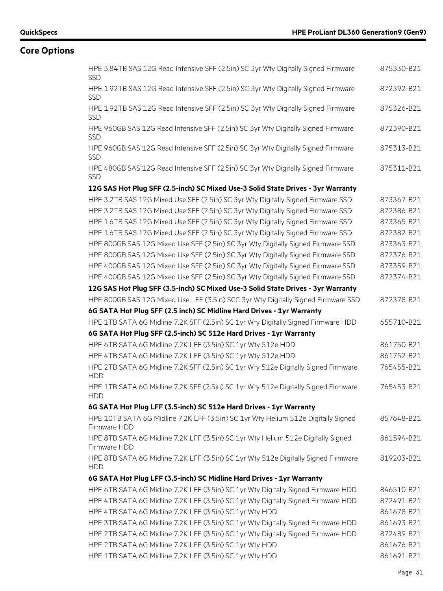| HPE 3.84TB SAS 12G Read Intensive SFF (2.5in) SC 3yr Wty Digitally Signed Firmware<br>SSD         | 875330-B21 |
|---------------------------------------------------------------------------------------------------|------------|
| HPE 1.92TB SAS 12G Read Intensive SFF (2.5in) SC 3yr Wty Digitally Signed Firmware<br><b>SSD</b>  | 872392-B21 |
| HPE 1.92TB SAS 12G Read Intensive SFF (2.5in) SC 3yr Wty Digitally Signed Firmware<br><b>SSD</b>  | 875326-B21 |
| HPE 960GB SAS 12G Read Intensive SFF (2.5in) SC 3yr Wty Digitally Signed Firmware<br><b>SSD</b>   | 872390-B21 |
| HPE 960GB SAS 12G Read Intensive SFF (2.5in) SC 3yr Wty Digitally Signed Firmware<br>SSD          | 875313-B21 |
| HPE 480GB SAS 12G Read Intensive SFF (2.5in) SC 3yr Wty Digitally Signed Firmware<br><b>SSD</b>   | 875311-B21 |
| 12G SAS Hot Plug SFF (2.5-inch) SC Mixed Use-3 Solid State Drives - 3yr Warranty                  |            |
| HPE 3.2TB SAS 12G Mixed Use SFF (2.5in) SC 3yr Wty Digitally Signed Firmware SSD                  | 873367-B21 |
| HPE 3.2TB SAS 12G Mixed Use SFF (2.5in) SC 3yr Wty Digitally Signed Firmware SSD                  | 872386-B21 |
| HPE 1.6TB SAS 12G Mixed Use SFF (2.5in) SC 3yr Wty Digitally Signed Firmware SSD                  | 873365-B21 |
| HPE 1.6TB SAS 12G Mixed Use SFF (2.5in) SC 3yr Wty Digitally Signed Firmware SSD                  | 872382-B21 |
| HPE 800GB SAS 12G Mixed Use SFF (2.5in) SC 3yr Wty Digitally Signed Firmware SSD                  | 873363-B21 |
| HPE 800GB SAS 12G Mixed Use SFF (2.5in) SC 3yr Wty Digitally Signed Firmware SSD                  | 872376-B21 |
| HPE 400GB SAS 12G Mixed Use SFF (2.5in) SC 3yr Wty Digitally Signed Firmware SSD                  | 873359-B21 |
| HPE 400GB SAS 12G Mixed Use SFF (2.5in) SC 3yr Wty Digitally Signed Firmware SSD                  | 872374-B21 |
| 12G SAS Hot Plug SFF (3.5-inch) SC Mixed Use-3 Solid State Drives - 3yr Warranty                  |            |
| HPE 800GB SAS 12G Mixed Use LFF (3.5in) SCC 3yr Wty Digitally Signed Firmware SSD                 | 872378-B21 |
| 6G SATA Hot Plug SFF (2.5 inch) SC Midline Hard Drives - 1yr Warranty                             |            |
| HPE 1TB SATA 6G Midline 7.2K SFF (2.5in) SC 1yr Wty Digitally Signed Firmware HDD                 | 655710-B21 |
| 6G SATA Hot Plug SFF (2.5-inch) SC 512e Hard Drives - 1yr Warranty                                |            |
| HPE 6TB SATA 6G Midline 7.2K LFF (3.5in) SC 1yr Wty 512e HDD                                      | 861750-B21 |
| HPE 4TB SATA 6G Midline 7.2K LFF (3.5in) SC 1yr Wty 512e HDD                                      | 861752-B21 |
| HPE 2TB SATA 6G Midline 7.2K SFF (2.5in) SC 1yr Wty 512e Digitally Signed Firmware<br><b>HDD</b>  | 765455-B21 |
| HPE 1TB SATA 6G Midline 7.2K SFF (2.5in) SC 1yr Wty 512e Digitally Signed Firmware<br><b>HDD</b>  | 765453-B21 |
| 6G SATA Hot Plug LFF (3.5-inch) SC 512e Hard Drives - 1yr Warranty                                |            |
| HPE 10TB SATA 6G Midline 7.2K LFF (3.5in) SC 1yr Wty Helium 512e Digitally Signed<br>Firmware HDD | 857648-B21 |
| HPE 8TB SATA 6G Midline 7.2K LFF (3.5in) SC 1yr Wty Helium 512e Digitally Signed<br>Firmware HDD  | 861594-B21 |
| HPE 8TB SATA 6G Midline 7.2K LFF (3.5in) SC 1yr Wty 512e Digitally Signed Firmware<br><b>HDD</b>  | 819203-B21 |
| 6G SATA Hot Plug LFF (3.5-inch) SC Midline Hard Drives - 1yr Warranty                             |            |
| HPE 6TB SATA 6G Midline 7.2K LFF (3.5in) SC 1yr Wty Digitally Signed Firmware HDD                 | 846510-B21 |
| HPE 4TB SATA 6G Midline 7.2K LFF (3.5in) SC 1yr Wty Digitally Signed Firmware HDD                 | 872491-B21 |
| HPE 4TB SATA 6G Midline 7.2K LFF (3.5in) SC 1yr Wty HDD                                           | 861678-B21 |
| HPE 3TB SATA 6G Midline 7.2K LFF (3.5in) SC 1yr Wty Digitally Signed Firmware HDD                 | 861693-B21 |
| HPE 2TB SATA 6G Midline 7.2K LFF (3.5in) SC 1yr Wty Digitally Signed Firmware HDD                 | 872489-B21 |
| HPE 2TB SATA 6G Midline 7.2K LFF (3.5in) SC 1yr Wty HDD                                           | 861676-B21 |
| HPE 1TB SATA 6G Midline 7.2K LFF (3.5in) SC 1yr Wty HDD                                           | 861691-B21 |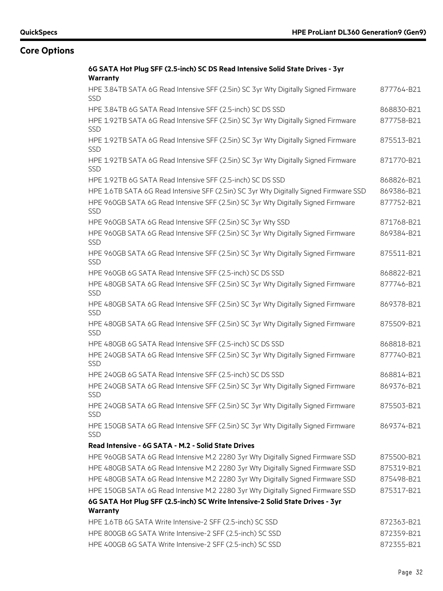| 6G SATA Hot Plug SFF (2.5-inch) SC DS Read Intensive Solid State Drives - 3yr                    |            |
|--------------------------------------------------------------------------------------------------|------------|
| <b>Warranty</b>                                                                                  |            |
| HPE 3.84TB SATA 6G Read Intensive SFF (2.5in) SC 3yr Wty Digitally Signed Firmware<br><b>SSD</b> | 877764-B21 |
| HPE 3.84TB 6G SATA Read Intensive SFF (2.5-inch) SC DS SSD                                       | 868830-B21 |
| HPE 1.92TB SATA 6G Read Intensive SFF (2.5in) SC 3yr Wty Digitally Signed Firmware<br><b>SSD</b> | 877758-B21 |
| HPE 1.92TB SATA 6G Read Intensive SFF (2.5in) SC 3yr Wty Digitally Signed Firmware<br><b>SSD</b> | 875513-B21 |
| HPE 1.92TB SATA 6G Read Intensive SFF (2.5in) SC 3yr Wty Digitally Signed Firmware<br><b>SSD</b> | 871770-B21 |
| HPE 1.92TB 6G SATA Read Intensive SFF (2.5-inch) SC DS SSD                                       | 868826-B21 |
| HPE 1.6TB SATA 6G Read Intensive SFF (2.5in) SC 3yr Wty Digitally Signed Firmware SSD            | 869386-B21 |
| HPE 960GB SATA 6G Read Intensive SFF (2.5in) SC 3yr Wty Digitally Signed Firmware<br><b>SSD</b>  | 877752-B21 |
| HPE 960GB SATA 6G Read Intensive SFF (2.5in) SC 3yr Wty SSD                                      | 871768-B21 |
| HPE 960GB SATA 6G Read Intensive SFF (2.5in) SC 3yr Wty Digitally Signed Firmware<br><b>SSD</b>  | 869384-B21 |
| HPE 960GB SATA 6G Read Intensive SFF (2.5in) SC 3yr Wty Digitally Signed Firmware<br><b>SSD</b>  | 875511-B21 |
| HPE 960GB 6G SATA Read Intensive SFF (2.5-inch) SC DS SSD                                        | 868822-B21 |
| HPE 480GB SATA 6G Read Intensive SFF (2.5in) SC 3yr Wty Digitally Signed Firmware<br><b>SSD</b>  | 877746-B21 |
| HPE 480GB SATA 6G Read Intensive SFF (2.5in) SC 3yr Wty Digitally Signed Firmware<br><b>SSD</b>  | 869378-B21 |
| HPE 480GB SATA 6G Read Intensive SFF (2.5in) SC 3yr Wty Digitally Signed Firmware<br><b>SSD</b>  | 875509-B21 |
| HPE 480GB 6G SATA Read Intensive SFF (2.5-inch) SC DS SSD                                        | 868818-B21 |
| HPE 240GB SATA 6G Read Intensive SFF (2.5in) SC 3yr Wty Digitally Signed Firmware<br><b>SSD</b>  | 877740-B21 |
| HPE 240GB 6G SATA Read Intensive SFF (2.5-inch) SC DS SSD                                        | 868814-B21 |
| HPE 240GB SATA 6G Read Intensive SFF (2.5in) SC 3yr Wty Digitally Signed Firmware<br><b>SSD</b>  | 869376-B21 |
| HPE 240GB SATA 6G Read Intensive SFF (2.5in) SC 3yr Wty Digitally Signed Firmware<br><b>SSD</b>  | 875503-B21 |
| HPE 150GB SATA 6G Read Intensive SFF (2.5in) SC 3yr Wty Digitally Signed Firmware<br>SSD         | 869374-B21 |
| Read Intensive - 6G SATA - M.2 - Solid State Drives                                              |            |
| HPE 960GB SATA 6G Read Intensive M.2 2280 3yr Wty Digitally Signed Firmware SSD                  | 875500-B21 |
| HPE 480GB SATA 6G Read Intensive M.2 2280 3yr Wty Digitally Signed Firmware SSD                  | 875319-B21 |
| HPE 480GB SATA 6G Read Intensive M.2 2280 3yr Wty Digitally Signed Firmware SSD                  | 875498-B21 |
| HPE 150GB SATA 6G Read Intensive M.2 2280 3yr Wty Digitally Signed Firmware SSD                  | 875317-B21 |
| 6G SATA Hot Plug SFF (2.5-inch) SC Write Intensive-2 Solid State Drives - 3yr                    |            |
| Warranty                                                                                         |            |
| HPE 1.6TB 6G SATA Write Intensive-2 SFF (2.5-inch) SC SSD                                        | 872363-B21 |
| HPE 800GB 6G SATA Write Intensive-2 SFF (2.5-inch) SC SSD                                        | 872359-B21 |
| HPE 400GB 6G SATA Write Intensive-2 SFF (2.5-inch) SC SSD                                        | 872355-B21 |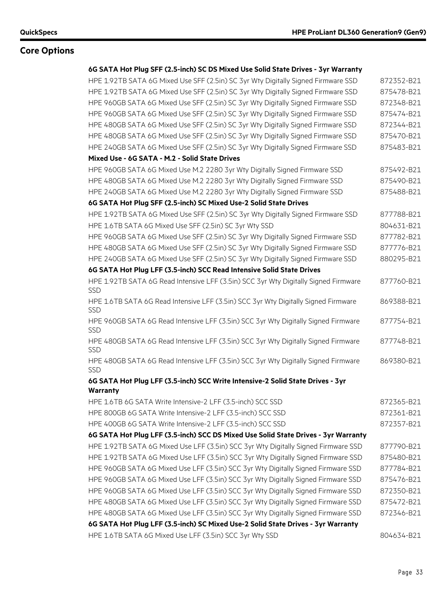### **6G SATA Hot Plug SFF (2.5-inch) SC DS Mixed Use Solid State Drives - 3yr Warranty**

| HPE 1.92TB SATA 6G Mixed Use SFF (2.5in) SC 3yr Wty Digitally Signed Firmware SSD                 | 872352-B21 |
|---------------------------------------------------------------------------------------------------|------------|
| HPE 1.92TB SATA 6G Mixed Use SFF (2.5in) SC 3yr Wty Digitally Signed Firmware SSD                 | 875478-B21 |
| HPE 960GB SATA 6G Mixed Use SFF (2.5in) SC 3yr Wty Digitally Signed Firmware SSD                  | 872348-B21 |
| HPE 960GB SATA 6G Mixed Use SFF (2.5in) SC 3yr Wty Digitally Signed Firmware SSD                  | 875474-B21 |
| HPE 480GB SATA 6G Mixed Use SFF (2.5in) SC 3yr Wty Digitally Signed Firmware SSD                  | 872344-B21 |
| HPE 480GB SATA 6G Mixed Use SFF (2.5in) SC 3yr Wty Digitally Signed Firmware SSD                  | 875470-B21 |
| HPE 240GB SATA 6G Mixed Use SFF (2.5in) SC 3yr Wty Digitally Signed Firmware SSD                  | 875483-B21 |
| Mixed Use - 6G SATA - M.2 - Solid State Drives                                                    |            |
| HPE 960GB SATA 6G Mixed Use M.2 2280 3yr Wty Digitally Signed Firmware SSD                        | 875492-B21 |
| HPE 480GB SATA 6G Mixed Use M.2 2280 3yr Wty Digitally Signed Firmware SSD                        | 875490-B21 |
| HPE 240GB SATA 6G Mixed Use M.2 2280 3yr Wty Digitally Signed Firmware SSD                        | 875488-B21 |
| 6G SATA Hot Plug SFF (2.5-inch) SC Mixed Use-2 Solid State Drives                                 |            |
| HPE 1.92TB SATA 6G Mixed Use SFF (2.5in) SC 3yr Wty Digitally Signed Firmware SSD                 | 877788-B21 |
| HPE 1.6TB SATA 6G Mixed Use SFF (2.5in) SC 3yr Wty SSD                                            | 804631-B21 |
| HPE 960GB SATA 6G Mixed Use SFF (2.5in) SC 3yr Wty Digitally Signed Firmware SSD                  | 877782-B21 |
| HPE 480GB SATA 6G Mixed Use SFF (2.5in) SC 3yr Wty Digitally Signed Firmware SSD                  | 877776-B21 |
| HPE 240GB SATA 6G Mixed Use SFF (2.5in) SC 3yr Wty Digitally Signed Firmware SSD                  | 880295-B21 |
| 6G SATA Hot Plug LFF (3.5-inch) SCC Read Intensive Solid State Drives                             |            |
| HPE 1.92TB SATA 6G Read Intensive LFF (3.5in) SCC 3yr Wty Digitally Signed Firmware<br><b>SSD</b> | 877760-B21 |
| HPE 1.6TB SATA 6G Read Intensive LFF (3.5in) SCC 3yr Wty Digitally Signed Firmware<br><b>SSD</b>  | 869388-B21 |
| HPE 960GB SATA 6G Read Intensive LFF (3.5in) SCC 3yr Wty Digitally Signed Firmware<br><b>SSD</b>  | 877754-B21 |
| HPE 480GB SATA 6G Read Intensive LFF (3.5in) SCC 3yr Wty Digitally Signed Firmware<br><b>SSD</b>  | 877748-B21 |
| HPE 480GB SATA 6G Read Intensive LFF (3.5in) SCC 3yr Wty Digitally Signed Firmware<br><b>SSD</b>  | 869380-B21 |
| 6G SATA Hot Plug LFF (3.5-inch) SCC Write Intensive-2 Solid State Drives - 3yr                    |            |
| <b>Warranty</b>                                                                                   |            |
| HPE 1.6TB 6G SATA Write Intensive-2 LFF (3.5-inch) SCC SSD                                        | 872365-B21 |
| HPE 800GB 6G SATA Write Intensive-2 LFF (3.5-inch) SCC SSD                                        | 872361-B21 |
| HPE 400GB 6G SATA Write Intensive-2 LFF (3.5-inch) SCC SSD                                        | 872357-B21 |
| 6G SATA Hot Plug LFF (3.5-inch) SCC DS Mixed Use Solid State Drives - 3yr Warranty                |            |
| HPE 1.92TB SATA 6G Mixed Use LFF (3.5in) SCC 3yr Wty Digitally Signed Firmware SSD                | 877790-B21 |
| HPE 1.92TB SATA 6G Mixed Use LFF (3.5in) SCC 3yr Wty Digitally Signed Firmware SSD                | 875480-B21 |
| HPE 960GB SATA 6G Mixed Use LFF (3.5in) SCC 3yr Wty Digitally Signed Firmware SSD                 | 877784-B21 |
| HPE 960GB SATA 6G Mixed Use LFF (3.5in) SCC 3yr Wty Digitally Signed Firmware SSD                 | 875476-B21 |
| HPE 960GB SATA 6G Mixed Use LFF (3.5in) SCC 3yr Wty Digitally Signed Firmware SSD                 | 872350-B21 |
| HPE 480GB SATA 6G Mixed Use LFF (3.5in) SCC 3yr Wty Digitally Signed Firmware SSD                 | 875472-B21 |
| HPE 480GB SATA 6G Mixed Use LFF (3.5in) SCC 3yr Wty Digitally Signed Firmware SSD                 | 872346-B21 |
| 6G SATA Hot Plug LFF (3.5-inch) SC Mixed Use-2 Solid State Drives - 3yr Warranty                  |            |
| HPE 1.6TB SATA 6G Mixed Use LFF (3.5in) SCC 3yr Wty SSD                                           | 804634-B21 |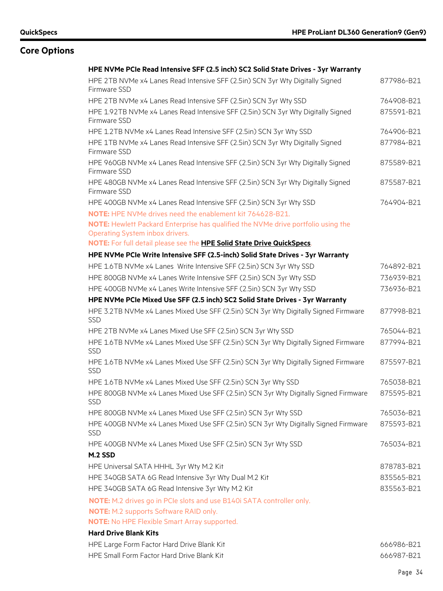| HPE NVMe PCIe Read Intensive SFF (2.5 inch) SC2 Solid State Drives - 3yr Warranty                                                          |            |
|--------------------------------------------------------------------------------------------------------------------------------------------|------------|
| HPE 2TB NVMe x4 Lanes Read Intensive SFF (2.5in) SCN 3yr Wty Digitally Signed<br>Firmware SSD                                              | 877986-B21 |
| HPE 2TB NVMe x4 Lanes Read Intensive SFF (2.5in) SCN 3yr Wty SSD                                                                           | 764908-B21 |
| HPE 1.92TB NVMe x4 Lanes Read Intensive SFF (2.5in) SCN 3yr Wty Digitally Signed<br>Firmware SSD                                           | 875591-B21 |
| HPE 1.2TB NVMe x4 Lanes Read Intensive SFF (2.5in) SCN 3yr Wty SSD                                                                         | 764906-B21 |
| HPE 1TB NVMe x4 Lanes Read Intensive SFF (2.5in) SCN 3yr Wty Digitally Signed<br>Firmware SSD                                              | 877984-B21 |
| HPE 960GB NVMe x4 Lanes Read Intensive SFF (2.5in) SCN 3yr Wty Digitally Signed<br>Firmware SSD                                            | 875589-B21 |
| HPE 480GB NVMe x4 Lanes Read Intensive SFF (2.5in) SCN 3yr Wty Digitally Signed<br>Firmware SSD                                            | 875587-B21 |
| HPE 400GB NVMe x4 Lanes Read Intensive SFF (2.5in) SCN 3yr Wty SSD                                                                         | 764904-B21 |
| <b>NOTE:</b> HPE NVMe drives need the enablement kit 764628-B21.                                                                           |            |
| NOTE: Hewlett Packard Enterprise has qualified the NVMe drive portfolio using the                                                          |            |
| Operating System inbox drivers.<br>NOTE: For full detail please see the HPE Solid State Drive QuickSpecs.                                  |            |
|                                                                                                                                            |            |
| HPE NVMe PCIe Write Intensive SFF (2.5-inch) Solid State Drives - 3yr Warranty                                                             | 764892-B21 |
| HPE 1.6TB NVMe x4 Lanes Write Intensive SFF (2.5in) SCN 3yr Wty SSD<br>HPE 800GB NVMe x4 Lanes Write Intensive SFF (2.5in) SCN 3yr Wty SSD | 736939-B21 |
| HPE 400GB NVMe x4 Lanes Write Intensive SFF (2.5in) SCN 3yr Wty SSD                                                                        | 736936-B21 |
| HPE NVMe PCIe Mixed Use SFF (2.5 inch) SC2 Solid State Drives - 3yr Warranty                                                               |            |
| HPE 3.2TB NVMe x4 Lanes Mixed Use SFF (2.5in) SCN 3yr Wty Digitally Signed Firmware<br><b>SSD</b>                                          | 877998-B21 |
| HPE 2TB NVMe x4 Lanes Mixed Use SFF (2.5in) SCN 3yr Wty SSD                                                                                | 765044-B21 |
| HPE 1.6TB NVMe x4 Lanes Mixed Use SFF (2.5in) SCN 3yr Wty Digitally Signed Firmware<br><b>SSD</b>                                          | 877994-B21 |
| HPE 1.6TB NVMe x4 Lanes Mixed Use SFF (2.5in) SCN 3yr Wty Digitally Signed Firmware<br><b>SSD</b>                                          | 875597-B21 |
| HPE 1.6TB NVMe x4 Lanes Mixed Use SFF (2.5in) SCN 3yr Wty SSD                                                                              | 765038-B21 |
| HPE 800GB NVMe x4 Lanes Mixed Use SFF (2.5in) SCN 3yr Wty Digitally Signed Firmware<br><b>SSD</b>                                          | 875595-B21 |
| HPE 800GB NVMe x4 Lanes Mixed Use SFF (2.5in) SCN 3yr Wty SSD                                                                              | 765036-B21 |
| HPE 400GB NVMe x4 Lanes Mixed Use SFF (2.5in) SCN 3yr Wty Digitally Signed Firmware<br><b>SSD</b>                                          | 875593-B21 |
| HPE 400GB NVMe x4 Lanes Mixed Use SFF (2.5in) SCN 3yr Wty SSD                                                                              | 765034-B21 |
| M.2 SSD                                                                                                                                    |            |
| HPE Universal SATA HHHL 3yr Wty M.2 Kit                                                                                                    | 878783-B21 |
| HPE 340GB SATA 6G Read Intensive 3yr Wty Dual M.2 Kit                                                                                      | 835565-B21 |
| HPE 340GB SATA 6G Read Intensive 3yr Wty M.2 Kit                                                                                           | 835563-B21 |
| NOTE: M.2 drives go in PCIe slots and use B140i SATA controller only.                                                                      |            |
| <b>NOTE:</b> M.2 supports Software RAID only.                                                                                              |            |
| <b>NOTE:</b> No HPE Flexible Smart Array supported.                                                                                        |            |
| <b>Hard Drive Blank Kits</b>                                                                                                               |            |
| HPE Large Form Factor Hard Drive Blank Kit                                                                                                 | 666986-B21 |
| HPE Small Form Factor Hard Drive Blank Kit                                                                                                 | 666987-B21 |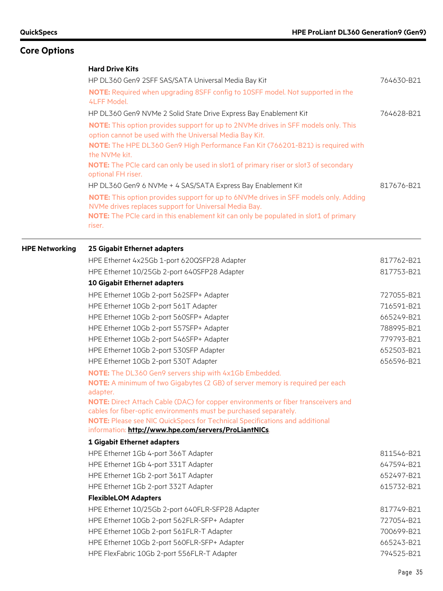|                       | <b>Hard Drive Kits</b>                                                                                                                                                                                                                          |            |
|-----------------------|-------------------------------------------------------------------------------------------------------------------------------------------------------------------------------------------------------------------------------------------------|------------|
|                       | HP DL360 Gen9 2SFF SAS/SATA Universal Media Bay Kit                                                                                                                                                                                             | 764630-B21 |
|                       | <b>NOTE:</b> Required when upgrading 8SFF config to 10SFF model. Not supported in the<br><b>4LFF Model.</b>                                                                                                                                     |            |
|                       | HP DL360 Gen9 NVMe 2 Solid State Drive Express Bay Enablement Kit                                                                                                                                                                               | 764628-B21 |
|                       | NOTE: This option provides support for up to 2NVMe drives in SFF models only. This<br>option cannot be used with the Universal Media Bay Kit.<br>NOTE: The HPE DL360 Gen9 High Performance Fan Kit (766201-B21) is required with                |            |
|                       | the NVMe kit.                                                                                                                                                                                                                                   |            |
|                       | NOTE: The PCIe card can only be used in slot1 of primary riser or slot3 of secondary<br>optional FH riser.                                                                                                                                      |            |
|                       | HP DL360 Gen9 6 NVMe + 4 SAS/SATA Express Bay Enablement Kit                                                                                                                                                                                    | 817676-B21 |
|                       | NOTE: This option provides support for up to 6NVMe drives in SFF models only. Adding<br>NVMe drives replaces support for Universal Media Bay.<br>NOTE: The PCIe card in this enablement kit can only be populated in slot1 of primary<br>riser. |            |
| <b>HPE Networking</b> | 25 Gigabit Ethernet adapters                                                                                                                                                                                                                    |            |
|                       | HPE Ethernet 4x25Gb 1-port 620QSFP28 Adapter                                                                                                                                                                                                    | 817762-B21 |
|                       | HPE Ethernet 10/25Gb 2-port 640SFP28 Adapter                                                                                                                                                                                                    | 817753-B21 |
|                       | 10 Gigabit Ethernet adapters                                                                                                                                                                                                                    |            |
|                       | HPE Ethernet 10Gb 2-port 562SFP+ Adapter                                                                                                                                                                                                        | 727055-B21 |
|                       | HPE Ethernet 10Gb 2-port 561T Adapter                                                                                                                                                                                                           | 716591-B21 |
|                       | HPE Ethernet 10Gb 2-port 560SFP+ Adapter                                                                                                                                                                                                        | 665249-B21 |
|                       | HPE Ethernet 10Gb 2-port 557SFP+ Adapter                                                                                                                                                                                                        | 788995-B21 |
|                       | HPE Ethernet 10Gb 2-port 546SFP+ Adapter                                                                                                                                                                                                        | 779793-B21 |
|                       | HPE Ethernet 10Gb 2-port 530SFP Adapter                                                                                                                                                                                                         | 652503-B21 |
|                       | HPE Ethernet 10Gb 2-port 530T Adapter                                                                                                                                                                                                           | 656596-B21 |
|                       | NOTE: The DL360 Gen9 servers ship with 4x1Gb Embedded.                                                                                                                                                                                          |            |
|                       | <b>NOTE:</b> A minimum of two Gigabytes (2 GB) of server memory is required per each<br>adapter.                                                                                                                                                |            |
|                       | NOTE: Direct Attach Cable (DAC) for copper environments or fiber transceivers and                                                                                                                                                               |            |
|                       | cables for fiber-optic environments must be purchased separately.                                                                                                                                                                               |            |
|                       | NOTE: Please see NIC QuickSpecs for Technical Specifications and additional<br>information: http://www.hpe.com/servers/ProLiantNICs.                                                                                                            |            |
|                       | 1 Gigabit Ethernet adapters                                                                                                                                                                                                                     |            |
|                       | HPE Ethernet 1Gb 4-port 366T Adapter                                                                                                                                                                                                            | 811546-B21 |
|                       | HPE Ethernet 1Gb 4-port 331T Adapter                                                                                                                                                                                                            | 647594-B21 |
|                       | HPE Ethernet 1Gb 2-port 361T Adapter                                                                                                                                                                                                            | 652497-B21 |
|                       | HPE Ethernet 1Gb 2-port 332T Adapter                                                                                                                                                                                                            | 615732-B21 |
|                       | <b>FlexibleLOM Adapters</b>                                                                                                                                                                                                                     |            |
|                       | HPE Ethernet 10/25Gb 2-port 640FLR-SFP28 Adapter                                                                                                                                                                                                | 817749-B21 |
|                       | HPE Ethernet 10Gb 2-port 562FLR-SFP+ Adapter                                                                                                                                                                                                    | 727054-B21 |
|                       | HPE Ethernet 10Gb 2-port 561FLR-T Adapter                                                                                                                                                                                                       | 700699-B21 |
|                       | HPE Ethernet 10Gb 2-port 560FLR-SFP+ Adapter                                                                                                                                                                                                    | 665243-B21 |
|                       | HPE FlexFabric 10Gb 2-port 556FLR-T Adapter                                                                                                                                                                                                     | 794525-B21 |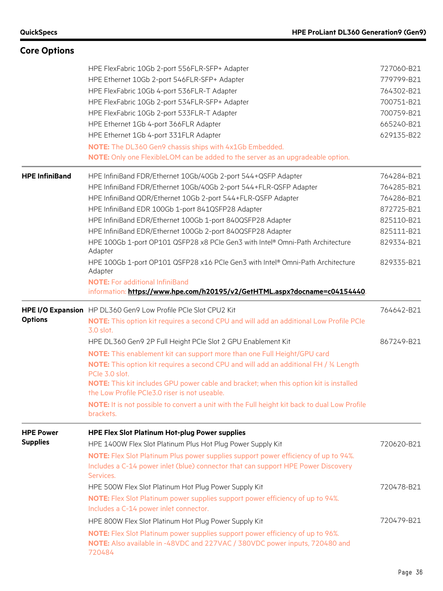| <b>Core Options</b>   |                                                                                                                                                                                                                               |                          |
|-----------------------|-------------------------------------------------------------------------------------------------------------------------------------------------------------------------------------------------------------------------------|--------------------------|
|                       | HPE FlexFabric 10Gb 2-port 556FLR-SFP+ Adapter<br>HPE Ethernet 10Gb 2-port 546FLR-SFP+ Adapter                                                                                                                                | 727060-B21<br>779799-B21 |
|                       | HPE FlexFabric 10Gb 4-port 536FLR-T Adapter                                                                                                                                                                                   | 764302-B21               |
|                       | HPE FlexFabric 10Gb 2-port 534FLR-SFP+ Adapter                                                                                                                                                                                | 700751-B21               |
|                       | HPE FlexFabric 10Gb 2-port 533FLR-T Adapter                                                                                                                                                                                   | 700759-B21               |
|                       | HPE Ethernet 1Gb 4-port 366FLR Adapter                                                                                                                                                                                        | 665240-B21               |
|                       | HPE Ethernet 1Gb 4-port 331FLR Adapter                                                                                                                                                                                        | 629135-B22               |
|                       | NOTE: The DL360 Gen9 chassis ships with 4x1Gb Embedded.<br>NOTE: Only one FlexibleLOM can be added to the server as an upgradeable option.                                                                                    |                          |
|                       |                                                                                                                                                                                                                               |                          |
| <b>HPE InfiniBand</b> | HPE InfiniBand FDR/Ethernet 10Gb/40Gb 2-port 544+QSFP Adapter                                                                                                                                                                 | 764284-B21               |
|                       | HPE InfiniBand FDR/Ethernet 10Gb/40Gb 2-port 544+FLR-QSFP Adapter                                                                                                                                                             | 764285-B21               |
|                       | HPE InfiniBand QDR/Ethernet 10Gb 2-port 544+FLR-QSFP Adapter                                                                                                                                                                  | 764286-B21<br>872725-B21 |
|                       | HPE InfiniBand EDR 100Gb 1-port 841QSFP28 Adapter                                                                                                                                                                             | 825110-B21               |
|                       | HPE InfiniBand EDR/Ethernet 100Gb 1-port 840QSFP28 Adapter                                                                                                                                                                    |                          |
|                       | HPE InfiniBand EDR/Ethernet 100Gb 2-port 840QSFP28 Adapter                                                                                                                                                                    | 825111-B21<br>829334-B21 |
|                       | HPE 100Gb 1-port OP101 QSFP28 x8 PCIe Gen3 with Intel® Omni-Path Architecture<br>Adapter                                                                                                                                      |                          |
|                       | HPE 100Gb 1-port OP101 QSFP28 x16 PCIe Gen3 with Intel® Omni-Path Architecture<br>Adapter                                                                                                                                     | 829335-B21               |
|                       | <b>NOTE:</b> For additional InfiniBand<br>information: https://www.hpe.com/h20195/v2/GetHTML.aspx?docname=c04154440                                                                                                           |                          |
|                       |                                                                                                                                                                                                                               |                          |
|                       |                                                                                                                                                                                                                               | 764642-B21               |
| <b>Options</b>        | HPE I/O Expansion HP DL360 Gen9 Low Profile PCIe Slot CPU2 Kit<br>NOTE: This option kit requires a second CPU and will add an additional Low Profile PCIe<br>3.0 slot.                                                        |                          |
|                       | HPE DL360 Gen9 2P Full Height PCIe Slot 2 GPU Enablement Kit                                                                                                                                                                  | 867249-B21               |
|                       | NOTE: This enablement kit can support more than one Full Height/GPU card                                                                                                                                                      |                          |
|                       | <b>NOTE:</b> This option kit requires a second CPU and will add an additional FH / 34 Length                                                                                                                                  |                          |
|                       | PCIe 3.0 slot.<br>NOTE: This kit includes GPU power cable and bracket; when this option kit is installed<br>the Low Profile PCIe3.0 riser is not useable.                                                                     |                          |
|                       | NOTE: It is not possible to convert a unit with the Full height kit back to dual Low Profile<br>brackets.                                                                                                                     |                          |
|                       |                                                                                                                                                                                                                               |                          |
| <b>HPE Power</b>      | <b>HPE Flex Slot Platinum Hot-plug Power supplies</b>                                                                                                                                                                         |                          |
| <b>Supplies</b>       | HPE 1400W Flex Slot Platinum Plus Hot Plug Power Supply Kit                                                                                                                                                                   | 720620-B21               |
|                       | NOTE: Flex Slot Platinum Plus power supplies support power efficiency of up to 94%.<br>Includes a C-14 power inlet (blue) connector that can support HPE Power Discovery                                                      |                          |
|                       | Services.                                                                                                                                                                                                                     |                          |
|                       | HPE 500W Flex Slot Platinum Hot Plug Power Supply Kit<br><b>NOTE:</b> Flex Slot Platinum power supplies support power efficiency of up to 94%.                                                                                | 720478-B21               |
|                       | Includes a C-14 power inlet connector.                                                                                                                                                                                        |                          |
|                       | HPE 800W Flex Slot Platinum Hot Plug Power Supply Kit<br><b>NOTE:</b> Flex Slot Platinum power supplies support power efficiency of up to 96%.<br>NOTE: Also available in -48VDC and 227VAC / 380VDC power inputs, 720480 and | 720479-B21               |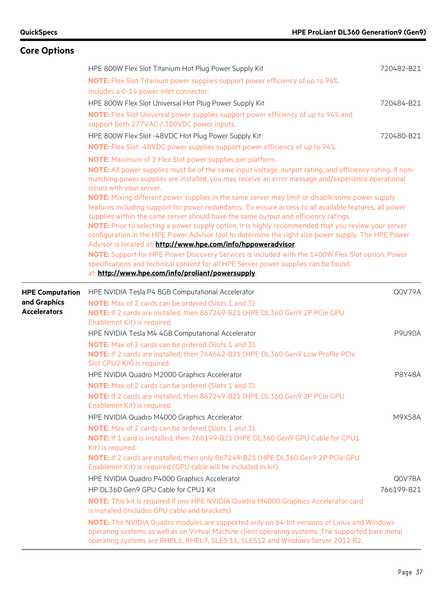| <b>Core Options</b>    |                                                                                                                                                                                                                                                                                                                                                                                                                                                                                                                                                                                  |               |
|------------------------|----------------------------------------------------------------------------------------------------------------------------------------------------------------------------------------------------------------------------------------------------------------------------------------------------------------------------------------------------------------------------------------------------------------------------------------------------------------------------------------------------------------------------------------------------------------------------------|---------------|
|                        | HPE 800W Flex Slot Titanium Hot Plug Power Supply Kit                                                                                                                                                                                                                                                                                                                                                                                                                                                                                                                            | 720482-B21    |
|                        | <b>NOTE:</b> Flex Slot Titanium power supplies support power efficiency of up to 96%.<br>Includes a C-14 power inlet connector.                                                                                                                                                                                                                                                                                                                                                                                                                                                  |               |
|                        | HPE 800W Flex Slot Universal Hot Plug Power Supply Kit                                                                                                                                                                                                                                                                                                                                                                                                                                                                                                                           | 720484-B21    |
|                        | NOTE: Flex Slot Universal power supplies support power efficiency of up to 94% and<br>support both 277VAC / 380VDC power inputs.                                                                                                                                                                                                                                                                                                                                                                                                                                                 |               |
|                        | HPE 800W Flex Slot -48VDC Hot Plug Power Supply Kit                                                                                                                                                                                                                                                                                                                                                                                                                                                                                                                              | 720480-B21    |
|                        | <b>NOTE:</b> Flex Slot -48VDC power supplies support power efficiency of up to 94%.                                                                                                                                                                                                                                                                                                                                                                                                                                                                                              |               |
|                        | NOTE: Maximum of 2 Flex Slot power supplies per platform.                                                                                                                                                                                                                                                                                                                                                                                                                                                                                                                        |               |
|                        | NOTE: All power supplies must be of the same input voltage, output rating, and efficiency rating. If non-<br>matching power supplies are installed, you may receive an error message and/experience operational<br>issues with your server.                                                                                                                                                                                                                                                                                                                                      |               |
|                        | NOTE: Mixing different power supplies in the same server may limit or disable some power supply<br>features including support for power redundancy. To ensure access to all available features, all power<br>supplies within the same server should have the same output and efficiency ratings<br>NOTE: Prior to selecting a power supply option, it is highly recommended that you review your server<br>configuration in the HPE Power Advisor tool to determine the right size power supply. The HPE Power<br>Advisor is located at: http://www.hpe.com/info/hppoweradvisor. |               |
|                        | NOTE: Support for HPE Power Discovery Services is included with the 1400W Flex Slot option. Power                                                                                                                                                                                                                                                                                                                                                                                                                                                                                |               |
|                        | specifications and technical content for all HPE Server power supplies can be found                                                                                                                                                                                                                                                                                                                                                                                                                                                                                              |               |
|                        | at: http://www.hpe.com/info/proliant/powersupply.                                                                                                                                                                                                                                                                                                                                                                                                                                                                                                                                |               |
| <b>HPE Computation</b> | HPE NVIDIA Tesla P4 8GB Computational Accelerator                                                                                                                                                                                                                                                                                                                                                                                                                                                                                                                                | Q0V79A        |
| and Graphics           | <b>NOTE:</b> Max of 2 cards can be ordered (Slots 1 and 3).                                                                                                                                                                                                                                                                                                                                                                                                                                                                                                                      |               |
| <b>Accelerators</b>    | NOTE: If 2 cards are installed, then 867249-B21 (HPE DL360 Gen9 2P PCIe GPU<br>Enablemnt Kit) is required.                                                                                                                                                                                                                                                                                                                                                                                                                                                                       |               |
|                        | HPE NVIDIA Tesla M4 4GB Computational Accelerator                                                                                                                                                                                                                                                                                                                                                                                                                                                                                                                                | <b>P9U90A</b> |
|                        | NOTE: Max of 2 cards can be ordered (Slots 1 and 3).                                                                                                                                                                                                                                                                                                                                                                                                                                                                                                                             |               |
|                        | NOTE: If 2 cards are installed, then 764642-B21 (HPE DL360 Gen9 Low Profile PCIe                                                                                                                                                                                                                                                                                                                                                                                                                                                                                                 |               |
|                        | Slot CPU2 Kit) is required.                                                                                                                                                                                                                                                                                                                                                                                                                                                                                                                                                      |               |
|                        | HPE NVIDIA Quadro M2000 Graphics Accelerator                                                                                                                                                                                                                                                                                                                                                                                                                                                                                                                                     | P8Y48A        |
|                        | <b>NOTE:</b> Max of 2 cards can be ordered (Slots 1 and 3).                                                                                                                                                                                                                                                                                                                                                                                                                                                                                                                      |               |
|                        | NOTE: If 2 cards are installed, then 867249-B21 (HPE DL360 Gen9 2P PCIe GPU<br>Enablemnt Kit) is required.                                                                                                                                                                                                                                                                                                                                                                                                                                                                       |               |
|                        | HPE NVIDIA Quadro M4000 Graphics Accelerator                                                                                                                                                                                                                                                                                                                                                                                                                                                                                                                                     | M9X58A        |
|                        | <b>NOTE:</b> Max of 2 cards can be ordered (Slots 1 and 3).                                                                                                                                                                                                                                                                                                                                                                                                                                                                                                                      |               |
|                        | NOTE: If 1 card is installed, then 766199-B21 (HPE DL360 Gen9 GPU Cable for CPU1                                                                                                                                                                                                                                                                                                                                                                                                                                                                                                 |               |
|                        | Kit) is required.                                                                                                                                                                                                                                                                                                                                                                                                                                                                                                                                                                |               |
|                        | NOTE: If 2 cards are installed, then only 867249-B21 (HPE DL360 Gen9 2P PCIe GPU<br>Enablemnt Kit) is required (GPU cable will be included in kit).                                                                                                                                                                                                                                                                                                                                                                                                                              |               |
|                        | HPE NVIDIA Quadro P4000 Graphics Accelerator                                                                                                                                                                                                                                                                                                                                                                                                                                                                                                                                     | Q0V78A        |
|                        | HP DL360 Gen9 GPU Cable for CPU1 Kit                                                                                                                                                                                                                                                                                                                                                                                                                                                                                                                                             | 766199-B21    |
|                        | NOTE: This kit is required if one HPE NVIDIA Quadro M4000 Graphics Accelerator card<br>is installed (includes GPU cable and brackets).                                                                                                                                                                                                                                                                                                                                                                                                                                           |               |
|                        | NOTE: The NVIDIA Quadro modules are supported only on 64-bit versions of Linux and Windows<br>operating systems as well as on Virtual Machine client operating systems. The supported bare metal<br>operating systems are RHEL6, RHEL7, SLES 11, SLES12 and Windows Server 2012 R2.                                                                                                                                                                                                                                                                                              |               |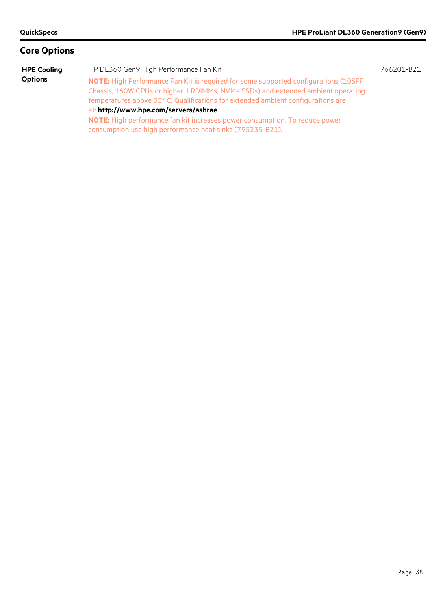**HPE Cooling Options**

HP DL360 Gen9 High Performance Fan Kit 766201-B21 **NOTE:** High Performance Fan Kit is required for some supported configurations (10SFF Chassis, 160W CPUs or higher, LRDIMMs, NVMe SSDs) and extended ambient operating temperatures above 35° C. Qualifications for extended ambient configurations are at: **<http://www.hpe.com/servers/ashrae>**. **NOTE:** High performance fan kit increases power consumption. To reduce power consumption use high performance heat sinks (795235-B21).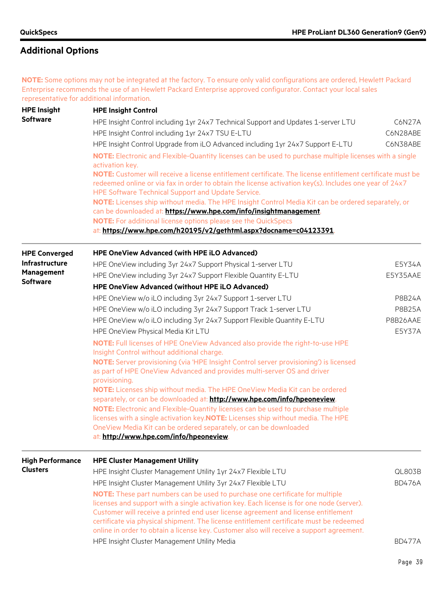**NOTE:** Some options may not be integrated at the factory. To ensure only valid configurations are ordered, Hewlett Packard Enterprise recommends the use of an Hewlett Packard Enterprise approved configurator. Contact your local sales representative for additional information.

| <b>HPE Insight</b>            | <b>HPE Insight Control</b>                                                                                                                                                                                                                                                                                                                                  |               |  |  |
|-------------------------------|-------------------------------------------------------------------------------------------------------------------------------------------------------------------------------------------------------------------------------------------------------------------------------------------------------------------------------------------------------------|---------------|--|--|
| <b>Software</b>               | HPE Insight Control including 1yr 24x7 Technical Support and Updates 1-server LTU                                                                                                                                                                                                                                                                           | C6N27A        |  |  |
|                               | HPE Insight Control including 1yr 24x7 TSU E-LTU                                                                                                                                                                                                                                                                                                            | C6N28ABE      |  |  |
|                               | HPE Insight Control Upgrade from iLO Advanced including 1yr 24x7 Support E-LTU                                                                                                                                                                                                                                                                              | C6N38ABE      |  |  |
|                               | NOTE: Electronic and Flexible-Quantity licenses can be used to purchase multiple licenses with a single<br>activation key.                                                                                                                                                                                                                                  |               |  |  |
|                               | NOTE: Customer will receive a license entitlement certificate. The license entitlement certificate must be<br>redeemed online or via fax in order to obtain the license activation key(s). Includes one year of 24x7<br>HPE Software Technical Support and Update Service.                                                                                  |               |  |  |
|                               | NOTE: Licenses ship without media. The HPE Insight Control Media Kit can be ordered separately, or                                                                                                                                                                                                                                                          |               |  |  |
|                               | can be downloaded at: https://www.hpe.com/info/insightmanagement.<br>NOTE: For additional license options please see the QuickSpecs                                                                                                                                                                                                                         |               |  |  |
|                               | at: https://www.hpe.com/h20195/v2/gethtml.aspx?docname=c04123391.                                                                                                                                                                                                                                                                                           |               |  |  |
| <b>HPE Converged</b>          | <b>HPE OneView Advanced (with HPE iLO Advanced)</b>                                                                                                                                                                                                                                                                                                         |               |  |  |
| Infrastructure                | HPE OneView including 3yr 24x7 Support Physical 1-server LTU                                                                                                                                                                                                                                                                                                | E5Y34A        |  |  |
| Management<br><b>Software</b> | HPE OneView including 3yr 24x7 Support Flexible Quantity E-LTU                                                                                                                                                                                                                                                                                              | E5Y35AAE      |  |  |
|                               | HPE OneView Advanced (without HPE iLO Advanced)                                                                                                                                                                                                                                                                                                             |               |  |  |
|                               | HPE OneView w/o iLO including 3yr 24x7 Support 1-server LTU                                                                                                                                                                                                                                                                                                 | <b>P8B24A</b> |  |  |
|                               | HPE OneView w/o iLO including 3yr 24x7 Support Track 1-server LTU                                                                                                                                                                                                                                                                                           | <b>P8B25A</b> |  |  |
|                               | HPE OneView w/o iLO including 3yr 24x7 Support Flexible Quantity E-LTU                                                                                                                                                                                                                                                                                      | P8B26AAE      |  |  |
|                               | HPE OneView Physical Media Kit LTU                                                                                                                                                                                                                                                                                                                          | E5Y37A        |  |  |
|                               | NOTE: Full licenses of HPE OneView Advanced also provide the right-to-use HPE<br>Insight Control without additional charge.                                                                                                                                                                                                                                 |               |  |  |
|                               | NOTE: Server provisioning (via 'HPE Insight Control server provisioning') is licensed<br>as part of HPE OneView Advanced and provides multi-server OS and driver<br>provisioning.                                                                                                                                                                           |               |  |  |
|                               | NOTE: Licenses ship without media. The HPE OneView Media Kit can be ordered<br>separately, or can be downloaded at: http://www.hpe.com/info/hpeoneview.                                                                                                                                                                                                     |               |  |  |
|                               | NOTE: Electronic and Flexible-Quantity licenses can be used to purchase multiple                                                                                                                                                                                                                                                                            |               |  |  |
|                               | licenses with a single activation key. NOTE: Licenses ship without media. The HPE                                                                                                                                                                                                                                                                           |               |  |  |
|                               | OneView Media Kit can be ordered separately, or can be downloaded<br>at: http://www.hpe.com/info/hpeoneview.                                                                                                                                                                                                                                                |               |  |  |
| <b>High Performance</b>       | <b>HPE Cluster Management Utility</b>                                                                                                                                                                                                                                                                                                                       |               |  |  |
| <b>Clusters</b>               | HPE Insight Cluster Management Utility 1yr 24x7 Flexible LTU                                                                                                                                                                                                                                                                                                | QL803B        |  |  |
|                               | HPE Insight Cluster Management Utility 3yr 24x7 Flexible LTU                                                                                                                                                                                                                                                                                                | <b>BD476A</b> |  |  |
|                               | NOTE: These part numbers can be used to purchase one certificate for multiple<br>licenses and support with a single activation key. Each license is for one node (server).<br>Customer will receive a printed end user license agreement and license entitlement<br>certificate via physical shipment. The license entitlement certificate must be redeemed |               |  |  |
|                               | online in order to obtain a license key. Customer also will receive a support agreement.                                                                                                                                                                                                                                                                    |               |  |  |
|                               | HPE Insight Cluster Management Utility Media                                                                                                                                                                                                                                                                                                                | <b>BD477A</b> |  |  |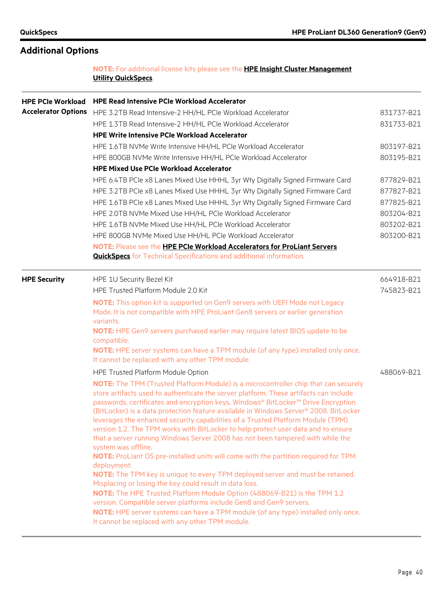### **NOTE:** For additional license kits please see the **[HPE Insight Cluster Management](https://www.hpe.com/h20195/v2/GetHTML.aspx?docname=c04111735)  [Utility QuickSpecs](https://www.hpe.com/h20195/v2/GetHTML.aspx?docname=c04111735)**.

| <b>HPE PCIe Workload</b>   | <b>HPE Read Intensive PCIe Workload Accelerator</b>                                                                                                                                                                                                                                                                                                                                                                                                                                                                                                                                                                                                                                                                                                                                                                                                                                                                                                                                                                                                      |            |
|----------------------------|----------------------------------------------------------------------------------------------------------------------------------------------------------------------------------------------------------------------------------------------------------------------------------------------------------------------------------------------------------------------------------------------------------------------------------------------------------------------------------------------------------------------------------------------------------------------------------------------------------------------------------------------------------------------------------------------------------------------------------------------------------------------------------------------------------------------------------------------------------------------------------------------------------------------------------------------------------------------------------------------------------------------------------------------------------|------------|
| <b>Accelerator Options</b> | HPE 3.2TB Read Intensive-2 HH/HL PCIe Workload Accelerator                                                                                                                                                                                                                                                                                                                                                                                                                                                                                                                                                                                                                                                                                                                                                                                                                                                                                                                                                                                               | 831737-B21 |
|                            | HPE 1.3TB Read Intensive-2 HH/HL PCIe Workload Accelerator                                                                                                                                                                                                                                                                                                                                                                                                                                                                                                                                                                                                                                                                                                                                                                                                                                                                                                                                                                                               | 831733-B21 |
|                            | <b>HPE Write Intensive PCIe Workload Accelerator</b>                                                                                                                                                                                                                                                                                                                                                                                                                                                                                                                                                                                                                                                                                                                                                                                                                                                                                                                                                                                                     |            |
|                            | HPE 1.6TB NVMe Write Intensive HH/HL PCIe Workload Accelerator                                                                                                                                                                                                                                                                                                                                                                                                                                                                                                                                                                                                                                                                                                                                                                                                                                                                                                                                                                                           | 803197-B21 |
|                            | HPE 800GB NVMe Write Intensive HH/HL PCIe Workload Accelerator                                                                                                                                                                                                                                                                                                                                                                                                                                                                                                                                                                                                                                                                                                                                                                                                                                                                                                                                                                                           | 803195-B21 |
|                            | <b>HPE Mixed Use PCIe Workload Accelerator</b>                                                                                                                                                                                                                                                                                                                                                                                                                                                                                                                                                                                                                                                                                                                                                                                                                                                                                                                                                                                                           |            |
|                            | HPE 6.4TB PCIe x8 Lanes Mixed Use HHHL 3yr Wty Digitally Signed Firmware Card                                                                                                                                                                                                                                                                                                                                                                                                                                                                                                                                                                                                                                                                                                                                                                                                                                                                                                                                                                            | 877829-B21 |
|                            | HPE 3.2TB PCIe x8 Lanes Mixed Use HHHL 3yr Wty Digitally Signed Firmware Card                                                                                                                                                                                                                                                                                                                                                                                                                                                                                                                                                                                                                                                                                                                                                                                                                                                                                                                                                                            | 877827-B21 |
|                            | HPE 1.6TB PCIe x8 Lanes Mixed Use HHHL 3yr Wty Digitally Signed Firmware Card                                                                                                                                                                                                                                                                                                                                                                                                                                                                                                                                                                                                                                                                                                                                                                                                                                                                                                                                                                            | 877825-B21 |
|                            | HPE 2.0TB NVMe Mixed Use HH/HL PCIe Workload Accelerator                                                                                                                                                                                                                                                                                                                                                                                                                                                                                                                                                                                                                                                                                                                                                                                                                                                                                                                                                                                                 | 803204-B21 |
|                            | HPE 1.6TB NVMe Mixed Use HH/HL PCIe Workload Accelerator                                                                                                                                                                                                                                                                                                                                                                                                                                                                                                                                                                                                                                                                                                                                                                                                                                                                                                                                                                                                 | 803202-B21 |
|                            | HPE 800GB NVMe Mixed Use HH/HL PCIe Workload Accelerator                                                                                                                                                                                                                                                                                                                                                                                                                                                                                                                                                                                                                                                                                                                                                                                                                                                                                                                                                                                                 | 803200-B21 |
|                            | NOTE: Please see the HPE PCIe Workload Accelerators for ProLiant Servers                                                                                                                                                                                                                                                                                                                                                                                                                                                                                                                                                                                                                                                                                                                                                                                                                                                                                                                                                                                 |            |
|                            | <b>QuickSpecs</b> for Technical Specifications and additional information.                                                                                                                                                                                                                                                                                                                                                                                                                                                                                                                                                                                                                                                                                                                                                                                                                                                                                                                                                                               |            |
| <b>HPE Security</b>        | HPE 1U Security Bezel Kit                                                                                                                                                                                                                                                                                                                                                                                                                                                                                                                                                                                                                                                                                                                                                                                                                                                                                                                                                                                                                                | 664918-B21 |
|                            | HPE Trusted Platform Module 2.0 Kit                                                                                                                                                                                                                                                                                                                                                                                                                                                                                                                                                                                                                                                                                                                                                                                                                                                                                                                                                                                                                      | 745823-B21 |
|                            | NOTE: This option kit is supported on Gen9 servers with UEFI Mode not Legacy                                                                                                                                                                                                                                                                                                                                                                                                                                                                                                                                                                                                                                                                                                                                                                                                                                                                                                                                                                             |            |
|                            | Mode. It is not compatible with HPE ProLiant Gen8 servers or earlier generation<br>variants.                                                                                                                                                                                                                                                                                                                                                                                                                                                                                                                                                                                                                                                                                                                                                                                                                                                                                                                                                             |            |
|                            | NOTE: HPE Gen9 servers purchased earlier may require latest BIOS update to be<br>compatible.                                                                                                                                                                                                                                                                                                                                                                                                                                                                                                                                                                                                                                                                                                                                                                                                                                                                                                                                                             |            |
|                            | NOTE: HPE server systems can have a TPM module (of any type) installed only once.<br>It cannot be replaced with any other TPM module.                                                                                                                                                                                                                                                                                                                                                                                                                                                                                                                                                                                                                                                                                                                                                                                                                                                                                                                    |            |
|                            | HPE Trusted Platform Module Option                                                                                                                                                                                                                                                                                                                                                                                                                                                                                                                                                                                                                                                                                                                                                                                                                                                                                                                                                                                                                       | 488069-B21 |
|                            | <b>NOTE:</b> The TPM (Trusted Platform Module) is a microcontroller chip that can securely<br>store artifacts used to authenticate the server platform. These artifacts can include<br>passwords, certificates and encryption keys. Windows® BitLocker™ Drive Encryption<br>(BitLocker) is a data protection feature available in Windows Server® 2008. BitLocker<br>leverages the enhanced security capabilities of a Trusted Platform Module (TPM)<br>version 1.2. The TPM works with BitLocker to help protect user data and to ensure<br>that a server running Windows Server 2008 has not been tampered with while the<br>system was offline.<br>NOTE: ProLiant OS pre-installed units will come with the partition required for TPM<br>deployment.<br>NOTE: The TPM key is unique to every TPM deployed server and must be retained.<br>Misplacing or losing the key could result in data loss.<br>NOTE: The HPE Trusted Platform Module Option (488069-B21) is the TPM 1.2<br>version. Compatible server platforms include Gen8 and Gen9 servers. |            |
|                            | NOTE: HPE server systems can have a TPM module (of any type) installed only once.<br>It cannot be replaced with any other TPM module.                                                                                                                                                                                                                                                                                                                                                                                                                                                                                                                                                                                                                                                                                                                                                                                                                                                                                                                    |            |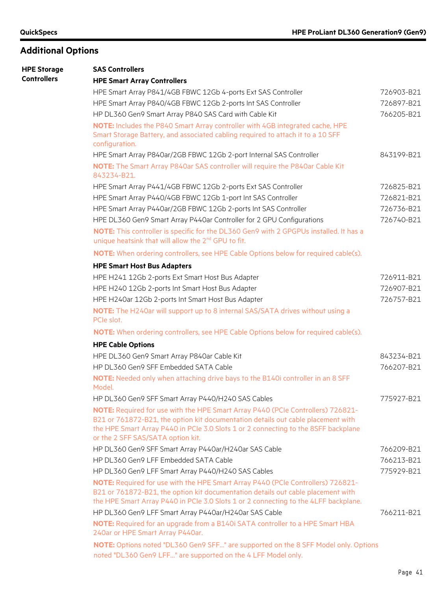| <b>HPE Storage</b> | <b>SAS Controllers</b>                                                                                                                                                                                                                                     |            |
|--------------------|------------------------------------------------------------------------------------------------------------------------------------------------------------------------------------------------------------------------------------------------------------|------------|
| <b>Controllers</b> | <b>HPE Smart Array Controllers</b>                                                                                                                                                                                                                         |            |
|                    | HPE Smart Array P841/4GB FBWC 12Gb 4-ports Ext SAS Controller                                                                                                                                                                                              | 726903-B21 |
|                    | HPE Smart Array P840/4GB FBWC 12Gb 2-ports Int SAS Controller                                                                                                                                                                                              | 726897-B21 |
|                    | HP DL360 Gen9 Smart Array P840 SAS Card with Cable Kit                                                                                                                                                                                                     | 766205-B21 |
|                    | NOTE: Includes the P840 Smart Array controller with 4GB integrated cache, HPE<br>Smart Storage Battery, and associated cabling required to attach it to a 10 SFF<br>configuration.                                                                         |            |
|                    | HPE Smart Array P840ar/2GB FBWC 12Gb 2-port Internal SAS Controller                                                                                                                                                                                        | 843199-B21 |
|                    | NOTE: The Smart Array P840ar SAS controller will require the P840ar Cable Kit<br>843234-B21.                                                                                                                                                               |            |
|                    | HPE Smart Array P441/4GB FBWC 12Gb 2-ports Ext SAS Controller                                                                                                                                                                                              | 726825-B21 |
|                    | HPE Smart Array P440/4GB FBWC 12Gb 1-port Int SAS Controller                                                                                                                                                                                               | 726821-B21 |
|                    | HPE Smart Array P440ar/2GB FBWC 12Gb 2-ports Int SAS Controller                                                                                                                                                                                            | 726736-B21 |
|                    | HPE DL360 Gen9 Smart Array P440ar Controller for 2 GPU Configurations                                                                                                                                                                                      | 726740-B21 |
|                    | NOTE: This controller is specific for the DL360 Gen9 with 2 GPGPUs installed. It has a<br>unique heatsink that will allow the 2 <sup>nd</sup> GPU to fit.                                                                                                  |            |
|                    | NOTE: When ordering controllers, see HPE Cable Options below for required cable(s).                                                                                                                                                                        |            |
|                    | <b>HPE Smart Host Bus Adapters</b>                                                                                                                                                                                                                         |            |
|                    | HPE H241 12Gb 2-ports Ext Smart Host Bus Adapter                                                                                                                                                                                                           | 726911-B21 |
|                    | HPE H240 12Gb 2-ports Int Smart Host Bus Adapter                                                                                                                                                                                                           | 726907-B21 |
|                    | HPE H240ar 12Gb 2-ports Int Smart Host Bus Adapter                                                                                                                                                                                                         | 726757-B21 |
|                    | NOTE: The H240ar will support up to 8 internal SAS/SATA drives without using a<br>PCIe slot.                                                                                                                                                               |            |
|                    | NOTE: When ordering controllers, see HPE Cable Options below for required cable(s).                                                                                                                                                                        |            |
|                    | <b>HPE Cable Options</b>                                                                                                                                                                                                                                   |            |
|                    | HPE DL360 Gen9 Smart Array P840ar Cable Kit                                                                                                                                                                                                                | 843234-B21 |
|                    | HP DL360 Gen9 SFF Embedded SATA Cable                                                                                                                                                                                                                      | 766207-B21 |
|                    | NOTE: Needed only when attaching drive bays to the B140i controller in an 8 SFF<br>Model.                                                                                                                                                                  |            |
|                    | HP DL360 Gen9 SFF Smart Array P440/H240 SAS Cables                                                                                                                                                                                                         | 775927-B21 |
|                    | NOTE: Required for use with the HPE Smart Array P440 (PCIe Controllers) 726821-                                                                                                                                                                            |            |
|                    | B21 or 761872-B21, the option kit documentation details out cable placement with<br>the HPE Smart Array P440 in PCIe 3.0 Slots 1 or 2 connecting to the 8SFF backplane<br>or the 2 SFF SAS/SATA option kit.                                                |            |
|                    | HP DL360 Gen9 SFF Smart Array P440ar/H240ar SAS Cable                                                                                                                                                                                                      | 766209-B21 |
|                    | HP DL360 Gen9 LFF Embedded SATA Cable                                                                                                                                                                                                                      | 766213-B21 |
|                    | HP DL360 Gen9 LFF Smart Array P440/H240 SAS Cables                                                                                                                                                                                                         | 775929-B21 |
|                    | NOTE: Required for use with the HPE Smart Array P440 (PCIe Controllers) 726821-<br>B21 or 761872-B21, the option kit documentation details out cable placement with<br>the HPE Smart Array P440 in PCIe 3.0 Slots 1 or 2 connecting to the 4LFF backplane. |            |
|                    | HP DL360 Gen9 LFF Smart Array P440ar/H240ar SAS Cable                                                                                                                                                                                                      | 766211-B21 |
|                    | NOTE: Required for an upgrade from a B140i SATA controller to a HPE Smart HBA<br>240ar or HPE Smart Array P440ar.                                                                                                                                          |            |
|                    | NOTE: Options noted "DL360 Gen9 SFF" are supported on the 8 SFF Model only. Options<br>noted "DL360 Gen9 LFF" are supported on the 4 LFF Model only.                                                                                                       |            |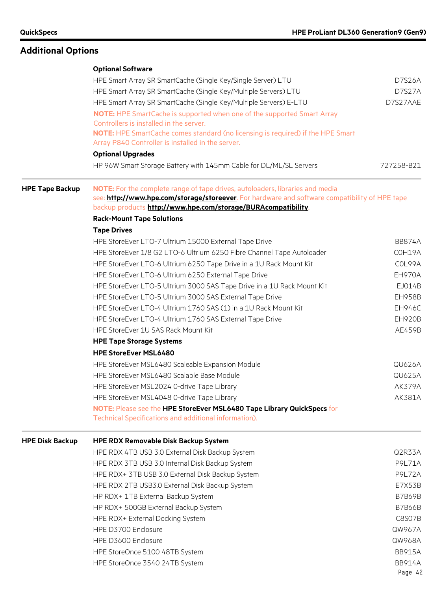|                        | <b>Optional Software</b>                                                                                                                                                        |                                          |  |  |  |  |  |
|------------------------|---------------------------------------------------------------------------------------------------------------------------------------------------------------------------------|------------------------------------------|--|--|--|--|--|
|                        | HPE Smart Array SR SmartCache (Single Key/Single Server) LTU                                                                                                                    | D7S26A                                   |  |  |  |  |  |
|                        | HPE Smart Array SR SmartCache (Single Key/Multiple Servers) LTU                                                                                                                 | D7S27A                                   |  |  |  |  |  |
|                        | HPE Smart Array SR SmartCache (Single Key/Multiple Servers) E-LTU                                                                                                               | D7S27AAE                                 |  |  |  |  |  |
|                        | <b>NOTE:</b> HPE SmartCache is supported when one of the supported Smart Array<br>Controllers is installed in the server.                                                       |                                          |  |  |  |  |  |
|                        | NOTE: HPE SmartCache comes standard (no licensing is required) if the HPE Smart<br>Array P840 Controller is installed in the server.                                            |                                          |  |  |  |  |  |
|                        | <b>Optional Upgrades</b>                                                                                                                                                        |                                          |  |  |  |  |  |
|                        | HP 96W Smart Storage Battery with 145mm Cable for DL/ML/SL Servers                                                                                                              | 727258-B21                               |  |  |  |  |  |
| <b>HPE Tape Backup</b> | NOTE: For the complete range of tape drives, autoloaders, libraries and media<br>see: http://www.hpe.com/storage/storeever. For hardware and software compatibility of HPE tape |                                          |  |  |  |  |  |
|                        | backup products http://www.hpe.com/storage/BURAcompatibility.                                                                                                                   |                                          |  |  |  |  |  |
|                        | <b>Rack-Mount Tape Solutions</b>                                                                                                                                                |                                          |  |  |  |  |  |
|                        | <b>Tape Drives</b>                                                                                                                                                              |                                          |  |  |  |  |  |
|                        | HPE StoreEver LTO-7 Ultrium 15000 External Tape Drive                                                                                                                           | <b>BB874A</b>                            |  |  |  |  |  |
|                        | HPE StoreEver 1/8 G2 LTO-6 Ultrium 6250 Fibre Channel Tape Autoloader                                                                                                           | COH19A                                   |  |  |  |  |  |
|                        | HPE StoreEver LTO-6 Ultrium 6250 Tape Drive in a 1U Rack Mount Kit                                                                                                              | COL99A                                   |  |  |  |  |  |
|                        | HPE StoreEver LTO-6 Ultrium 6250 External Tape Drive                                                                                                                            | <b>EH970A</b>                            |  |  |  |  |  |
|                        | HPE StoreEver LTO-5 Ultrium 3000 SAS Tape Drive in a 1U Rack Mount Kit                                                                                                          | EJ014B                                   |  |  |  |  |  |
|                        | HPE StoreEver LTO-5 Ultrium 3000 SAS External Tape Drive                                                                                                                        | <b>EH958B</b><br><b>EH946C</b><br>EH920B |  |  |  |  |  |
|                        | HPE StoreEver LTO-4 Ultrium 1760 SAS (1) in a 1U Rack Mount Kit                                                                                                                 |                                          |  |  |  |  |  |
|                        | HPE StoreEver LTO-4 Ultrium 1760 SAS External Tape Drive                                                                                                                        |                                          |  |  |  |  |  |
|                        | HPE StoreEver 1U SAS Rack Mount Kit                                                                                                                                             | AE459B                                   |  |  |  |  |  |
|                        | <b>HPE Tape Storage Systems</b>                                                                                                                                                 |                                          |  |  |  |  |  |
|                        | <b>HPE StoreEver MSL6480</b>                                                                                                                                                    |                                          |  |  |  |  |  |
|                        | HPE StoreEver MSL6480 Scaleable Expansion Module                                                                                                                                | <b>QU626A</b>                            |  |  |  |  |  |
|                        | HPE StoreEver MSL6480 Scalable Base Module                                                                                                                                      | <b>QU625A</b>                            |  |  |  |  |  |
|                        |                                                                                                                                                                                 |                                          |  |  |  |  |  |
|                        | HPE StoreEver MSL2024 0-drive Tape Library                                                                                                                                      | AK379A                                   |  |  |  |  |  |
|                        | HPE StoreEver MSL4048 0-drive Tape Library                                                                                                                                      | AK381A                                   |  |  |  |  |  |
|                        | NOTE: Please see the HPE StoreEver MSL6480 Tape Library QuickSpecs for<br>Technical Specifications and additional information).                                                 |                                          |  |  |  |  |  |
| <b>HPE Disk Backup</b> | <b>HPE RDX Removable Disk Backup System</b>                                                                                                                                     |                                          |  |  |  |  |  |
|                        | HPE RDX 4TB USB 3.0 External Disk Backup System                                                                                                                                 | Q2R33A                                   |  |  |  |  |  |
|                        | HPE RDX 3TB USB 3.0 Internal Disk Backup System                                                                                                                                 | <b>P9L71A</b>                            |  |  |  |  |  |
|                        | HPE RDX+ 3TB USB 3.0 External Disk Backup System                                                                                                                                | <b>P9L72A</b>                            |  |  |  |  |  |
|                        | HPE RDX 2TB USB3.0 External Disk Backup System                                                                                                                                  | E7X53B                                   |  |  |  |  |  |
|                        | HP RDX+ 1TB External Backup System                                                                                                                                              | <b>B7B69B</b>                            |  |  |  |  |  |
|                        | HP RDX+ 500GB External Backup System                                                                                                                                            | <b>B7B66B</b>                            |  |  |  |  |  |
|                        | HPE RDX+ External Docking System                                                                                                                                                | C8S07B                                   |  |  |  |  |  |
|                        | HPE D3700 Enclosure                                                                                                                                                             | QW967A                                   |  |  |  |  |  |
|                        |                                                                                                                                                                                 |                                          |  |  |  |  |  |
|                        | HPE D3600 Enclosure                                                                                                                                                             | QW968A                                   |  |  |  |  |  |
|                        | HPE StoreOnce 5100 48TB System                                                                                                                                                  | <b>BB915A</b>                            |  |  |  |  |  |
|                        | HPE StoreOnce 3540 24TB System                                                                                                                                                  | <b>BB914A</b>                            |  |  |  |  |  |
|                        |                                                                                                                                                                                 | Page 42                                  |  |  |  |  |  |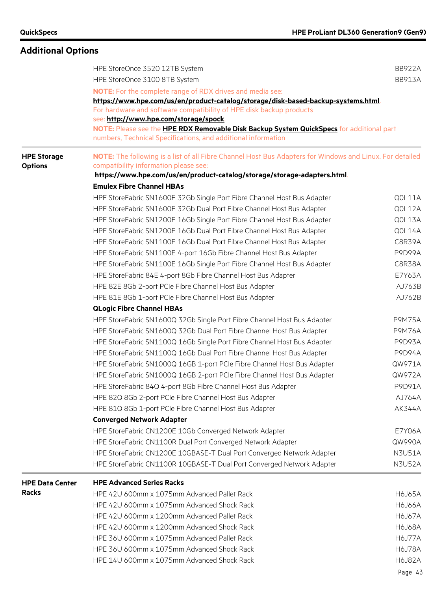|                        | HPE StoreOnce 3520 12TB System                                                                                                                            | <b>BB922A</b> |  |  |  |  |  |  |
|------------------------|-----------------------------------------------------------------------------------------------------------------------------------------------------------|---------------|--|--|--|--|--|--|
|                        | HPE StoreOnce 3100 8TB System                                                                                                                             | <b>BB913A</b> |  |  |  |  |  |  |
|                        | <b>NOTE:</b> For the complete range of RDX drives and media see:                                                                                          |               |  |  |  |  |  |  |
|                        | https://www.hpe.com/us/en/product-catalog/storage/disk-based-backup-systems.html.                                                                         |               |  |  |  |  |  |  |
|                        | For hardware and software compatibility of HPE disk backup products<br>see: http://www.hpe.com/storage/spock.                                             |               |  |  |  |  |  |  |
|                        |                                                                                                                                                           |               |  |  |  |  |  |  |
|                        | NOTE: Please see the HPE RDX Removable Disk Backup System QuickSpecs for additional part<br>numbers, Technical Specifications, and additional information |               |  |  |  |  |  |  |
| <b>HPE Storage</b>     | NOTE: The following is a list of all Fibre Channel Host Bus Adapters for Windows and Linux. For detailed                                                  |               |  |  |  |  |  |  |
| <b>Options</b>         | compatibility information please see:                                                                                                                     |               |  |  |  |  |  |  |
|                        | https://www.hpe.com/us/en/product-catalog/storage/storage-adapters.html                                                                                   |               |  |  |  |  |  |  |
|                        | <b>Emulex Fibre Channel HBAs</b>                                                                                                                          |               |  |  |  |  |  |  |
|                        | HPE StoreFabric SN1600E 32Gb Single Port Fibre Channel Host Bus Adapter                                                                                   | QOL11A        |  |  |  |  |  |  |
|                        | HPE StoreFabric SN1600E 32Gb Dual Port Fibre Channel Host Bus Adapter                                                                                     | QOL12A        |  |  |  |  |  |  |
|                        | HPE StoreFabric SN1200E 16Gb Single Port Fibre Channel Host Bus Adapter                                                                                   | QOL13A        |  |  |  |  |  |  |
|                        | HPE StoreFabric SN1200E 16Gb Dual Port Fibre Channel Host Bus Adapter                                                                                     | QOL14A        |  |  |  |  |  |  |
|                        | HPE StoreFabric SN1100E 16Gb Dual Port Fibre Channel Host Bus Adapter                                                                                     | C8R39A        |  |  |  |  |  |  |
|                        | HPE StoreFabric SN1100E 4-port 16Gb Fibre Channel Host Bus Adapter                                                                                        | P9D99A        |  |  |  |  |  |  |
|                        | HPE StoreFabric SN1100E 16Gb Single Port Fibre Channel Host Bus Adapter                                                                                   | C8R38A        |  |  |  |  |  |  |
|                        | HPE StoreFabric 84E 4-port 8Gb Fibre Channel Host Bus Adapter                                                                                             | E7Y63A        |  |  |  |  |  |  |
|                        | HPE 82E 8Gb 2-port PCIe Fibre Channel Host Bus Adapter                                                                                                    | AJ763B        |  |  |  |  |  |  |
|                        | HPE 81E 8Gb 1-port PCIe Fibre Channel Host Bus Adapter                                                                                                    |               |  |  |  |  |  |  |
|                        | <b>QLogic Fibre Channel HBAs</b>                                                                                                                          |               |  |  |  |  |  |  |
|                        | HPE StoreFabric SN1600Q 32Gb Single Port Fibre Channel Host Bus Adapter                                                                                   | <b>P9M75A</b> |  |  |  |  |  |  |
|                        | HPE StoreFabric SN1600Q 32Gb Dual Port Fibre Channel Host Bus Adapter                                                                                     | <b>P9M76A</b> |  |  |  |  |  |  |
|                        | HPE StoreFabric SN1100Q 16Gb Single Port Fibre Channel Host Bus Adapter                                                                                   | <b>P9D93A</b> |  |  |  |  |  |  |
|                        | HPE StoreFabric SN1100Q 16Gb Dual Port Fibre Channel Host Bus Adapter                                                                                     | <b>P9D94A</b> |  |  |  |  |  |  |
|                        | HPE StoreFabric SN1000Q 16GB 1-port PCIe Fibre Channel Host Bus Adapter                                                                                   | QW971A        |  |  |  |  |  |  |
|                        | HPE StoreFabric SN1000Q 16GB 2-port PCIe Fibre Channel Host Bus Adapter                                                                                   | QW972A        |  |  |  |  |  |  |
|                        | HPE StoreFabric 84Q 4-port 8Gb Fibre Channel Host Bus Adapter                                                                                             | P9D91A        |  |  |  |  |  |  |
|                        | HPE 82Q 8Gb 2-port PCIe Fibre Channel Host Bus Adapter                                                                                                    | AJ764A        |  |  |  |  |  |  |
|                        | HPE 81Q 8Gb 1-port PCIe Fibre Channel Host Bus Adapter                                                                                                    | <b>AK344A</b> |  |  |  |  |  |  |
|                        | <b>Converged Network Adapter</b>                                                                                                                          |               |  |  |  |  |  |  |
|                        | HPE StoreFabric CN1200E 10Gb Converged Network Adapter                                                                                                    | E7Y06A        |  |  |  |  |  |  |
|                        | HPE StoreFabric CN1100R Dual Port Converged Network Adapter                                                                                               | QW990A        |  |  |  |  |  |  |
|                        | HPE StoreFabric CN1200E 10GBASE-T Dual Port Converged Network Adapter                                                                                     | <b>N3U51A</b> |  |  |  |  |  |  |
|                        | HPE StoreFabric CN1100R 10GBASE-T Dual Port Converged Network Adapter                                                                                     | <b>N3U52A</b> |  |  |  |  |  |  |
| <b>HPE Data Center</b> | <b>HPE Advanced Series Racks</b>                                                                                                                          |               |  |  |  |  |  |  |
| <b>Racks</b>           | HPE 42U 600mm x 1075mm Advanced Pallet Rack                                                                                                               | <b>H6J65A</b> |  |  |  |  |  |  |
|                        | HPE 42U 600mm x 1075mm Advanced Shock Rack                                                                                                                |               |  |  |  |  |  |  |
|                        | HPE 42U 600mm x 1200mm Advanced Pallet Rack                                                                                                               |               |  |  |  |  |  |  |
|                        | HPE 42U 600mm x 1200mm Advanced Shock Rack                                                                                                                |               |  |  |  |  |  |  |
|                        | HPE 36U 600mm x 1075mm Advanced Pallet Rack                                                                                                               | <b>H6J77A</b> |  |  |  |  |  |  |
|                        | HPE 36U 600mm x 1075mm Advanced Shock Rack                                                                                                                | <b>H6J78A</b> |  |  |  |  |  |  |
|                        | HPE 14U 600mm x 1075mm Advanced Shock Rack                                                                                                                | H6J82A        |  |  |  |  |  |  |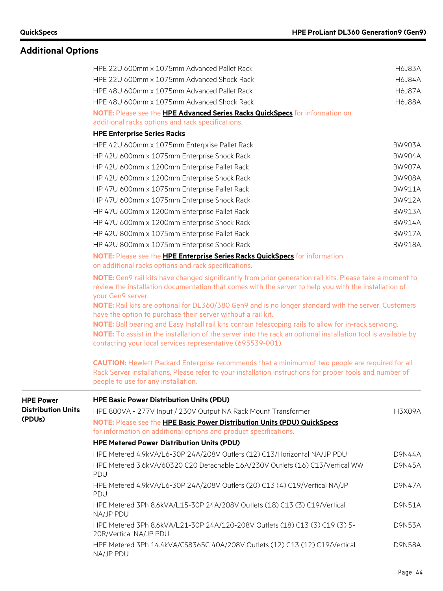|                           | HPE 22U 600mm x 1075mm Advanced Pallet Rack                                                                                                                                                                                                                                                                                                                                                                                                                                                                                                                                                                                                                                                               | <b>H6J83A</b> |  |  |  |  |  |  |  |
|---------------------------|-----------------------------------------------------------------------------------------------------------------------------------------------------------------------------------------------------------------------------------------------------------------------------------------------------------------------------------------------------------------------------------------------------------------------------------------------------------------------------------------------------------------------------------------------------------------------------------------------------------------------------------------------------------------------------------------------------------|---------------|--|--|--|--|--|--|--|
|                           | HPE 22U 600mm x 1075mm Advanced Shock Rack                                                                                                                                                                                                                                                                                                                                                                                                                                                                                                                                                                                                                                                                | <b>H6J84A</b> |  |  |  |  |  |  |  |
|                           | HPE 48U 600mm x 1075mm Advanced Pallet Rack                                                                                                                                                                                                                                                                                                                                                                                                                                                                                                                                                                                                                                                               | <b>H6J87A</b> |  |  |  |  |  |  |  |
|                           | HPE 48U 600mm x 1075mm Advanced Shock Rack                                                                                                                                                                                                                                                                                                                                                                                                                                                                                                                                                                                                                                                                |               |  |  |  |  |  |  |  |
|                           | NOTE: Please see the <b>HPE Advanced Series Racks QuickSpecs</b> for information on                                                                                                                                                                                                                                                                                                                                                                                                                                                                                                                                                                                                                       |               |  |  |  |  |  |  |  |
|                           | additional racks options and rack specifications.                                                                                                                                                                                                                                                                                                                                                                                                                                                                                                                                                                                                                                                         |               |  |  |  |  |  |  |  |
|                           | <b>HPE Enterprise Series Racks</b>                                                                                                                                                                                                                                                                                                                                                                                                                                                                                                                                                                                                                                                                        |               |  |  |  |  |  |  |  |
|                           | HPE 42U 600mm x 1075mm Enterprise Pallet Rack                                                                                                                                                                                                                                                                                                                                                                                                                                                                                                                                                                                                                                                             | <b>BW903A</b> |  |  |  |  |  |  |  |
|                           | HP 42U 600mm x 1075mm Enterprise Shock Rack                                                                                                                                                                                                                                                                                                                                                                                                                                                                                                                                                                                                                                                               | <b>BW904A</b> |  |  |  |  |  |  |  |
|                           | HP 42U 600mm x 1200mm Enterprise Pallet Rack                                                                                                                                                                                                                                                                                                                                                                                                                                                                                                                                                                                                                                                              | <b>BW907A</b> |  |  |  |  |  |  |  |
|                           | HP 42U 600mm x 1200mm Enterprise Shock Rack                                                                                                                                                                                                                                                                                                                                                                                                                                                                                                                                                                                                                                                               | <b>BW908A</b> |  |  |  |  |  |  |  |
|                           | HP 47U 600mm x 1075mm Enterprise Pallet Rack                                                                                                                                                                                                                                                                                                                                                                                                                                                                                                                                                                                                                                                              | <b>BW911A</b> |  |  |  |  |  |  |  |
|                           | HP 47U 600mm x 1075mm Enterprise Shock Rack                                                                                                                                                                                                                                                                                                                                                                                                                                                                                                                                                                                                                                                               | <b>BW912A</b> |  |  |  |  |  |  |  |
|                           | HP 47U 600mm x 1200mm Enterprise Pallet Rack                                                                                                                                                                                                                                                                                                                                                                                                                                                                                                                                                                                                                                                              | <b>BW913A</b> |  |  |  |  |  |  |  |
|                           | HP 47U 600mm x 1200mm Enterprise Shock Rack                                                                                                                                                                                                                                                                                                                                                                                                                                                                                                                                                                                                                                                               | <b>BW914A</b> |  |  |  |  |  |  |  |
|                           | HP 42U 800mm x 1075mm Enterprise Pallet Rack                                                                                                                                                                                                                                                                                                                                                                                                                                                                                                                                                                                                                                                              | <b>BW917A</b> |  |  |  |  |  |  |  |
|                           | HP 42U 800mm x 1075mm Enterprise Shock Rack                                                                                                                                                                                                                                                                                                                                                                                                                                                                                                                                                                                                                                                               | <b>BW918A</b> |  |  |  |  |  |  |  |
|                           | NOTE: Please see the HPE Enterprise Series Racks QuickSpecs for information<br>on additional racks options and rack specifications.                                                                                                                                                                                                                                                                                                                                                                                                                                                                                                                                                                       |               |  |  |  |  |  |  |  |
|                           | NOTE: Gen9 rail kits have changed significantly from prior generation rail kits. Please take a moment to<br>review the installation documentation that comes with the server to help you with the installation of<br>your Gen9 server.<br>NOTE: Rail kits are optional for DL360/380 Gen9 and is no longer standard with the server. Customers<br>have the option to purchase their server without a rail kit.<br>NOTE: Ball bearing and Easy Install rail kits contain telescoping rails to allow for in-rack servicing.<br>NOTE: To assist in the installation of the server into the rack an optional installation tool is available by<br>contacting your local services representative (695539-001). |               |  |  |  |  |  |  |  |
|                           | <b>CAUTION:</b> Hewlett Packard Enterprise recommends that a minimum of two people are required for all<br>Rack Server installations. Please refer to your installation instructions for proper tools and number of<br>people to use for any installation.                                                                                                                                                                                                                                                                                                                                                                                                                                                |               |  |  |  |  |  |  |  |
| <b>HPE Power</b>          | <b>HPE Basic Power Distribution Units (PDU)</b>                                                                                                                                                                                                                                                                                                                                                                                                                                                                                                                                                                                                                                                           |               |  |  |  |  |  |  |  |
| <b>Distribution Units</b> | HPE 800VA - 277V Input / 230V Output NA Rack Mount Transformer                                                                                                                                                                                                                                                                                                                                                                                                                                                                                                                                                                                                                                            | H3X09A        |  |  |  |  |  |  |  |
| (PDUs)                    | NOTE: Please see the HPE Basic Power Distribution Units (PDU) QuickSpecs                                                                                                                                                                                                                                                                                                                                                                                                                                                                                                                                                                                                                                  |               |  |  |  |  |  |  |  |
|                           | for information on additional options and product specifications.                                                                                                                                                                                                                                                                                                                                                                                                                                                                                                                                                                                                                                         |               |  |  |  |  |  |  |  |
|                           | <b>HPE Metered Power Distribution Units (PDU)</b>                                                                                                                                                                                                                                                                                                                                                                                                                                                                                                                                                                                                                                                         |               |  |  |  |  |  |  |  |
|                           | HPE Metered 4.9kVA/L6-30P 24A/208V Outlets (12) C13/Horizontal NA/JP PDU                                                                                                                                                                                                                                                                                                                                                                                                                                                                                                                                                                                                                                  | D9N44A        |  |  |  |  |  |  |  |
|                           | HPE Metered 3.6kVA/60320 C20 Detachable 16A/230V Outlets (16) C13/Vertical WW<br>PDU                                                                                                                                                                                                                                                                                                                                                                                                                                                                                                                                                                                                                      | D9N45A        |  |  |  |  |  |  |  |
|                           | HPE Metered 4.9kVA/L6-30P 24A/208V Outlets (20) C13 (4) C19/Vertical NA/JP<br>PDU                                                                                                                                                                                                                                                                                                                                                                                                                                                                                                                                                                                                                         | D9N47A        |  |  |  |  |  |  |  |
|                           | HPE Metered 3Ph 8.6kVA/L15-30P 24A/208V Outlets (18) C13 (3) C19/Vertical<br>NA/JP PDU                                                                                                                                                                                                                                                                                                                                                                                                                                                                                                                                                                                                                    | <b>D9N51A</b> |  |  |  |  |  |  |  |
|                           | HPE Metered 3Ph 8.6kVA/L21-30P 24A/120-208V Outlets (18) C13 (3) C19 (3) 5-<br>20R/Vertical NA/JP PDU                                                                                                                                                                                                                                                                                                                                                                                                                                                                                                                                                                                                     | D9N53A        |  |  |  |  |  |  |  |
|                           | HPE Metered 3Ph 14.4kVA/CS8365C 40A/208V Outlets (12) C13 (12) C19/Vertical<br>NA/JP PDU                                                                                                                                                                                                                                                                                                                                                                                                                                                                                                                                                                                                                  | <b>D9N58A</b> |  |  |  |  |  |  |  |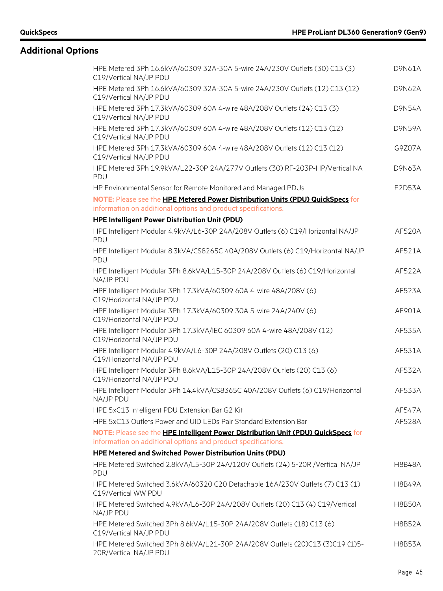| HPE Metered 3Ph 16.6kVA/60309 32A-30A 5-wire 24A/230V Outlets (30) C13 (3)<br>C19/Vertical NA/JP PDU                                            | <b>D9N61A</b> |
|-------------------------------------------------------------------------------------------------------------------------------------------------|---------------|
| HPE Metered 3Ph 16.6kVA/60309 32A-30A 5-wire 24A/230V Outlets (12) C13 (12)<br>C19/Vertical NA/JP PDU                                           | D9N62A        |
| HPE Metered 3Ph 17.3kVA/60309 60A 4-wire 48A/208V Outlets (24) C13 (3)<br>C19/Vertical NA/JP PDU                                                | <b>D9N54A</b> |
| HPE Metered 3Ph 17.3kVA/60309 60A 4-wire 48A/208V Outlets (12) C13 (12)<br>C19/Vertical NA/JP PDU                                               | <b>D9N59A</b> |
| HPE Metered 3Ph 17.3kVA/60309 60A 4-wire 48A/208V Outlets (12) C13 (12)<br>C19/Vertical NA/JP PDU                                               | G9Z07A        |
| HPE Metered 3Ph 19.9kVA/L22-30P 24A/277V Outlets (30) RF-203P-HP/Vertical NA<br><b>PDU</b>                                                      | D9N63A        |
| HP Environmental Sensor for Remote Monitored and Managed PDUs                                                                                   | E2D53A        |
| NOTE: Please see the HPE Metered Power Distribution Units (PDU) QuickSpecs for<br>information on additional options and product specifications. |               |
| HPE Intelligent Power Distribution Unit (PDU)                                                                                                   |               |
| HPE Intelligent Modular 4.9kVA/L6-30P 24A/208V Outlets (6) C19/Horizontal NA/JP<br>PDU                                                          | <b>AF520A</b> |
| HPE Intelligent Modular 8.3kVA/CS8265C 40A/208V Outlets (6) C19/Horizontal NA/JP<br>PDU                                                         | AF521A        |
| HPE Intelligent Modular 3Ph 8.6kVA/L15-30P 24A/208V Outlets (6) C19/Horizontal<br>NA/JP PDU                                                     | AF522A        |
| HPE Intelligent Modular 3Ph 17.3kVA/60309 60A 4-wire 48A/208V (6)<br>C19/Horizontal NA/JP PDU                                                   | AF523A        |
| HPE Intelligent Modular 3Ph 17.3kVA/60309 30A 5-wire 24A/240V (6)<br>C19/Horizontal NA/JP PDU                                                   | AF901A        |
| HPE Intelligent Modular 3Ph 17.3kVA/IEC 60309 60A 4-wire 48A/208V (12)<br>C19/Horizontal NA/JP PDU                                              | AF535A        |
| HPE Intelligent Modular 4.9kVA/L6-30P 24A/208V Outlets (20) C13 (6)<br>C19/Horizontal NA/JP PDU                                                 | AF531A        |
| HPE Intelligent Modular 3Ph 8.6kVA/L15-30P 24A/208V Outlets (20) C13 (6)<br>C19/Horizontal NA/JP PDU                                            | AF532A        |
| HPE Intelligent Modular 3Ph 14.4kVA/CS8365C 40A/208V Outlets (6) C19/Horizontal<br>NA/JP PDU                                                    | AF533A        |
| HPE 5xC13 Intelligent PDU Extension Bar G2 Kit                                                                                                  | AF547A        |
| HPE 5xC13 Outlets Power and UID LEDs Pair Standard Extension Bar                                                                                | AF528A        |
| NOTE: Please see the HPE Intelligent Power Distribution Unit (PDU) QuickSpecs for                                                               |               |
| information on additional options and product specifications.                                                                                   |               |
| HPE Metered and Switched Power Distribution Units (PDU)                                                                                         |               |
| HPE Metered Switched 2.8kVA/L5-30P 24A/120V Outlets (24) 5-20R /Vertical NA/JP<br>PDU                                                           | <b>H8B48A</b> |
| HPE Metered Switched 3.6kVA/60320 C20 Detachable 16A/230V Outlets (7) C13 (1)<br>C19/Vertical WW PDU                                            | <b>H8B49A</b> |
| HPE Metered Switched 4.9kVA/L6-30P 24A/208V Outlets (20) C13 (4) C19/Vertical<br>NA/JP PDU                                                      | H8B50A        |
| HPE Metered Switched 3Ph 8.6kVA/L15-30P 24A/208V Outlets (18) C13 (6)<br>C19/Vertical NA/JP PDU                                                 | <b>H8B52A</b> |
| HPE Metered Switched 3Ph 8.6kVA/L21-30P 24A/208V Outlets (20)C13 (3)C19 (1)5-<br>20R/Vertical NA/JP PDU                                         | H8B53A        |
|                                                                                                                                                 |               |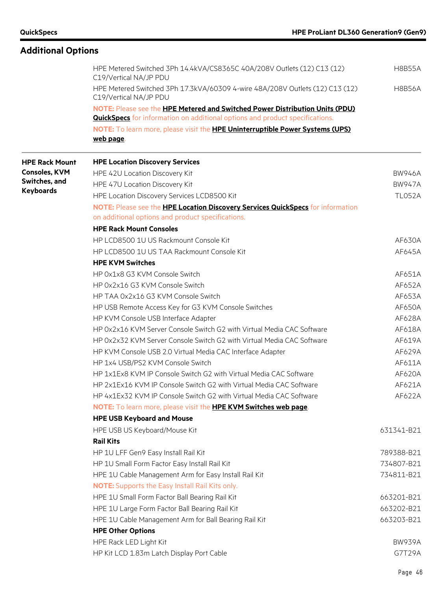| <b>Additional Options</b> |                                                                                                        |               |
|---------------------------|--------------------------------------------------------------------------------------------------------|---------------|
|                           | HPE Metered Switched 3Ph 14.4kVA/CS8365C 40A/208V Outlets (12) C13 (12)<br>C19/Vertical NA/JP PDU      | <b>H8B55A</b> |
|                           | HPE Metered Switched 3Ph 17.3kVA/60309 4-wire 48A/208V Outlets (12) C13 (12)<br>C19/Vertical NA/JP PDU | <b>H8B56A</b> |
|                           | NOTE: Please see the HPE Metered and Switched Power Distribution Units (PDU)                           |               |
|                           | <b>QuickSpecs</b> for information on additional options and product specifications.                    |               |
|                           | NOTE: To learn more, please visit the <b>HPE Uninterruptible Power Systems (UPS)</b><br>web page.      |               |
| <b>HPE Rack Mount</b>     | <b>HPE Location Discovery Services</b>                                                                 |               |
| <b>Consoles, KVM</b>      | HPE 42U Location Discovery Kit                                                                         | <b>BW946A</b> |
| Switches, and             | HPE 47U Location Discovery Kit                                                                         | <b>BW947A</b> |
| <b>Keyboards</b>          | HPE Location Discovery Services LCD8500 Kit                                                            | <b>TL052A</b> |
|                           | NOTE: Please see the HPE Location Discovery Services QuickSpecs for information                        |               |
|                           | on additional options and product specifications.                                                      |               |
|                           | <b>HPE Rack Mount Consoles</b>                                                                         |               |
|                           | HP LCD8500 1U US Rackmount Console Kit                                                                 | AF630A        |
|                           | HP LCD8500 1U US TAA Rackmount Console Kit                                                             | AF645A        |
|                           | <b>HPE KVM Switches</b>                                                                                |               |
|                           | HP 0x1x8 G3 KVM Console Switch                                                                         | AF651A        |
|                           | HP 0x2x16 G3 KVM Console Switch                                                                        | AF652A        |
|                           | HP TAA 0x2x16 G3 KVM Console Switch                                                                    | AF653A        |
|                           | HP USB Remote Access Key for G3 KVM Console Switches                                                   | AF650A        |
|                           | HP KVM Console USB Interface Adapter                                                                   | AF628A        |
|                           | HP 0x2x16 KVM Server Console Switch G2 with Virtual Media CAC Software                                 | AF618A        |
|                           | HP 0x2x32 KVM Server Console Switch G2 with Virtual Media CAC Software                                 | AF619A        |
|                           | HP KVM Console USB 2.0 Virtual Media CAC Interface Adapter                                             | AF629A        |
|                           | HP 1x4 USB/PS2 KVM Console Switch                                                                      | AF611A        |
|                           | HP 1x1Ex8 KVM IP Console Switch G2 with Virtual Media CAC Software                                     | AF620A        |
|                           | HP 2x1Ex16 KVM IP Console Switch G2 with Virtual Media CAC Software                                    | AF621A        |
|                           | HP 4x1Ex32 KVM IP Console Switch G2 with Virtual Media CAC Software                                    | AF622A        |
|                           | NOTE: To learn more, please visit the HPE KVM Switches web page.                                       |               |
|                           | <b>HPE USB Keyboard and Mouse</b>                                                                      |               |
|                           | HPE USB US Keyboard/Mouse Kit                                                                          | 631341-B21    |
|                           | <b>Rail Kits</b>                                                                                       |               |
|                           | HP 1U LFF Gen9 Easy Install Rail Kit                                                                   | 789388-B21    |
|                           | HP 1U Small Form Factor Easy Install Rail Kit                                                          | 734807-B21    |
|                           | HPE 1U Cable Management Arm for Easy Install Rail Kit                                                  | 734811-B21    |
|                           | <b>NOTE:</b> Supports the Easy Install Rail Kits only.                                                 |               |
|                           | HPE 1U Small Form Factor Ball Bearing Rail Kit                                                         | 663201-B21    |
|                           | HPE 1U Large Form Factor Ball Bearing Rail Kit                                                         | 663202-B21    |
|                           | HPE 1U Cable Management Arm for Ball Bearing Rail Kit                                                  | 663203-B21    |
|                           | <b>HPE Other Options</b>                                                                               |               |
|                           | HPE Rack LED Light Kit                                                                                 | <b>BW939A</b> |
|                           | HP Kit LCD 1.83m Latch Display Port Cable                                                              | G7T29A        |
|                           |                                                                                                        |               |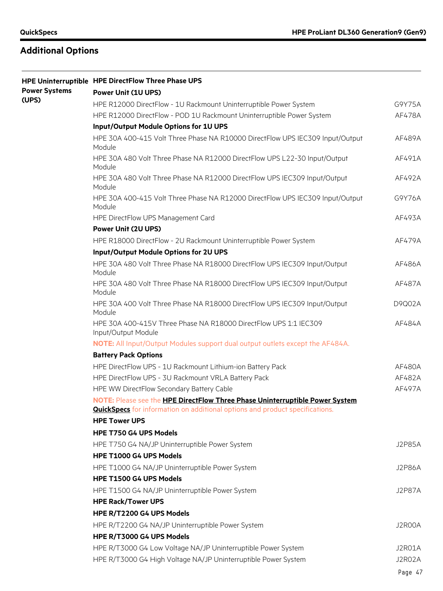|                      | HPE Uninterruptible HPE DirectFlow Three Phase UPS                                      |               |
|----------------------|-----------------------------------------------------------------------------------------|---------------|
| <b>Power Systems</b> | <b>Power Unit (1U UPS)</b>                                                              |               |
| (UPS)                | HPE R12000 DirectFlow - 1U Rackmount Uninterruptible Power System                       | G9Y75A        |
|                      | HPE R12000 DirectFlow - POD 1U Rackmount Uninterruptible Power System                   | AF478A        |
|                      | Input/Output Module Options for 1U UPS                                                  |               |
|                      | HPE 30A 400-415 Volt Three Phase NA R10000 DirectFlow UPS IEC309 Input/Output<br>Module | AF489A        |
|                      | HPE 30A 480 Volt Three Phase NA R12000 DirectFlow UPS L22-30 Input/Output<br>Module     | AF491A        |
|                      | HPE 30A 480 Volt Three Phase NA R12000 DirectFlow UPS IEC309 Input/Output<br>Module     | AF492A        |
|                      | HPE 30A 400-415 Volt Three Phase NA R12000 DirectFlow UPS IEC309 Input/Output<br>Module | G9Y76A        |
|                      | HPE DirectFlow UPS Management Card                                                      | AF493A        |
|                      | <b>Power Unit (2U UPS)</b>                                                              |               |
|                      | HPE R18000 DirectFlow - 2U Rackmount Uninterruptible Power System                       | AF479A        |
|                      | Input/Output Module Options for 2U UPS                                                  |               |
|                      | HPE 30A 480 Volt Three Phase NA R18000 DirectFlow UPS IEC309 Input/Output<br>Module     | AF486A        |
|                      | HPE 30A 480 Volt Three Phase NA R18000 DirectFlow UPS IEC309 Input/Output<br>Module     | AF487A        |
|                      | HPE 30A 400 Volt Three Phase NA R18000 DirectFlow UPS IEC309 Input/Output<br>Module     | D9Q02A        |
|                      | HPE 30A 400-415V Three Phase NA R18000 DirectFlow UPS 1:1 IEC309<br>Input/Output Module | AF484A        |
|                      | NOTE: All Input/Output Modules support dual output outlets except the AF484A.           |               |
|                      | <b>Battery Pack Options</b>                                                             |               |
|                      | HPE DirectFlow UPS - 1U Rackmount Lithium-ion Battery Pack                              | AF480A        |
|                      | HPE DirectFlow UPS - 3U Rackmount VRLA Battery Pack                                     | AF482A        |
|                      | HPE WW DirectFlow Secondary Battery Cable                                               | AF497A        |
|                      | NOTE: Please see the HPE DirectFlow Three Phase Uninterruptible Power System            |               |
|                      | <b>QuickSpecs</b> for information on additional options and product specifications.     |               |
|                      | <b>HPE Tower UPS</b>                                                                    |               |
|                      | HPE T750 G4 UPS Models                                                                  |               |
|                      | HPE T750 G4 NA/JP Uninterruptible Power System                                          | <b>J2P85A</b> |
|                      | HPE T1000 G4 UPS Models                                                                 |               |
|                      | HPE T1000 G4 NA/JP Uninterruptible Power System                                         | J2P86A        |
|                      | HPE T1500 G4 UPS Models                                                                 |               |
|                      | HPE T1500 G4 NA/JP Uninterruptible Power System                                         | <b>J2P87A</b> |
|                      | <b>HPE Rack/Tower UPS</b>                                                               |               |
|                      | HPE R/T2200 G4 UPS Models                                                               |               |
|                      | HPE R/T2200 G4 NA/JP Uninterruptible Power System                                       | J2R00A        |
|                      | HPE R/T3000 G4 UPS Models                                                               |               |
|                      | HPE R/T3000 G4 Low Voltage NA/JP Uninterruptible Power System                           | J2R01A        |
|                      | HPE R/T3000 G4 High Voltage NA/JP Uninterruptible Power System                          | J2R02A        |
|                      |                                                                                         | Page 47       |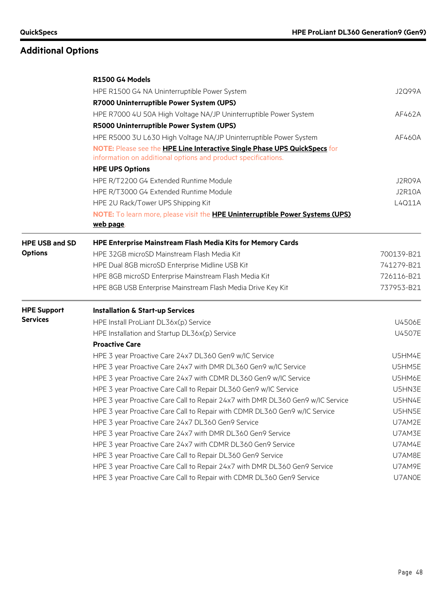|                       | R1500 G4 Models                                                                      |            |
|-----------------------|--------------------------------------------------------------------------------------|------------|
|                       | HPE R1500 G4 NA Uninterruptible Power System                                         | J2Q99A     |
|                       | R7000 Uninterruptible Power System (UPS)                                             |            |
|                       | HPE R7000 4U 50A High Voltage NA/JP Uninterruptible Power System                     | AF462A     |
|                       | R5000 Uninterruptible Power System (UPS)                                             |            |
|                       | HPE R5000 3U L630 High Voltage NA/JP Uninterruptible Power System                    | AF460A     |
|                       | NOTE: Please see the HPE Line Interactive Single Phase UPS QuickSpecs for            |            |
|                       | information on additional options and product specifications.                        |            |
|                       | <b>HPE UPS Options</b>                                                               |            |
|                       | HPE R/T2200 G4 Extended Runtime Module                                               | J2R09A     |
|                       | HPE R/T3000 G4 Extended Runtime Module                                               | J2R10A     |
|                       | HPE 2U Rack/Tower UPS Shipping Kit                                                   | L4Q11A     |
|                       | NOTE: To learn more, please visit the <b>HPE Uninterruptible Power Systems (UPS)</b> |            |
|                       | web page.                                                                            |            |
| <b>HPE USB and SD</b> | <b>HPE Enterprise Mainstream Flash Media Kits for Memory Cards</b>                   |            |
| <b>Options</b>        | HPE 32GB microSD Mainstream Flash Media Kit                                          | 700139-B21 |
|                       | HPE Dual 8GB microSD Enterprise Midline USB Kit                                      | 741279-B21 |
|                       | HPE 8GB microSD Enterprise Mainstream Flash Media Kit                                | 726116-B21 |
|                       | HPE 8GB USB Enterprise Mainstream Flash Media Drive Key Kit                          | 737953-B21 |
| <b>HPE Support</b>    | <b>Installation &amp; Start-up Services</b>                                          |            |
| <b>Services</b>       | HPE Install ProLiant DL36x(p) Service                                                | U4506E     |
|                       | HPE Installation and Startup DL36x(p) Service                                        | U4507E     |
|                       | <b>Proactive Care</b>                                                                |            |
|                       | HPE 3 year Proactive Care 24x7 DL360 Gen9 w/IC Service                               | U5HM4E     |
|                       | HPE 3 year Proactive Care 24x7 with DMR DL360 Gen9 w/IC Service                      | U5HM5E     |
|                       | HPE 3 year Proactive Care 24x7 with CDMR DL360 Gen9 w/IC Service                     | U5HM6E     |
|                       | HPE 3 year Proactive Care Call to Repair DL360 Gen9 w/IC Service                     | U5HN3E     |
|                       | HPE 3 year Proactive Care Call to Repair 24x7 with DMR DL360 Gen9 w/IC Service       | U5HN4E     |
|                       | HPE 3 year Proactive Care Call to Repair with CDMR DL360 Gen9 w/IC Service           | U5HN5E     |
|                       | HPE 3 year Proactive Care 24x7 DL360 Gen9 Service                                    | U7AM2E     |
|                       | HPE 3 year Proactive Care 24x7 with DMR DL360 Gen9 Service                           | U7AM3E     |
|                       | HPE 3 year Proactive Care 24x7 with CDMR DL360 Gen9 Service                          | U7AM4E     |
|                       | HPE 3 year Proactive Care Call to Repair DL360 Gen9 Service                          | U7AM8E     |
|                       | HPE 3 year Proactive Care Call to Repair 24x7 with DMR DL360 Gen9 Service            | U7AM9E     |
|                       | HPE 3 year Proactive Care Call to Repair with CDMR DL360 Gen9 Service                | U7AN0E     |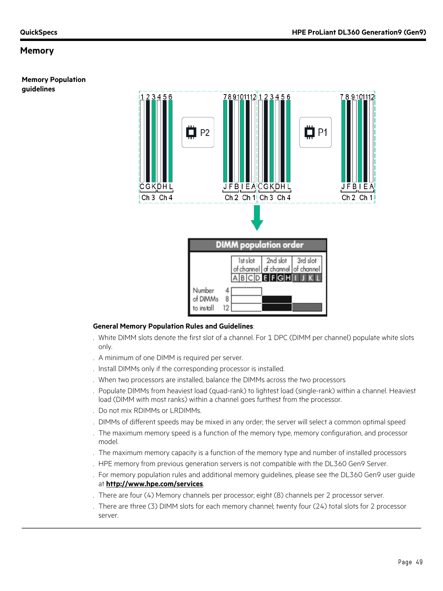#### **Memory Population guidelines**



#### **General Memory Population Rules and Guidelines**:

- . White DIMM slots denote the first slot of a channel. For 1 DPC (DIMM per channel) populate white slots only.
- . A minimum of one DIMM is required per server.
- . Install DIMMs only if the corresponding processor is installed.
- . When two processors are installed, balance the DIMMs across the two processors
- . Populate DIMMs from heaviest load (quad-rank) to lightest load (single-rank) within a channel. Heaviest load (DIMM with most ranks) within a channel goes furthest from the processor.
- . Do not mix RDIMMs or LRDIMMs.
- . DIMMs of different speeds may be mixed in any order; the server will select a common optimal speed
- . The maximum memory speed is a function of the memory type, memory configuration, and processor model.
- . The maximum memory capacity is a function of the memory type and number of installed processors
- . HPE memory from previous generation servers is not compatible with the DL360 Gen9 Server.
- . For memory population rules and additional memory guidelines, please see the DL360 Gen9 user guide at **<http://www.hpe.com/services>**.
- . There are four (4) Memory channels per processor; eight (8) channels per 2 processor server.
- . There are three (3) DIMM slots for each memory channel; twenty four (24) total slots for 2 processor server.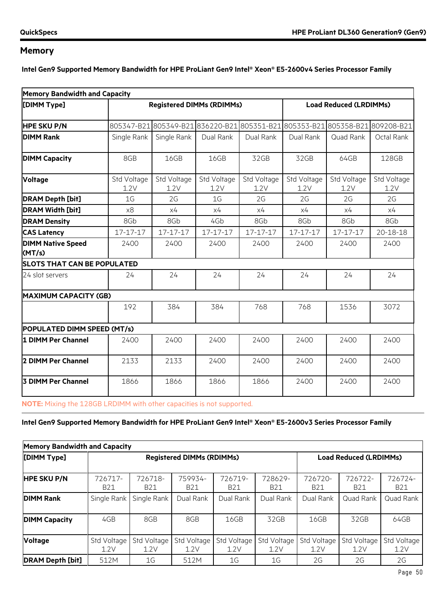**Intel Gen9 Supported Memory Bandwidth for HPE ProLiant Gen9 Intel® Xeon® E5-2600v4 Series Processor Family**

| <b>Memory Bandwidth and Capacity</b> |                     |                                  |                     |                               |                     |                                                                        |                     |
|--------------------------------------|---------------------|----------------------------------|---------------------|-------------------------------|---------------------|------------------------------------------------------------------------|---------------------|
| [DIMM Type]                          |                     | <b>Registered DIMMs (RDIMMs)</b> |                     | <b>Load Reduced (LRDIMMs)</b> |                     |                                                                        |                     |
| <b>HPE SKU P/N</b>                   |                     |                                  |                     |                               |                     | 805347-B21805349-B21836220-B21805351-B21805353-B21805358-B21809208-B21 |                     |
| <b>DIMM Rank</b>                     | Single Rank         | Single Rank                      | Dual Rank           | Dual Rank                     | Dual Rank           | Quad Rank                                                              | Octal Rank          |
| <b>DIMM Capacity</b>                 | 8GB                 | 16GB                             | 16GB                | 32GB                          | 32GB                | 64GB                                                                   | 128GB               |
| <b>Voltage</b>                       | Std Voltage<br>1.2V | Std Voltage<br>1.2V              | Std Voltage<br>1.2V | Std Voltage<br>1.2V           | Std Voltage<br>1.2V | Std Voltage<br>1.2V                                                    | Std Voltage<br>1.2V |
| <b>DRAM Depth [bit]</b>              | 1G                  | 2G                               | 1 <sub>G</sub>      | 2G                            | 2G                  | 2G                                                                     | 2G                  |
| <b>DRAM Width [bit]</b>              | x8                  | x4                               | x4                  | x4                            | x4                  | x4                                                                     | x4                  |
| <b>DRAM Density</b>                  | 8Gb                 | 8Gb                              | 4Gb                 | 8Gb                           | 8Gb                 | 8Gb                                                                    | 8Gb                 |
| <b>CAS Latency</b>                   | 17-17-17            | 17-17-17                         | 17-17-17            | 17-17-17                      | 17-17-17            | 17-17-17                                                               | 20-18-18            |
| <b>DIMM Native Speed</b><br>(MT/s)   | 2400                | 2400                             | 2400                | 2400                          | 2400                | 2400                                                                   | 2400                |
| <b>SLOTS THAT CAN BE POPULATED</b>   |                     |                                  |                     |                               |                     |                                                                        |                     |
| 24 slot servers                      | 24                  | 24                               | 24                  | 24                            | 24                  | 24                                                                     | 24                  |
| <b>MAXIMUM CAPACITY (GB)</b>         |                     |                                  |                     |                               |                     |                                                                        |                     |
|                                      | 192                 | 384                              | 384                 | 768                           | 768                 | 1536                                                                   | 3072                |
| POPULATED DIMM SPEED (MT/s)          |                     |                                  |                     |                               |                     |                                                                        |                     |
| 1 DIMM Per Channel                   | 2400                | 2400                             | 2400                | 2400                          | 2400                | 2400                                                                   | 2400                |
| 2 DIMM Per Channel                   | 2133                | 2133                             | 2400                | 2400                          | 2400                | 2400                                                                   | 2400                |
| 3 DIMM Per Channel                   | 1866                | 1866                             | 1866                | 1866                          | 2400                | 2400                                                                   | 2400                |

**NOTE:** Mixing the 128GB LRDIMM with other capacities is not supported.

### **Intel Gen9 Supported Memory Bandwidth for HPE ProLiant Gen9 Intel® Xeon® E5-2600v3 Series Processor Family**

| <b>Memory Bandwidth and Capacity</b> |                       |                       |                                  |                       |                               |                       |                       |                       |  |
|--------------------------------------|-----------------------|-----------------------|----------------------------------|-----------------------|-------------------------------|-----------------------|-----------------------|-----------------------|--|
| [DIMM Type]                          |                       |                       | <b>Registered DIMMs (RDIMMs)</b> |                       | <b>Load Reduced (LRDIMMs)</b> |                       |                       |                       |  |
| <b>HPE SKU P/N</b>                   | 726717-<br><b>B21</b> | 726718-<br><b>B21</b> | 759934-<br><b>B21</b>            | 726719-<br><b>B21</b> | 728629-<br><b>B21</b>         | 726720-<br><b>B21</b> | 726722-<br><b>B21</b> | 726724-<br><b>B21</b> |  |
| <b>DIMM Rank</b>                     | Single Rank           | Single Rank           | Dual Rank                        | Dual Rank             | Dual Rank                     | Dual Rank             | Quad Rank             | Quad Rank             |  |
| <b>DIMM Capacity</b>                 | 4GB                   | 8GB                   | 8GB                              | 16GB                  | 32GB                          | 16GB                  | 32GB                  | 64GB                  |  |
| <b>Voltage</b>                       | Std Voltage<br>1.2V   | Std Voltage<br>1.2V   | Std Voltage<br>1.2V              | Std Voltage<br>1.2V   | Std Voltage<br>1.2V           | Std Voltage<br>1.2V   | Std Voltage<br>1.2V   | Std Voltage<br>1.2V   |  |
| <b>DRAM Depth [bit]</b>              | 512M                  | 1G                    | 512M                             | 1G                    | 1G                            | 2G                    | 2G                    | 2G                    |  |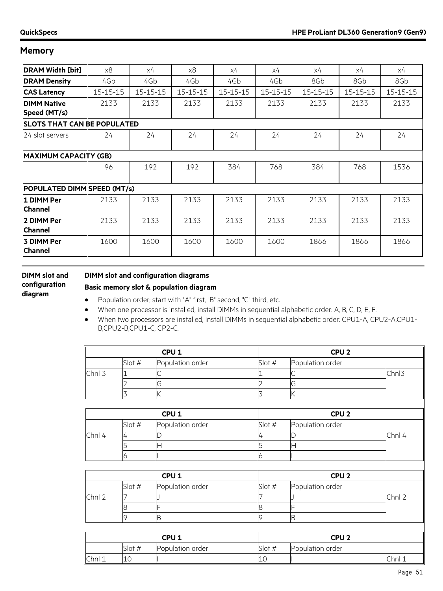| <b>DRAM Width [bit]</b>            | x8       | х4             | x8       | х4             | x4             | х4             | х4             | x4             |
|------------------------------------|----------|----------------|----------|----------------|----------------|----------------|----------------|----------------|
| <b>DRAM Density</b>                | 4Gb      | 4Gb            | 4Gb      | 4Gb            | 4Gb            | 8Gb            | 8Gb            | 8Gb            |
| <b>CAS Latency</b>                 | 15-15-15 | $15 - 15 - 15$ | 15-15-15 | $15 - 15 - 15$ | $15 - 15 - 15$ | $15 - 15 - 15$ | $15 - 15 - 15$ | $15 - 15 - 15$ |
| <b>DIMM Native</b><br>Speed (MT/s) | 2133     | 2133           | 2133     | 2133           | 2133           | 2133           | 2133           | 2133           |
| <b>SLOTS THAT CAN BE POPULATED</b> |          |                |          |                |                |                |                |                |
| 24 slot servers                    | 24       | 24             | 24       | 24             | 24             | 24             | 24             | 24             |
| <b>MAXIMUM CAPACITY (GB)</b>       |          |                |          |                |                |                |                |                |
|                                    | 96       | 192            | 192      | 384            | 768            | 384            | 768            | 1536           |
| POPULATED DIMM SPEED (MT/s)        |          |                |          |                |                |                |                |                |
| 1 DIMM Per<br><b>Channel</b>       | 2133     | 2133           | 2133     | 2133           | 2133           | 2133           | 2133           | 2133           |
| 2 DIMM Per<br><b>Channel</b>       | 2133     | 2133           | 2133     | 2133           | 2133           | 2133           | 2133           | 2133           |
| 3 DIMM Per<br><b>Channel</b>       | 1600     | 1600           | 1600     | 1600           | 1600           | 1866           | 1866           | 1866           |

### **DIMM slot and configuration diagram**

### **DIMM slot and configuration diagrams**

### **Basic memory slot & population diagram**

- Population order; start with "A" first, "B" second, "C" third, etc.
- When one processor is installed, install DIMMs in sequential alphabetic order: A, B, C, D, E, F.
- When two processors are installed, install DIMMs in sequential alphabetic order: CPU1-A, CPU2-A,CPU1- B,CPU2-B,CPU1-C, CP2-C.

|        | CPU <sub>1</sub> |                  |        | CPU <sub>2</sub> |        |  |  |
|--------|------------------|------------------|--------|------------------|--------|--|--|
|        | Slot #           | Population order | Slot # | Population order |        |  |  |
| Chnl 3 |                  |                  |        |                  | Chnl3  |  |  |
|        |                  | G                |        | G                |        |  |  |
|        | 3                | K                | 3      | K                |        |  |  |
|        |                  |                  |        |                  |        |  |  |
|        |                  | CPU <sub>1</sub> |        | CPU <sub>2</sub> |        |  |  |
|        | Slot #           | Population order | Slot # | Population order |        |  |  |
| Chnl 4 | 4                | D                | 4      |                  | Chnl 4 |  |  |
|        | כ                | Η                | 5      | Н                |        |  |  |
|        | 6                |                  | 6      |                  |        |  |  |
|        |                  |                  |        |                  |        |  |  |
|        |                  | CPU <sub>1</sub> |        | CPU <sub>2</sub> |        |  |  |
|        | Slot #           | Population order | Slot # | Population order |        |  |  |
| Chnl 2 |                  |                  |        |                  | Chnl 2 |  |  |
|        | 8                | Ė                | 8      |                  |        |  |  |
|        | 9                | B                | 9      | B                |        |  |  |
|        |                  |                  |        |                  |        |  |  |
|        |                  | CPU <sub>1</sub> |        | CPU <sub>2</sub> |        |  |  |
|        | Slot #           | Population order | Slot # | Population order |        |  |  |
| Chnl 1 | 10               |                  | 10     |                  | Chnl 1 |  |  |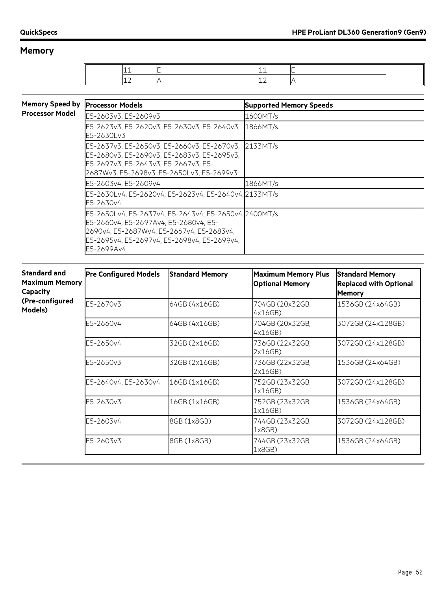٦

## **Memory**

| <b>Memory Speed by</b> | <b>Processor Models</b>                                                                                                                                                                                  | <b>Supported Memory Speeds</b> |
|------------------------|----------------------------------------------------------------------------------------------------------------------------------------------------------------------------------------------------------|--------------------------------|
| <b>Processor Model</b> | E5-2603v3, E5-2609v3                                                                                                                                                                                     | 1600MT/s                       |
|                        | E5-2623v3, E5-2620v3, E5-2630v3, E5-2640v3,<br>E5-2630Lv3                                                                                                                                                | 1866MT/s                       |
|                        | E5-2637v3, E5-2650v3, E5-2660v3, E5-2670v3, 2133MT/s<br>E5-2680v3, E5-2690v3, E5-2683v3, E5-2695v3,<br>E5-2697v3, E5-2643v3, E5-2667v3, E5-<br>2687Wv3, E5-2698v3, E5-2650Lv3, E5-2699v3                 |                                |
|                        | E5-2603v4, E5-2609v4                                                                                                                                                                                     | 1866MT/s                       |
|                        | E5-2630Lv4, E5-2620v4, E5-2623v4, E5-2640v4, 2133MT/s<br>E5-2630v4                                                                                                                                       |                                |
|                        | E5-2650Lv4, E5-2637v4, E5-2643v4, E5-2650v4, 2400MT/s<br>E5-2660v4. E5-2697Av4. E5-2680v4. E5-<br>2690v4, E5-2687Wv4, E5-2667v4, E5-2683v4,<br>E5-2695v4, E5-2697v4, E5-2698v4, E5-2699v4,<br>E5-2699Av4 |                                |

| <b>Standard and</b><br><b>Maximum Memory</b><br>Capacity | <b>Pre Configured Models</b> | <b>Standard Memory</b> | <b>Maximum Memory Plus</b><br><b>Optional Memory</b> | <b>Standard Memory</b><br><b>Replaced with Optional</b><br><b>Memory</b> |
|----------------------------------------------------------|------------------------------|------------------------|------------------------------------------------------|--------------------------------------------------------------------------|
| (Pre-configured<br>Models)                               | E5-2670v3                    | 64GB (4x16GB)          | 704GB (20x32GB,<br>4x16GB)                           | 1536GB (24x64GB)                                                         |
|                                                          | E5-2660v4                    | 64GB (4x16GB)          | 704GB (20x32GB,<br>4x16GB)                           | 3072GB (24x128GB)                                                        |
|                                                          | E5-2650v4                    | 32GB (2x16GB)          | 736GB (22x32GB,<br>2x16GB)                           | 3072GB (24x128GB)                                                        |
|                                                          | E5-2650v3                    | 32GB (2x16GB)          | 736GB (22x32GB,<br>2x16GB)                           | 1536GB (24x64GB)                                                         |
|                                                          | E5-2640v4, E5-2630v4         | 16GB (1x16GB)          | 752GB (23x32GB,<br>1x16GB)                           | 3072GB (24x128GB)                                                        |
|                                                          | E5-2630v3                    | 16GB (1x16GB)          | 752GB (23x32GB,<br>1x16GB)                           | 1536GB (24x64GB)                                                         |
|                                                          | E5-2603v4                    | 8GB (1x8GB)            | 744GB (23x32GB,<br>1x8GB)                            | 3072GB (24x128GB)                                                        |
|                                                          | E5-2603v3                    | 8GB (1x8GB)            | 744GB (23x32GB,<br>1x8GB)                            | 1536GB (24x64GB)                                                         |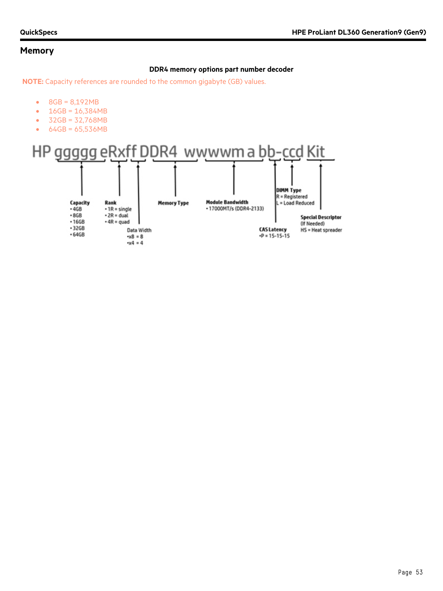### **DDR4 memory options part number decoder**

**NOTE:** Capacity references are rounded to the common gigabyte (GB) values.

- 8GB = 8,192MB
- 16GB = 16,384MB
- 32GB = 32,768MB
- 64GB = 65,536MB

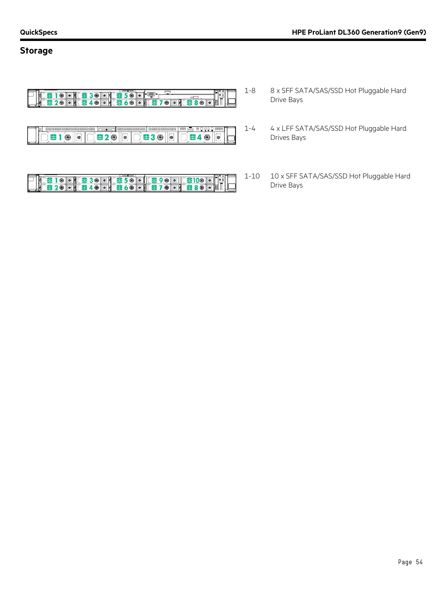### **Storage**



<u>SIODIES300 (ES500 (ES900 (ES100 0 )</u> ) }<br>S200 (ES40 0 (ES60 0 (ES70 0 (ES80 0 8 )</u>

- 1-8 8 x SFF SATA/SAS/SSD Hot Pluggable Hard Drive Bays
- 1-4 4 x LFF SATA/SAS/SSD Hot Pluggable Hard Drives Bays
- 1-10 10 x SFF SATA/SAS/SSD Hot Pluggable Hard Drive Bays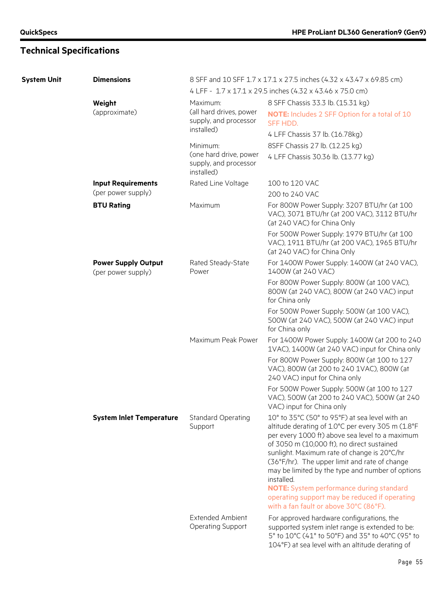| <b>System Unit</b> | <b>Dimensions</b>                                |                                                               | 8 SFF and 10 SFF 1.7 x 17.1 x 27.5 inches (4.32 x 43.47 x 69.85 cm)                                                                                                                                                                                                                                                                                                                                                                                                                                           |
|--------------------|--------------------------------------------------|---------------------------------------------------------------|---------------------------------------------------------------------------------------------------------------------------------------------------------------------------------------------------------------------------------------------------------------------------------------------------------------------------------------------------------------------------------------------------------------------------------------------------------------------------------------------------------------|
|                    |                                                  |                                                               | 4 LFF - 1.7 x 17.1 x 29.5 inches (4.32 x 43.46 x 75.0 cm)                                                                                                                                                                                                                                                                                                                                                                                                                                                     |
|                    | Weight                                           | Maximum:                                                      | 8 SFF Chassis 33.3 lb. (15.31 kg)                                                                                                                                                                                                                                                                                                                                                                                                                                                                             |
|                    | (approximate)                                    | (all hard drives, power<br>supply, and processor              | <b>NOTE:</b> Includes 2 SFF Option for a total of 10<br>SFF HDD.                                                                                                                                                                                                                                                                                                                                                                                                                                              |
|                    |                                                  | installed)                                                    | 4 LFF Chassis 37 lb. (16.78kg)                                                                                                                                                                                                                                                                                                                                                                                                                                                                                |
|                    |                                                  | Minimum:                                                      | 8SFF Chassis 27 lb. (12.25 kg)                                                                                                                                                                                                                                                                                                                                                                                                                                                                                |
|                    |                                                  | (one hard drive, power<br>supply, and processor<br>installed) | 4 LFF Chassis 30.36 lb. (13.77 kg)                                                                                                                                                                                                                                                                                                                                                                                                                                                                            |
|                    | <b>Input Requirements</b>                        | Rated Line Voltage                                            | 100 to 120 VAC                                                                                                                                                                                                                                                                                                                                                                                                                                                                                                |
|                    | (per power supply)                               |                                                               | 200 to 240 VAC                                                                                                                                                                                                                                                                                                                                                                                                                                                                                                |
|                    | <b>BTU Rating</b>                                | Maximum                                                       | For 800W Power Supply: 3207 BTU/hr (at 100<br>VAC), 3071 BTU/hr (at 200 VAC), 3112 BTU/hr<br>(at 240 VAC) for China Only                                                                                                                                                                                                                                                                                                                                                                                      |
|                    |                                                  |                                                               | For 500W Power Supply: 1979 BTU/hr (at 100<br>VAC), 1911 BTU/hr (at 200 VAC), 1965 BTU/hr<br>(at 240 VAC) for China Only                                                                                                                                                                                                                                                                                                                                                                                      |
|                    | <b>Power Supply Output</b><br>(per power supply) | Rated Steady-State<br>Power                                   | For 1400W Power Supply: 1400W (at 240 VAC),<br>1400W (at 240 VAC)                                                                                                                                                                                                                                                                                                                                                                                                                                             |
|                    |                                                  |                                                               | For 800W Power Supply: 800W (at 100 VAC),<br>800W (at 240 VAC), 800W (at 240 VAC) input<br>for China only                                                                                                                                                                                                                                                                                                                                                                                                     |
|                    |                                                  |                                                               | For 500W Power Supply: 500W (at 100 VAC),<br>500W (at 240 VAC), 500W (at 240 VAC) input<br>for China only                                                                                                                                                                                                                                                                                                                                                                                                     |
|                    |                                                  | Maximum Peak Power                                            | For 1400W Power Supply: 1400W (at 200 to 240<br>1VAC), 1400W (at 240 VAC) input for China only                                                                                                                                                                                                                                                                                                                                                                                                                |
|                    |                                                  |                                                               | For 800W Power Supply: 800W (at 100 to 127<br>VAC), 800W (at 200 to 240 1VAC), 800W (at<br>240 VAC) input for China only                                                                                                                                                                                                                                                                                                                                                                                      |
|                    |                                                  |                                                               | For 500W Power Supply: 500W (at 100 to 127<br>VAC), 500W (at 200 to 240 VAC), 500W (at 240<br>VAC) input for China only                                                                                                                                                                                                                                                                                                                                                                                       |
|                    | <b>System Inlet Temperature</b>                  | <b>Standard Operating</b><br>Support                          | 10° to 35°C (50° to 95°F) at sea level with an<br>altitude derating of 1.0°C per every 305 m (1.8°F<br>per every 1000 ft) above sea level to a maximum<br>of 3050 m (10,000 ft), no direct sustained<br>sunlight. Maximum rate of change is 20°C/hr<br>(36°F/hr). The upper limit and rate of change<br>may be limited by the type and number of options<br>installed.<br>NOTE: System performance during standard<br>operating support may be reduced if operating<br>with a fan fault or above 30°C (86°F). |
|                    |                                                  | <b>Extended Ambient</b><br><b>Operating Support</b>           | For approved hardware configurations, the<br>supported system inlet range is extended to be:<br>5° to 10°C (41° to 50°F) and 35° to 40°C (95° to<br>104°F) at sea level with an altitude derating of                                                                                                                                                                                                                                                                                                          |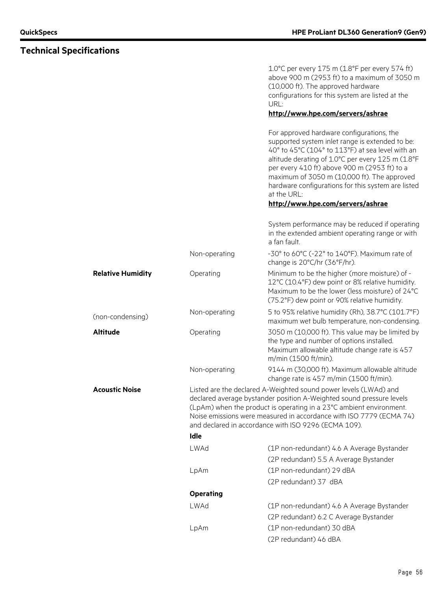**Technical Specifications**

### 1.0°C per every 175 m (1.8°F per every 574 ft) above 900 m (2953 ft) to a maximum of 3050 m (10,000 ft). The approved hardware configurations for this system are listed at the URL: **<http://www.hpe.com/servers/ashrae>** For approved hardware configurations, the supported system inlet range is extended to be: 40° to 45°C (104° to 113°F) at sea level with an altitude derating of 1.0°C per every 125 m (1.8°F per every 410 ft) above 900 m (2953 ft) to a maximum of 3050 m (10,000 ft). The approved hardware configurations for this system are listed at the URL: **<http://www.hpe.com/servers/ashrae>** System performance may be reduced if operating in the extended ambient operating range or with a fan fault. Non-operating -30° to 60°C (-22° to 140°F). Maximum rate of change is 20°C/hr (36°F/hr). **Relative Humidity C** Operating Minimum to be the higher (more moisture) of -12°C (10.4°F) dew point or 8% relative humidity. Maximum to be the lower (less moisture) of 24°C (75.2°F) dew point or 90% relative humidity. (non-condensing) Non-operating 5 to 95% relative humidity (Rh), 38.7°C (101.7°F) maximum wet bulb temperature, non-condensing. **Altitude Conserversign Conserversign COS** 3050 m (10,000 ft). This value may be limited by the type and number of options installed. Maximum allowable altitude change rate is 457 m/min (1500 ft/min). Non-operating 9144 m (30,000 ft). Maximum allowable altitude change rate is 457 m/min (1500 ft/min). **Acoustic Noise Listed are the declared A-Weighted sound power levels (LWAd) and** declared average bystander position A-Weighted sound pressure levels (LpAm) when the product is operating in a 23°C ambient environment. Noise emissions were measured in accordance with ISO 7779 (ECMA 74) and declared in accordance with ISO 9296 (ECMA 109). **Idle** LWAd (1P non-redundant) 4.6 A Average Bystander (2P redundant) 5.5 A Average Bystander LpAm (1P non-redundant) 29 dBA (2P redundant) 37 dBA **Operating** LWAd (1P non-redundant) 4.6 A Average Bystander (2P redundant) 6.2 C Average Bystander LpAm (1P non-redundant) 30 dBA

(2P redundant) 46 dBA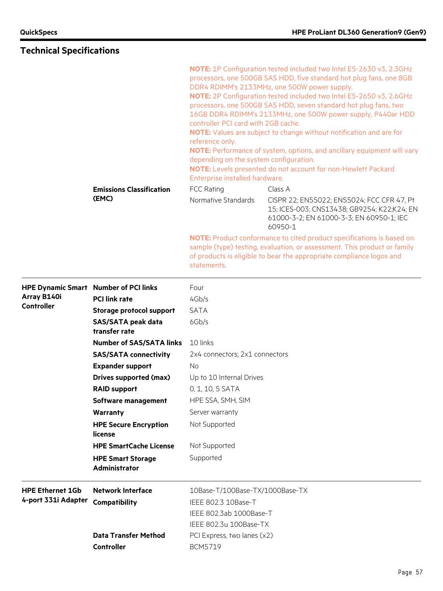# **Technical Specifications**

|                         |                                              | NOTE: 1P Configuration tested included two Intel E5-2630 v3, 2.3GHz<br>processors, one 500GB SAS HDD, five standard hot plug fans, one 8GB<br>DDR4 RDIMM's 2133MHz, one 500W power supply.<br>NOTE: 2P Configuration tested included two Intel E5-2650 v3, 2.6GHz<br>processors, one 500GB SAS HDD, seven standard hot plug fans, two<br>16GB DDR4 RDIMM's 2133MHz, one 500W power supply, P440ar HDD<br>controller PCI card with 2GB cache.<br>NOTE: Values are subject to change without notification and are for<br>reference only.<br><b>NOTE:</b> Performance of system, options, and ancillary equipment will vary<br>depending on the system configuration.<br>NOTE: Levels presented do not account for non-Hewlett Packard<br>Enterprise installed hardware. |                                                                                                                                                                                                                                  |  |  |
|-------------------------|----------------------------------------------|-----------------------------------------------------------------------------------------------------------------------------------------------------------------------------------------------------------------------------------------------------------------------------------------------------------------------------------------------------------------------------------------------------------------------------------------------------------------------------------------------------------------------------------------------------------------------------------------------------------------------------------------------------------------------------------------------------------------------------------------------------------------------|----------------------------------------------------------------------------------------------------------------------------------------------------------------------------------------------------------------------------------|--|--|
|                         | <b>Emissions Classification</b>              | <b>FCC Rating</b>                                                                                                                                                                                                                                                                                                                                                                                                                                                                                                                                                                                                                                                                                                                                                     | Class A                                                                                                                                                                                                                          |  |  |
|                         | (EMC)                                        | Normative Standards                                                                                                                                                                                                                                                                                                                                                                                                                                                                                                                                                                                                                                                                                                                                                   | CISPR 22; EN55022; EN55024; FCC CFR 47, Pt<br>15; ICES-003; CNS13438; GB9254; K22;K24; EN<br>61000-3-2; EN 61000-3-3; EN 60950-1; IEC<br>60950-1                                                                                 |  |  |
|                         |                                              | statements.                                                                                                                                                                                                                                                                                                                                                                                                                                                                                                                                                                                                                                                                                                                                                           | <b>NOTE:</b> Product conformance to cited product specifications is based on<br>sample (type) testing, evaluation, or assessment. This product or family<br>of products is eligible to bear the appropriate compliance logos and |  |  |
|                         | <b>HPE Dynamic Smart Number of PCI links</b> | Four                                                                                                                                                                                                                                                                                                                                                                                                                                                                                                                                                                                                                                                                                                                                                                  |                                                                                                                                                                                                                                  |  |  |
| Array B140i             | <b>PCI link rate</b>                         | 4Gb/s                                                                                                                                                                                                                                                                                                                                                                                                                                                                                                                                                                                                                                                                                                                                                                 |                                                                                                                                                                                                                                  |  |  |
| <b>Controller</b>       | <b>Storage protocol support</b>              | <b>SATA</b>                                                                                                                                                                                                                                                                                                                                                                                                                                                                                                                                                                                                                                                                                                                                                           |                                                                                                                                                                                                                                  |  |  |
|                         | <b>SAS/SATA peak data</b><br>transfer rate   | 6Gb/s                                                                                                                                                                                                                                                                                                                                                                                                                                                                                                                                                                                                                                                                                                                                                                 |                                                                                                                                                                                                                                  |  |  |
|                         | <b>Number of SAS/SATA links</b>              | 10 links                                                                                                                                                                                                                                                                                                                                                                                                                                                                                                                                                                                                                                                                                                                                                              |                                                                                                                                                                                                                                  |  |  |
|                         | <b>SAS/SATA connectivity</b>                 | 2x4 connectors; 2x1 connectors                                                                                                                                                                                                                                                                                                                                                                                                                                                                                                                                                                                                                                                                                                                                        |                                                                                                                                                                                                                                  |  |  |
|                         | <b>Expander support</b>                      | No.                                                                                                                                                                                                                                                                                                                                                                                                                                                                                                                                                                                                                                                                                                                                                                   |                                                                                                                                                                                                                                  |  |  |
|                         | <b>Drives supported (max)</b>                | Up to 10 Internal Drives                                                                                                                                                                                                                                                                                                                                                                                                                                                                                                                                                                                                                                                                                                                                              |                                                                                                                                                                                                                                  |  |  |
|                         | <b>RAID support</b>                          | 0, 1, 10, 5 SATA                                                                                                                                                                                                                                                                                                                                                                                                                                                                                                                                                                                                                                                                                                                                                      |                                                                                                                                                                                                                                  |  |  |
|                         | Software management                          | HPE SSA, SMH, SIM                                                                                                                                                                                                                                                                                                                                                                                                                                                                                                                                                                                                                                                                                                                                                     |                                                                                                                                                                                                                                  |  |  |
|                         | Warranty                                     | Server warranty                                                                                                                                                                                                                                                                                                                                                                                                                                                                                                                                                                                                                                                                                                                                                       |                                                                                                                                                                                                                                  |  |  |
|                         | <b>HPE Secure Encryption</b><br>license      | Not Supported                                                                                                                                                                                                                                                                                                                                                                                                                                                                                                                                                                                                                                                                                                                                                         |                                                                                                                                                                                                                                  |  |  |
|                         | <b>HPE SmartCache License</b>                | Not Supported                                                                                                                                                                                                                                                                                                                                                                                                                                                                                                                                                                                                                                                                                                                                                         |                                                                                                                                                                                                                                  |  |  |
|                         | <b>HPE Smart Storage</b><br>Administrator    | Supported                                                                                                                                                                                                                                                                                                                                                                                                                                                                                                                                                                                                                                                                                                                                                             |                                                                                                                                                                                                                                  |  |  |
| <b>HPE Ethernet 1Gb</b> | <b>Network Interface</b>                     | 10Base-T/100Base-TX/1000Base-TX                                                                                                                                                                                                                                                                                                                                                                                                                                                                                                                                                                                                                                                                                                                                       |                                                                                                                                                                                                                                  |  |  |
| 4-port 331i Adapter     | <b>Compatibility</b>                         | IEEE 802.3 10Base-T                                                                                                                                                                                                                                                                                                                                                                                                                                                                                                                                                                                                                                                                                                                                                   |                                                                                                                                                                                                                                  |  |  |
|                         |                                              | IEEE 802.3ab 1000Base-T                                                                                                                                                                                                                                                                                                                                                                                                                                                                                                                                                                                                                                                                                                                                               |                                                                                                                                                                                                                                  |  |  |
|                         |                                              | IEEE 802.3u 100Base-TX                                                                                                                                                                                                                                                                                                                                                                                                                                                                                                                                                                                                                                                                                                                                                |                                                                                                                                                                                                                                  |  |  |
|                         | <b>Data Transfer Method</b>                  | PCI Express, two lanes (x2)                                                                                                                                                                                                                                                                                                                                                                                                                                                                                                                                                                                                                                                                                                                                           |                                                                                                                                                                                                                                  |  |  |
|                         | <b>Controller</b>                            | BCM5719                                                                                                                                                                                                                                                                                                                                                                                                                                                                                                                                                                                                                                                                                                                                                               |                                                                                                                                                                                                                                  |  |  |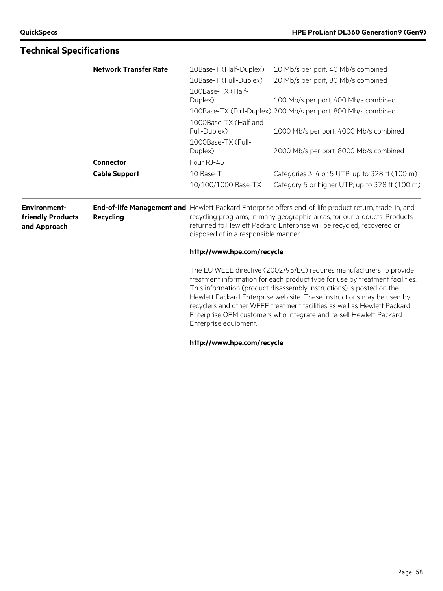|                                                          | <b>Network Transfer Rate</b> | 10Base-T (Half-Duplex)<br>10Base-T (Full-Duplex) | 10 Mb/s per port, 40 Mb/s combined<br>20 Mb/s per port, 80 Mb/s combined                                                                                                                                                                                                                                                                                                                                                                                 |
|----------------------------------------------------------|------------------------------|--------------------------------------------------|----------------------------------------------------------------------------------------------------------------------------------------------------------------------------------------------------------------------------------------------------------------------------------------------------------------------------------------------------------------------------------------------------------------------------------------------------------|
|                                                          |                              | 100Base-TX (Half-<br>Duplex)                     | 100 Mb/s per port, 400 Mb/s combined                                                                                                                                                                                                                                                                                                                                                                                                                     |
|                                                          |                              |                                                  | 100Base-TX (Full-Duplex) 200 Mb/s per port, 800 Mb/s combined                                                                                                                                                                                                                                                                                                                                                                                            |
|                                                          |                              | 1000Base-TX (Half and<br>Full-Duplex)            | 1000 Mb/s per port, 4000 Mb/s combined                                                                                                                                                                                                                                                                                                                                                                                                                   |
|                                                          |                              | 1000Base-TX (Full-<br>Duplex)                    | 2000 Mb/s per port, 8000 Mb/s combined                                                                                                                                                                                                                                                                                                                                                                                                                   |
|                                                          | Connector                    | Four RJ-45                                       |                                                                                                                                                                                                                                                                                                                                                                                                                                                          |
|                                                          | <b>Cable Support</b>         | 10 Base-T                                        | Categories 3, 4 or 5 UTP; up to 328 ft (100 m)                                                                                                                                                                                                                                                                                                                                                                                                           |
|                                                          |                              | 10/100/1000 Base-TX                              | Category 5 or higher UTP; up to 328 ft (100 m)                                                                                                                                                                                                                                                                                                                                                                                                           |
| <b>Environment-</b><br>friendly Products<br>and Approach | <b>Recycling</b>             | disposed of in a responsible manner.             | End-of-life Management and Hewlett Packard Enterprise offers end-of-life product return, trade-in, and<br>recycling programs, in many geographic areas, for our products. Products<br>returned to Hewlett Packard Enterprise will be recycled, recovered or                                                                                                                                                                                              |
|                                                          |                              | http://www.hpe.com/recycle                       |                                                                                                                                                                                                                                                                                                                                                                                                                                                          |
|                                                          |                              | Enterprise equipment.                            | The EU WEEE directive (2002/95/EC) requires manufacturers to provide<br>treatment information for each product type for use by treatment facilities.<br>This information (product disassembly instructions) is posted on the<br>Hewlett Packard Enterprise web site. These instructions may be used by<br>recyclers and other WEEE treatment facilities as well as Hewlett Packard<br>Enterprise OEM customers who integrate and re-sell Hewlett Packard |

# **Technical Specifications**

**<http://www.hpe.com/recycle>**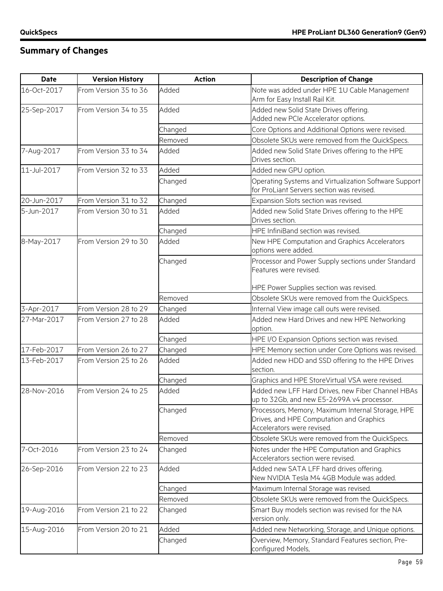| <b>Date</b> | <b>Version History</b> | <b>Action</b> | <b>Description of Change</b>                                                                                                |
|-------------|------------------------|---------------|-----------------------------------------------------------------------------------------------------------------------------|
| 16-Oct-2017 | From Version 35 to 36  | Added         | Note was added under HPE 1U Cable Management<br>Arm for Easy Install Rail Kit.                                              |
| 25-Sep-2017 | From Version 34 to 35  | Added         | Added new Solid State Drives offering.<br>Added new PCIe Accelerator options.                                               |
|             |                        | Changed       | Core Options and Additional Options were revised.                                                                           |
|             |                        | Removed       | Obsolete SKUs were removed from the QuickSpecs.                                                                             |
| 7-Aug-2017  | From Version 33 to 34  | Added         | Added new Solid State Drives offering to the HPE<br>Drives section.                                                         |
| 11-Jul-2017 | From Version 32 to 33  | Added         | Added new GPU option.                                                                                                       |
|             |                        | Changed       | Operating Systems and Virtualization Software Support<br>for ProLiant Servers section was revised.                          |
| 20-Jun-2017 | From Version 31 to 32  | Changed       | Expansion Slots section was revised.                                                                                        |
| 5-Jun-2017  | From Version 30 to 31  | Added         | Added new Solid State Drives offering to the HPE<br>Drives section.                                                         |
|             |                        | Changed       | HPE InfiniBand section was revised.                                                                                         |
| 8-May-2017  | From Version 29 to 30  | Added         | New HPE Computation and Graphics Accelerators<br>options were added.                                                        |
|             |                        | Changed       | Processor and Power Supply sections under Standard<br>Features were revised.                                                |
|             |                        |               | HPE Power Supplies section was revised.                                                                                     |
|             |                        | Removed       | Obsolete SKUs were removed from the QuickSpecs.                                                                             |
| 3-Apr-2017  | From Version 28 to 29  | Changed       | Internal View image call outs were revised.                                                                                 |
| 27-Mar-2017 | From Version 27 to 28  | Added         | Added new Hard Drives and new HPE Networking<br>option.                                                                     |
|             |                        | Changed       | HPE I/O Expansion Options section was revised.                                                                              |
| 17-Feb-2017 | From Version 26 to 27  | Changed       | HPE Memory section under Core Options was revised.                                                                          |
| 13-Feb-2017 | From Version 25 to 26  | Added         | Added new HDD and SSD offering to the HPE Drives<br>section.                                                                |
|             |                        | Changed       | Graphics and HPE StoreVirtual VSA were revised.                                                                             |
| 28-Nov-2016 | From Version 24 to 25  | Added         | Added new LFF Hard Drives, new Fiber Channel HBAs<br>up to 32Gb, and new E5-2699A v4 processor.                             |
|             |                        | Changed       | Processors, Memory, Maximum Internal Storage, HPE<br>Drives, and HPE Computation and Graphics<br>Accelerators were revised. |
|             |                        | Removed       | Obsolete SKUs were removed from the QuickSpecs.                                                                             |
| 7-Oct-2016  | From Version 23 to 24  | Changed       | Notes under the HPE Computation and Graphics<br>Accelerators section were revised.                                          |
| 26-Sep-2016 | From Version 22 to 23  | Added         | Added new SATA LFF hard drives offering.<br>New NVIDIA Tesla M4 4GB Module was added.                                       |
|             |                        | Changed       | Maximum Internal Storage was revised.                                                                                       |
|             |                        | Removed       | Obsolete SKUs were removed from the QuickSpecs.                                                                             |
| 19-Aug-2016 | From Version 21 to 22  | Changed       | Smart Buy models section was revised for the NA<br>version only.                                                            |
| 15-Aug-2016 | From Version 20 to 21  | Added         | Added new Networking, Storage, and Unique options.                                                                          |
|             |                        | Changed       | Overview, Memory, Standard Features section, Pre-<br>configured Models,                                                     |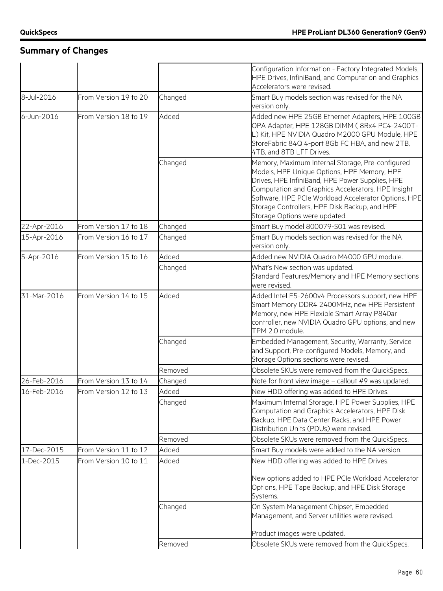|             |                       |         | Configuration Information - Factory Integrated Models,<br>HPE Drives, InfiniBand, and Computation and Graphics<br>Accelerators were revised.                                                                                                                                                                                                       |
|-------------|-----------------------|---------|----------------------------------------------------------------------------------------------------------------------------------------------------------------------------------------------------------------------------------------------------------------------------------------------------------------------------------------------------|
| 8-Jul-2016  | From Version 19 to 20 | Changed | Smart Buy models section was revised for the NA<br>version only.                                                                                                                                                                                                                                                                                   |
| 6-Jun-2016  | From Version 18 to 19 | Added   | Added new HPE 25GB Ethernet Adapters, HPE 100GB<br>OPA Adapter, HPE 128GB DIMM (8Rx4 PC4-2400T-<br>L) Kit, HPE NVIDIA Quadro M2000 GPU Module, HPE<br>StoreFabric 84Q 4-port 8Gb FC HBA, and new 2TB,<br>4TB, and 8TB LFF Drives.                                                                                                                  |
|             |                       | Changed | Memory, Maximum Internal Storage, Pre-configured<br>Models, HPE Unique Options, HPE Memory, HPE<br>Drives, HPE InfiniBand, HPE Power Supplies, HPE<br>Computation and Graphics Accelerators, HPE Insight<br>Software, HPE PCIe Workload Accelerator Options, HPE<br>Storage Controllers, HPE Disk Backup, and HPE<br>Storage Options were updated. |
| 22-Apr-2016 | From Version 17 to 18 | Changed | Smart Buy model 800079-S01 was revised.                                                                                                                                                                                                                                                                                                            |
| 15-Apr-2016 | From Version 16 to 17 | Changed | Smart Buy models section was revised for the NA<br>version only.                                                                                                                                                                                                                                                                                   |
| 5-Apr-2016  | From Version 15 to 16 | Added   | Added new NVIDIA Quadro M4000 GPU module.                                                                                                                                                                                                                                                                                                          |
|             |                       | Changed | What's New section was updated.<br>Standard Features/Memory and HPE Memory sections<br>were revised.                                                                                                                                                                                                                                               |
| 31-Mar-2016 | From Version 14 to 15 | Added   | Added Intel E5-2600v4 Processors support, new HPE<br>Smart Memory DDR4 2400MHz, new HPE Persistent<br>Memory, new HPE Flexible Smart Array P840ar<br>controller, new NVIDIA Quadro GPU options, and new<br>TPM 2.0 module.                                                                                                                         |
|             |                       | Changed | Embedded Management, Security, Warranty, Service<br>and Support, Pre-configured Models, Memory, and<br>Storage Options sections were revised.                                                                                                                                                                                                      |
|             |                       | Removed | Obsolete SKUs were removed from the QuickSpecs.                                                                                                                                                                                                                                                                                                    |
| 26-Feb-2016 | From Version 13 to 14 | Changed | Note for front view image – callout #9 was updated.                                                                                                                                                                                                                                                                                                |
| 16-Feb-2016 | From Version 12 to 13 | Added   | New HDD offering was added to HPE Drives.                                                                                                                                                                                                                                                                                                          |
|             |                       | Changed | Maximum Internal Storage, HPE Power Supplies, HPE<br>Computation and Graphics Accelerators, HPE Disk<br>Backup, HPE Data Center Racks, and HPE Power<br>Distribution Units (PDUs) were revised.                                                                                                                                                    |
|             |                       | Removed | Obsolete SKUs were removed from the QuickSpecs.                                                                                                                                                                                                                                                                                                    |
| 17-Dec-2015 | From Version 11 to 12 | Added   | Smart Buy models were added to the NA version.                                                                                                                                                                                                                                                                                                     |
| 1-Dec-2015  | From Version 10 to 11 | Added   | New HDD offering was added to HPE Drives.                                                                                                                                                                                                                                                                                                          |
|             |                       |         | New options added to HPE PCIe Workload Accelerator<br>Options, HPE Tape Backup, and HPE Disk Storage<br>Systems.                                                                                                                                                                                                                                   |
|             |                       | Changed | On System Management Chipset, Embedded<br>Management, and Server utilities were revised.                                                                                                                                                                                                                                                           |
|             |                       |         | Product images were updated.                                                                                                                                                                                                                                                                                                                       |
|             |                       | Removed | Obsolete SKUs were removed from the QuickSpecs.                                                                                                                                                                                                                                                                                                    |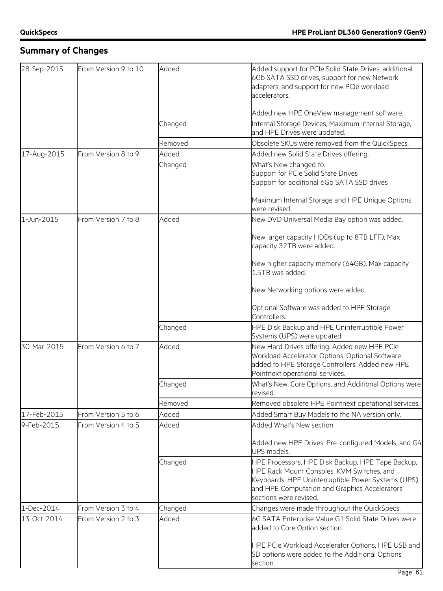| 28-Sep-2015 | From Version 9 to 10 | Added   | Added support for PCIe Solid State Drives, additional<br>6Gb SATA SSD drives, support for new Network<br>adapters, and support for new PCIe workload<br>accelerators.                                                             |
|-------------|----------------------|---------|-----------------------------------------------------------------------------------------------------------------------------------------------------------------------------------------------------------------------------------|
|             |                      |         | Added new HPE OneView management software.                                                                                                                                                                                        |
|             |                      | Changed | Internal Storage Devices, Maximum Internal Storage,<br>and HPE Drives were updated.                                                                                                                                               |
|             |                      | Removed | Obsolete SKUs were removed from the QuickSpecs.                                                                                                                                                                                   |
| 17-Aug-2015 | From Version 8 to 9  | Added   | Added new Solid State Drives offering.                                                                                                                                                                                            |
|             |                      | Changed | What's New changed to:<br>Support for PCIe Solid State Drives<br>Support for additional 6Gb SATA SSD drives                                                                                                                       |
|             |                      |         | Maximum Internal Storage and HPE Unique Options<br>were revised.                                                                                                                                                                  |
| 1-Jun-2015  | From Version 7 to 8  | Added   | New DVD Universal Media Bay option was added.                                                                                                                                                                                     |
|             |                      |         | New larger capacity HDDs (up to 8TB LFF), Max<br>capacity 32TB were added.                                                                                                                                                        |
|             |                      |         | New higher capacity memory (64GB), Max capacity<br>1.5TB was added.                                                                                                                                                               |
|             |                      |         | New Networking options were added.                                                                                                                                                                                                |
|             |                      |         | Optional Software was added to HPE Storage<br>Controllers.                                                                                                                                                                        |
|             |                      | Changed | HPE Disk Backup and HPE Uninterruptible Power<br>Systems (UPS) were updated.                                                                                                                                                      |
| 30-Mar-2015 | From Version 6 to 7  | Added   | New Hard Drives offering. Added new HPE PCIe<br>Workload Accelerator Options. Optional Software<br>added to HPE Storage Controllers. Added new HPE<br>Pointnext operational services.                                             |
|             |                      | Changed | What's New, Core Options, and Additional Options were<br>revised.                                                                                                                                                                 |
|             |                      | Removed | Removed obsolete HPE Pointnext operational services.                                                                                                                                                                              |
| 17-Feb-2015 | From Version 5 to 6  | Added   | Added Smart Buy Models to the NA version only.                                                                                                                                                                                    |
| 9-Feb-2015  | From Version 4 to 5  | Added   | Added What's New section.                                                                                                                                                                                                         |
|             |                      |         | Added new HPE Drives, Pre-configured Models, and G4<br>UPS models.                                                                                                                                                                |
|             |                      | Changed | HPE Processors, HPE Disk Backup, HPE Tape Backup,<br>HPE Rack Mount Consoles, KVM Switches, and<br>Keyboards, HPE Uninterruptible Power Systems (UPS),<br>and HPE Computation and Graphics Accelerators<br>sections were revised. |
| 1-Dec-2014  | From Version 3 to 4  | Changed | Changes were made throughout the QuickSpecs.                                                                                                                                                                                      |
| 13-Oct-2014 | From Version 2 to 3  | Added   | 6G SATA Enterprise Value G1 Solid State Drives were<br>added to Core Option section.                                                                                                                                              |
|             |                      |         | HPE PCIe Workload Accelerator Options, HPE USB and<br>SD options were added to the Additional Options<br>section.                                                                                                                 |